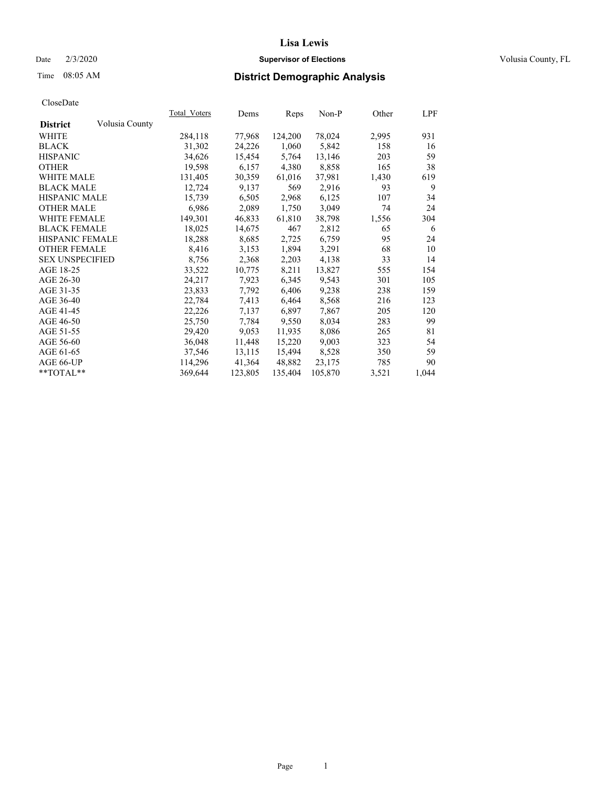### Date  $2/3/2020$  **Supervisor of Elections** Volusia County, FL

# Time 08:05 AM **District Demographic Analysis**

|                        |                | Total Voters | Dems    | Reps    | Non-P   | Other | LPF   |
|------------------------|----------------|--------------|---------|---------|---------|-------|-------|
| <b>District</b>        | Volusia County |              |         |         |         |       |       |
| WHITE                  |                | 284,118      | 77,968  | 124,200 | 78,024  | 2,995 | 931   |
| <b>BLACK</b>           |                | 31,302       | 24,226  | 1,060   | 5,842   | 158   | 16    |
| <b>HISPANIC</b>        |                | 34,626       | 15,454  | 5,764   | 13,146  | 203   | 59    |
| <b>OTHER</b>           |                | 19,598       | 6,157   | 4,380   | 8,858   | 165   | 38    |
| <b>WHITE MALE</b>      |                | 131,405      | 30,359  | 61,016  | 37,981  | 1,430 | 619   |
| <b>BLACK MALE</b>      |                | 12,724       | 9,137   | 569     | 2,916   | 93    | 9     |
| <b>HISPANIC MALE</b>   |                | 15,739       | 6,505   | 2,968   | 6,125   | 107   | 34    |
| <b>OTHER MALE</b>      |                | 6,986        | 2,089   | 1,750   | 3,049   | 74    | 24    |
| <b>WHITE FEMALE</b>    |                | 149,301      | 46,833  | 61,810  | 38,798  | 1,556 | 304   |
| <b>BLACK FEMALE</b>    |                | 18,025       | 14,675  | 467     | 2,812   | 65    | -6    |
| <b>HISPANIC FEMALE</b> |                | 18,288       | 8,685   | 2,725   | 6,759   | 95    | 24    |
| <b>OTHER FEMALE</b>    |                | 8,416        | 3,153   | 1,894   | 3,291   | 68    | 10    |
| <b>SEX UNSPECIFIED</b> |                | 8,756        | 2,368   | 2,203   | 4,138   | 33    | 14    |
| AGE 18-25              |                | 33,522       | 10,775  | 8,211   | 13,827  | 555   | 154   |
| AGE 26-30              |                | 24,217       | 7,923   | 6,345   | 9,543   | 301   | 105   |
| AGE 31-35              |                | 23,833       | 7,792   | 6,406   | 9,238   | 238   | 159   |
| AGE 36-40              |                | 22,784       | 7,413   | 6,464   | 8,568   | 216   | 123   |
| AGE 41-45              |                | 22,226       | 7,137   | 6,897   | 7,867   | 205   | 120   |
| AGE 46-50              |                | 25,750       | 7,784   | 9,550   | 8,034   | 283   | 99    |
| AGE 51-55              |                | 29,420       | 9,053   | 11,935  | 8,086   | 265   | 81    |
| AGE 56-60              |                | 36,048       | 11,448  | 15,220  | 9,003   | 323   | 54    |
| AGE 61-65              |                | 37,546       | 13,115  | 15,494  | 8,528   | 350   | 59    |
| AGE 66-UP              |                | 114,296      | 41,364  | 48,882  | 23,175  | 785   | 90    |
| $*$ $TOTAL**$          |                | 369,644      | 123,805 | 135,404 | 105,870 | 3,521 | 1,044 |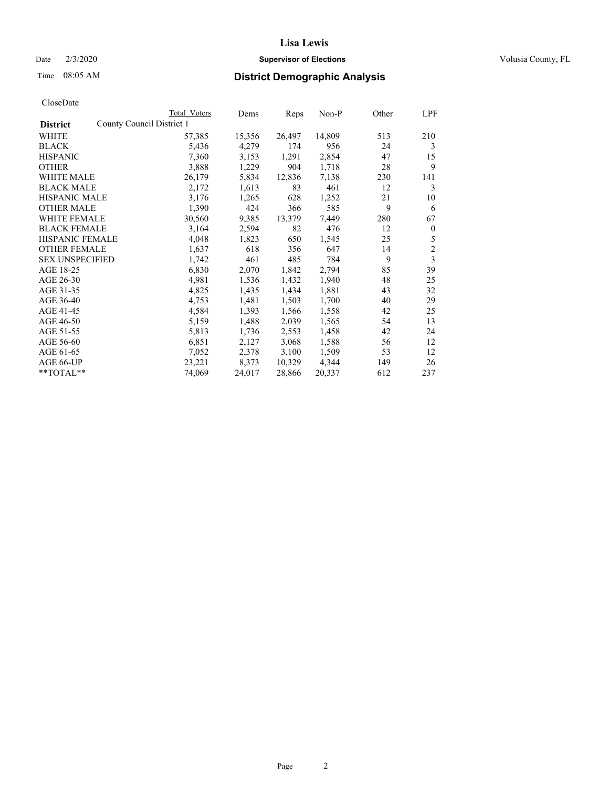### Date  $2/3/2020$  **Supervisor of Elections** Volusia County, FL

| CloseDate |
|-----------|
|-----------|

|                                              | Total Voters | Dems   | Reps   | Non-P  | Other | LPF            |
|----------------------------------------------|--------------|--------|--------|--------|-------|----------------|
| County Council District 1<br><b>District</b> |              |        |        |        |       |                |
| WHITE                                        | 57,385       | 15,356 | 26,497 | 14,809 | 513   | 210            |
| <b>BLACK</b>                                 | 5,436        | 4,279  | 174    | 956    | 24    | 3              |
| <b>HISPANIC</b>                              | 7,360        | 3,153  | 1,291  | 2,854  | 47    | 15             |
| <b>OTHER</b>                                 | 3,888        | 1,229  | 904    | 1,718  | 28    | 9              |
| WHITE MALE                                   | 26,179       | 5,834  | 12,836 | 7,138  | 230   | 141            |
| <b>BLACK MALE</b>                            | 2,172        | 1,613  | 83     | 461    | 12    | 3              |
| <b>HISPANIC MALE</b>                         | 3,176        | 1,265  | 628    | 1,252  | 21    | 10             |
| <b>OTHER MALE</b>                            | 1,390        | 424    | 366    | 585    | 9     | 6              |
| <b>WHITE FEMALE</b>                          | 30,560       | 9,385  | 13,379 | 7,449  | 280   | 67             |
| <b>BLACK FEMALE</b>                          | 3,164        | 2,594  | 82     | 476    | 12    | $\mathbf{0}$   |
| <b>HISPANIC FEMALE</b>                       | 4,048        | 1,823  | 650    | 1,545  | 25    | 5              |
| <b>OTHER FEMALE</b>                          | 1,637        | 618    | 356    | 647    | 14    | $\overline{c}$ |
| <b>SEX UNSPECIFIED</b>                       | 1,742        | 461    | 485    | 784    | 9     | 3              |
| AGE 18-25                                    | 6,830        | 2,070  | 1,842  | 2,794  | 85    | 39             |
| AGE 26-30                                    | 4,981        | 1,536  | 1,432  | 1,940  | 48    | 25             |
| AGE 31-35                                    | 4,825        | 1,435  | 1,434  | 1,881  | 43    | 32             |
| AGE 36-40                                    | 4,753        | 1,481  | 1,503  | 1,700  | 40    | 29             |
| AGE 41-45                                    | 4,584        | 1,393  | 1,566  | 1,558  | 42    | 25             |
| AGE 46-50                                    | 5,159        | 1,488  | 2,039  | 1,565  | 54    | 13             |
| AGE 51-55                                    | 5,813        | 1,736  | 2,553  | 1,458  | 42    | 24             |
| AGE 56-60                                    | 6,851        | 2,127  | 3,068  | 1,588  | 56    | 12             |
| AGE 61-65                                    | 7,052        | 2,378  | 3,100  | 1,509  | 53    | 12             |
| AGE 66-UP                                    | 23,221       | 8,373  | 10,329 | 4,344  | 149   | 26             |
| $*$ TOTAL $*$                                | 74,069       | 24,017 | 28,866 | 20,337 | 612   | 237            |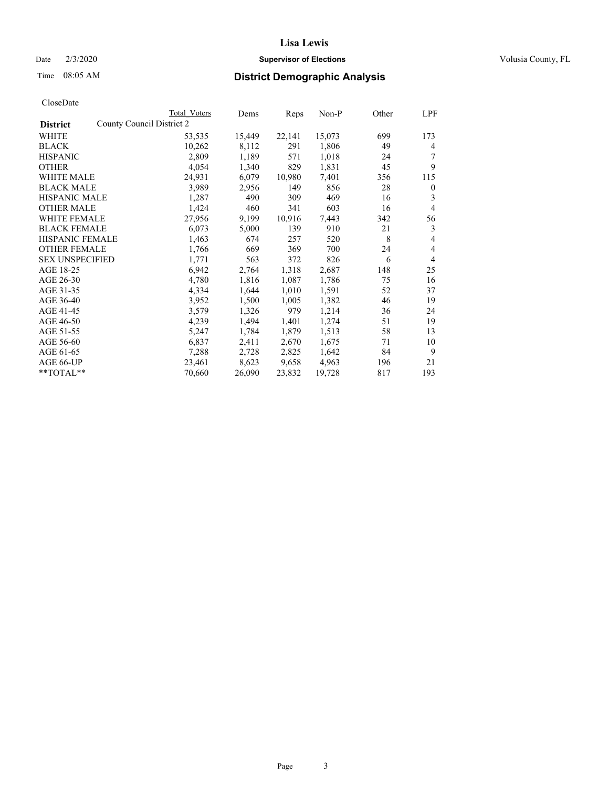### Date  $2/3/2020$  **Supervisor of Elections** Volusia County, FL

|                                              | Total Voters | Dems   | Reps   | Non-P  | Other | LPF            |
|----------------------------------------------|--------------|--------|--------|--------|-------|----------------|
| County Council District 2<br><b>District</b> |              |        |        |        |       |                |
| WHITE                                        | 53,535       | 15,449 | 22,141 | 15,073 | 699   | 173            |
| <b>BLACK</b>                                 | 10,262       | 8,112  | 291    | 1,806  | 49    | 4              |
| <b>HISPANIC</b>                              | 2,809        | 1,189  | 571    | 1,018  | 24    | 7              |
| <b>OTHER</b>                                 | 4,054        | 1,340  | 829    | 1,831  | 45    | 9              |
| WHITE MALE                                   | 24,931       | 6,079  | 10,980 | 7,401  | 356   | 115            |
| <b>BLACK MALE</b>                            | 3,989        | 2,956  | 149    | 856    | 28    | $\mathbf{0}$   |
| <b>HISPANIC MALE</b>                         | 1,287        | 490    | 309    | 469    | 16    | 3              |
| <b>OTHER MALE</b>                            | 1,424        | 460    | 341    | 603    | 16    | 4              |
| <b>WHITE FEMALE</b>                          | 27,956       | 9,199  | 10,916 | 7,443  | 342   | 56             |
| <b>BLACK FEMALE</b>                          | 6,073        | 5,000  | 139    | 910    | 21    | 3              |
| HISPANIC FEMALE                              | 1,463        | 674    | 257    | 520    | 8     | 4              |
| <b>OTHER FEMALE</b>                          | 1,766        | 669    | 369    | 700    | 24    | $\overline{4}$ |
| <b>SEX UNSPECIFIED</b>                       | 1,771        | 563    | 372    | 826    | 6     | $\overline{4}$ |
| AGE 18-25                                    | 6,942        | 2,764  | 1,318  | 2,687  | 148   | 25             |
| AGE 26-30                                    | 4,780        | 1,816  | 1,087  | 1,786  | 75    | 16             |
| AGE 31-35                                    | 4,334        | 1,644  | 1,010  | 1,591  | 52    | 37             |
| AGE 36-40                                    | 3,952        | 1,500  | 1,005  | 1,382  | 46    | 19             |
| AGE 41-45                                    | 3,579        | 1,326  | 979    | 1,214  | 36    | 24             |
| AGE 46-50                                    | 4,239        | 1,494  | 1,401  | 1,274  | 51    | 19             |
| AGE 51-55                                    | 5,247        | 1,784  | 1,879  | 1,513  | 58    | 13             |
| AGE 56-60                                    | 6,837        | 2,411  | 2,670  | 1,675  | 71    | 10             |
| AGE 61-65                                    | 7,288        | 2,728  | 2,825  | 1,642  | 84    | 9              |
| AGE 66-UP                                    | 23,461       | 8,623  | 9,658  | 4,963  | 196   | 21             |
| $*$ TOTAL $*$                                | 70,660       | 26,090 | 23,832 | 19,728 | 817   | 193            |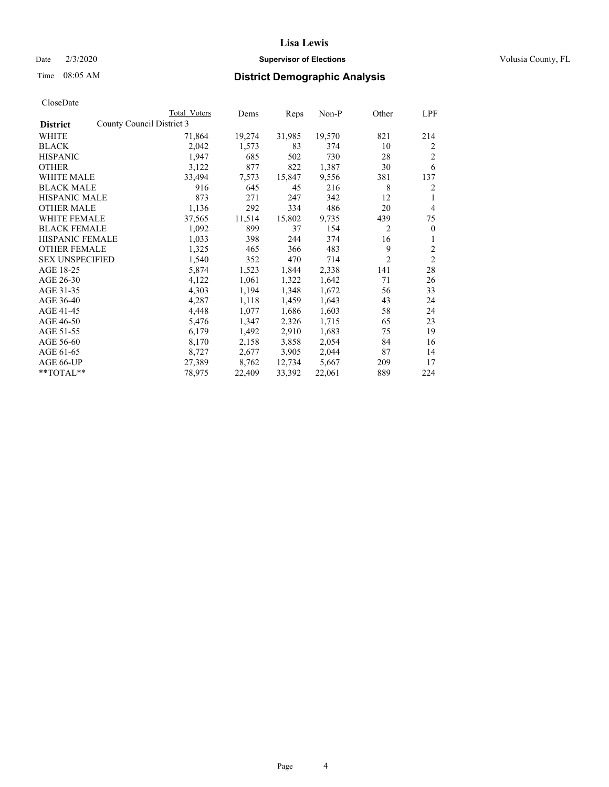## Date  $2/3/2020$  **Supervisor of Elections** Volusia County, FL

|                        |                           | Total Voters | Dems   | Reps   | $Non-P$ | Other          | LPF            |
|------------------------|---------------------------|--------------|--------|--------|---------|----------------|----------------|
| <b>District</b>        | County Council District 3 |              |        |        |         |                |                |
| WHITE                  |                           | 71,864       | 19,274 | 31,985 | 19,570  | 821            | 214            |
| <b>BLACK</b>           |                           | 2,042        | 1,573  | 83     | 374     | 10             | 2              |
| <b>HISPANIC</b>        |                           | 1,947        | 685    | 502    | 730     | 28             | $\overline{2}$ |
| <b>OTHER</b>           |                           | 3,122        | 877    | 822    | 1,387   | 30             | 6              |
| WHITE MALE             |                           | 33,494       | 7,573  | 15,847 | 9,556   | 381            | 137            |
| <b>BLACK MALE</b>      |                           | 916          | 645    | 45     | 216     | 8              | 2              |
| <b>HISPANIC MALE</b>   |                           | 873          | 271    | 247    | 342     | 12             | 1              |
| <b>OTHER MALE</b>      |                           | 1,136        | 292    | 334    | 486     | 20             | $\overline{4}$ |
| <b>WHITE FEMALE</b>    |                           | 37,565       | 11,514 | 15,802 | 9,735   | 439            | 75             |
| <b>BLACK FEMALE</b>    |                           | 1,092        | 899    | 37     | 154     | $\overline{2}$ | $\mathbf{0}$   |
| HISPANIC FEMALE        |                           | 1,033        | 398    | 244    | 374     | 16             | 1              |
| <b>OTHER FEMALE</b>    |                           | 1,325        | 465    | 366    | 483     | 9              | $\overline{c}$ |
| <b>SEX UNSPECIFIED</b> |                           | 1,540        | 352    | 470    | 714     | $\overline{c}$ | $\overline{2}$ |
| AGE 18-25              |                           | 5,874        | 1,523  | 1,844  | 2,338   | 141            | 28             |
| AGE 26-30              |                           | 4,122        | 1,061  | 1,322  | 1,642   | 71             | 26             |
| AGE 31-35              |                           | 4,303        | 1,194  | 1,348  | 1,672   | 56             | 33             |
| AGE 36-40              |                           | 4,287        | 1,118  | 1,459  | 1,643   | 43             | 24             |
| AGE 41-45              |                           | 4,448        | 1,077  | 1,686  | 1,603   | 58             | 24             |
| AGE 46-50              |                           | 5,476        | 1,347  | 2,326  | 1,715   | 65             | 23             |
| AGE 51-55              |                           | 6,179        | 1,492  | 2,910  | 1,683   | 75             | 19             |
| AGE 56-60              |                           | 8,170        | 2,158  | 3,858  | 2,054   | 84             | 16             |
| AGE 61-65              |                           | 8,727        | 2,677  | 3,905  | 2,044   | 87             | 14             |
| AGE 66-UP              |                           | 27,389       | 8,762  | 12,734 | 5,667   | 209            | 17             |
| $*$ TOTAL $*$          |                           | 78,975       | 22,409 | 33,392 | 22,061  | 889            | 224            |
|                        |                           |              |        |        |         |                |                |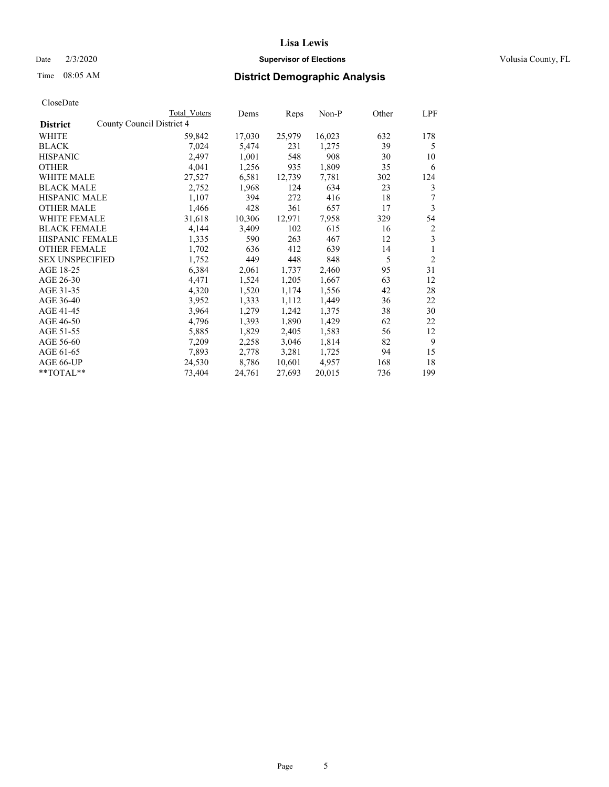### Date  $2/3/2020$  **Supervisor of Elections** Volusia County, FL

|                                              | Total Voters | Dems   | Reps   | $Non-P$ | Other | LPF            |
|----------------------------------------------|--------------|--------|--------|---------|-------|----------------|
| County Council District 4<br><b>District</b> |              |        |        |         |       |                |
| WHITE                                        | 59,842       | 17,030 | 25,979 | 16,023  | 632   | 178            |
| <b>BLACK</b>                                 | 7,024        | 5,474  | 231    | 1,275   | 39    | 5              |
| <b>HISPANIC</b>                              | 2,497        | 1,001  | 548    | 908     | 30    | 10             |
| <b>OTHER</b>                                 | 4,041        | 1,256  | 935    | 1,809   | 35    | 6              |
| <b>WHITE MALE</b>                            | 27,527       | 6,581  | 12,739 | 7,781   | 302   | 124            |
| <b>BLACK MALE</b>                            | 2,752        | 1,968  | 124    | 634     | 23    | 3              |
| <b>HISPANIC MALE</b>                         | 1,107        | 394    | 272    | 416     | 18    | 7              |
| <b>OTHER MALE</b>                            | 1,466        | 428    | 361    | 657     | 17    | 3              |
| <b>WHITE FEMALE</b>                          | 31,618       | 10,306 | 12,971 | 7,958   | 329   | 54             |
| <b>BLACK FEMALE</b>                          | 4,144        | 3,409  | 102    | 615     | 16    | 2              |
| HISPANIC FEMALE                              | 1,335        | 590    | 263    | 467     | 12    | 3              |
| <b>OTHER FEMALE</b>                          | 1,702        | 636    | 412    | 639     | 14    | 1              |
| <b>SEX UNSPECIFIED</b>                       | 1,752        | 449    | 448    | 848     | 5     | $\overline{2}$ |
| AGE 18-25                                    | 6,384        | 2,061  | 1,737  | 2,460   | 95    | 31             |
| AGE 26-30                                    | 4,471        | 1,524  | 1,205  | 1,667   | 63    | 12             |
| AGE 31-35                                    | 4,320        | 1,520  | 1,174  | 1,556   | 42    | 28             |
| AGE 36-40                                    | 3,952        | 1,333  | 1,112  | 1,449   | 36    | 22             |
| AGE 41-45                                    | 3,964        | 1,279  | 1,242  | 1,375   | 38    | 30             |
| AGE 46-50                                    | 4,796        | 1,393  | 1,890  | 1,429   | 62    | 22             |
| AGE 51-55                                    | 5,885        | 1,829  | 2,405  | 1,583   | 56    | 12             |
| AGE 56-60                                    | 7,209        | 2,258  | 3,046  | 1,814   | 82    | 9              |
| AGE 61-65                                    | 7,893        | 2,778  | 3,281  | 1,725   | 94    | 15             |
| AGE 66-UP                                    | 24,530       | 8,786  | 10,601 | 4,957   | 168   | 18             |
| $*$ $TOTAL**$                                | 73,404       | 24,761 | 27,693 | 20,015  | 736   | 199            |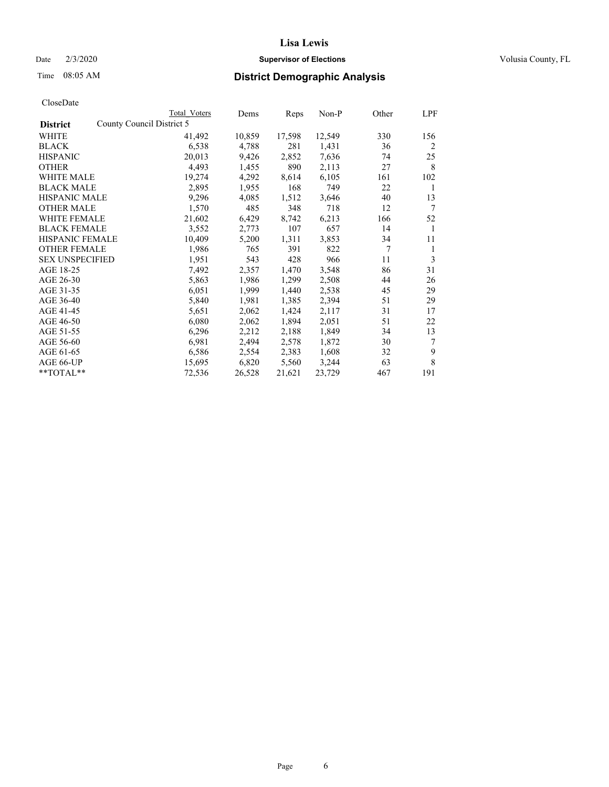### Date  $2/3/2020$  **Supervisor of Elections** Volusia County, FL

|                                              | Total Voters | Dems   | Reps   | Non-P  | Other | LPF |
|----------------------------------------------|--------------|--------|--------|--------|-------|-----|
| County Council District 5<br><b>District</b> |              |        |        |        |       |     |
| WHITE                                        | 41,492       | 10,859 | 17,598 | 12,549 | 330   | 156 |
| <b>BLACK</b>                                 | 6,538        | 4,788  | 281    | 1,431  | 36    | 2   |
| <b>HISPANIC</b>                              | 20,013       | 9,426  | 2,852  | 7,636  | 74    | 25  |
| <b>OTHER</b>                                 | 4,493        | 1,455  | 890    | 2,113  | 27    | 8   |
| WHITE MALE                                   | 19,274       | 4,292  | 8,614  | 6,105  | 161   | 102 |
| <b>BLACK MALE</b>                            | 2,895        | 1,955  | 168    | 749    | 22    | 1   |
| <b>HISPANIC MALE</b>                         | 9,296        | 4,085  | 1,512  | 3,646  | 40    | 13  |
| <b>OTHER MALE</b>                            | 1,570        | 485    | 348    | 718    | 12    | 7   |
| <b>WHITE FEMALE</b>                          | 21,602       | 6,429  | 8,742  | 6,213  | 166   | 52  |
| <b>BLACK FEMALE</b>                          | 3,552        | 2,773  | 107    | 657    | 14    | 1   |
| HISPANIC FEMALE                              | 10,409       | 5,200  | 1,311  | 3,853  | 34    | 11  |
| <b>OTHER FEMALE</b>                          | 1,986        | 765    | 391    | 822    | 7     | 1   |
| <b>SEX UNSPECIFIED</b>                       | 1,951        | 543    | 428    | 966    | 11    | 3   |
| AGE 18-25                                    | 7,492        | 2,357  | 1,470  | 3,548  | 86    | 31  |
| AGE 26-30                                    | 5,863        | 1,986  | 1,299  | 2,508  | 44    | 26  |
| AGE 31-35                                    | 6,051        | 1,999  | 1,440  | 2,538  | 45    | 29  |
| AGE 36-40                                    | 5,840        | 1,981  | 1,385  | 2,394  | 51    | 29  |
| AGE 41-45                                    | 5,651        | 2,062  | 1,424  | 2,117  | 31    | 17  |
| AGE 46-50                                    | 6,080        | 2,062  | 1,894  | 2,051  | 51    | 22  |
| AGE 51-55                                    | 6,296        | 2,212  | 2,188  | 1,849  | 34    | 13  |
| AGE 56-60                                    | 6,981        | 2,494  | 2,578  | 1,872  | 30    | 7   |
| AGE 61-65                                    | 6,586        | 2,554  | 2,383  | 1,608  | 32    | 9   |
| AGE 66-UP                                    | 15,695       | 6,820  | 5,560  | 3,244  | 63    | 8   |
| **TOTAL**                                    | 72,536       | 26,528 | 21,621 | 23,729 | 467   | 191 |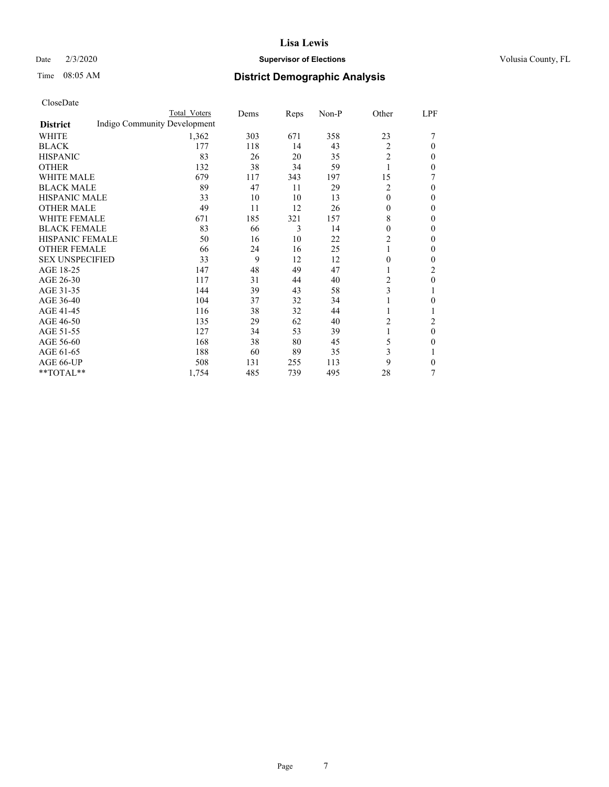## Date  $2/3/2020$  **Supervisor of Elections** Volusia County, FL

# Time 08:05 AM **District Demographic Analysis**

|                        |                              | Total Voters | Dems | Reps | Non-P | Other          | LPF              |
|------------------------|------------------------------|--------------|------|------|-------|----------------|------------------|
| <b>District</b>        | Indigo Community Development |              |      |      |       |                |                  |
| WHITE                  |                              | 1,362        | 303  | 671  | 358   | 23             |                  |
| <b>BLACK</b>           |                              | 177          | 118  | 14   | 43    | 2              | $\theta$         |
| <b>HISPANIC</b>        |                              | 83           | 26   | 20   | 35    | 2              | 0                |
| <b>OTHER</b>           |                              | 132          | 38   | 34   | 59    |                | 0                |
| <b>WHITE MALE</b>      |                              | 679          | 117  | 343  | 197   | 15             | 7                |
| <b>BLACK MALE</b>      |                              | 89           | 47   | 11   | 29    | 2              | $\theta$         |
| HISPANIC MALE          |                              | 33           | 10   | 10   | 13    | 0              | 0                |
| <b>OTHER MALE</b>      |                              | 49           | 11   | 12   | 26    | 0              | 0                |
| <b>WHITE FEMALE</b>    |                              | 671          | 185  | 321  | 157   | 8              | 0                |
| <b>BLACK FEMALE</b>    |                              | 83           | 66   | 3    | 14    | 0              | 0                |
| <b>HISPANIC FEMALE</b> |                              | 50           | 16   | 10   | 22    | $\overline{c}$ | 0                |
| <b>OTHER FEMALE</b>    |                              | 66           | 24   | 16   | 25    |                | $\theta$         |
| <b>SEX UNSPECIFIED</b> |                              | 33           | 9    | 12   | 12    | $\mathbf{0}$   | $\mathbf{0}$     |
| AGE 18-25              |                              | 147          | 48   | 49   | 47    |                | 2                |
| AGE 26-30              |                              | 117          | 31   | 44   | 40    | 2              | $\boldsymbol{0}$ |
| AGE 31-35              |                              | 144          | 39   | 43   | 58    | 3              | 1                |
| AGE 36-40              |                              | 104          | 37   | 32   | 34    |                | 0                |
| AGE 41-45              |                              | 116          | 38   | 32   | 44    |                | 1                |
| AGE 46-50              |                              | 135          | 29   | 62   | 40    | 2              | 2                |
| AGE 51-55              |                              | 127          | 34   | 53   | 39    | 1              | $\theta$         |
| AGE 56-60              |                              | 168          | 38   | 80   | 45    | 5              | 0                |
| AGE 61-65              |                              | 188          | 60   | 89   | 35    | 3              | 1                |
| AGE 66-UP              |                              | 508          | 131  | 255  | 113   | 9              | 0                |
| **TOTAL**              |                              | 1,754        | 485  | 739  | 495   | 28             | 7                |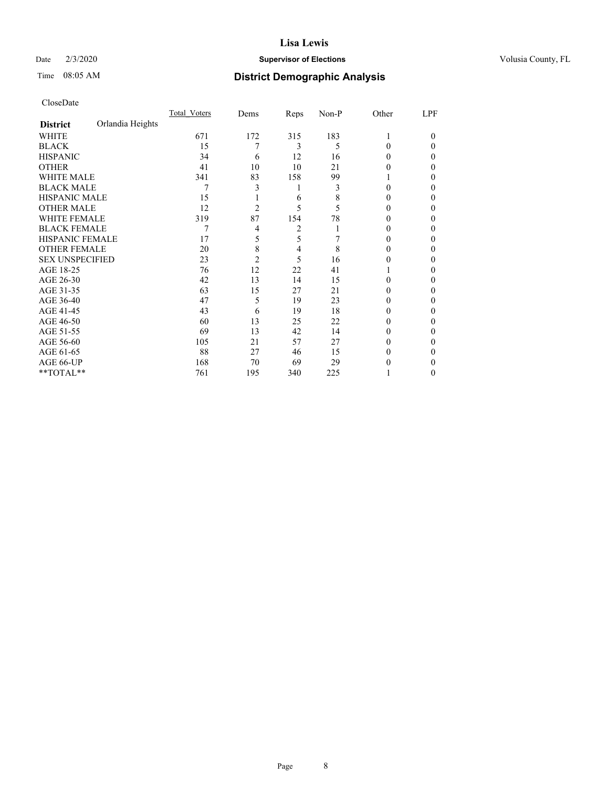### Date  $2/3/2020$  **Supervisor of Elections** Volusia County, FL

# Time 08:05 AM **District Demographic Analysis**

|                        |                  | Total Voters | Dems           | Reps           | Non-P | Other    | LPF    |
|------------------------|------------------|--------------|----------------|----------------|-------|----------|--------|
| <b>District</b>        | Orlandia Heights |              |                |                |       |          |        |
| WHITE                  |                  | 671          | 172            | 315            | 183   | 1        | $_{0}$ |
| <b>BLACK</b>           |                  | 15           | 7              | 3              | 5     | 0        | 0      |
| <b>HISPANIC</b>        |                  | 34           | 6              | 12             | 16    | $_{0}$   | 0      |
| <b>OTHER</b>           |                  | 41           | 10             | 10             | 21    | 0        | 0      |
| <b>WHITE MALE</b>      |                  | 341          | 83             | 158            | 99    |          | 0      |
| <b>BLACK MALE</b>      |                  | 7            | 3              | 1              | 3     | 0        | 0      |
| <b>HISPANIC MALE</b>   |                  | 15           |                | 6              | 8     | 0        | 0      |
| <b>OTHER MALE</b>      |                  | 12           | $\overline{c}$ | 5              | 5     | 0        | 0      |
| <b>WHITE FEMALE</b>    |                  | 319          | 87             | 154            | 78    |          | 0      |
| <b>BLACK FEMALE</b>    |                  | 7            | 4              | 2              |       | $_{0}$   | 0      |
| <b>HISPANIC FEMALE</b> |                  | 17           | 5              | 5              |       | $\theta$ | 0      |
| <b>OTHER FEMALE</b>    |                  | 20           | 8              | $\overline{4}$ | 8     | $_{0}$   | 0      |
| <b>SEX UNSPECIFIED</b> |                  | 23           | $\overline{c}$ | 5              | 16    | 0        | 0      |
| AGE 18-25              |                  | 76           | 12             | 22             | 41    |          | 0      |
| AGE 26-30              |                  | 42           | 13             | 14             | 15    | 0        | 0      |
| AGE 31-35              |                  | 63           | 15             | 27             | 21    |          | 0      |
| AGE 36-40              |                  | 47           | 5              | 19             | 23    | 0        | 0      |
| AGE 41-45              |                  | 43           | 6              | 19             | 18    | 0        | 0      |
| AGE 46-50              |                  | 60           | 13             | 25             | 22    | $_{0}$   | 0      |
| AGE 51-55              |                  | 69           | 13             | 42             | 14    | 0        | 0      |
| AGE 56-60              |                  | 105          | 21             | 57             | 27    | $\theta$ | 0      |
| AGE 61-65              |                  | 88           | 27             | 46             | 15    | $_{0}$   | 0      |
| AGE 66-UP              |                  | 168          | 70             | 69             | 29    |          | 0      |
| **TOTAL**              |                  | 761          | 195            | 340            | 225   |          | 0      |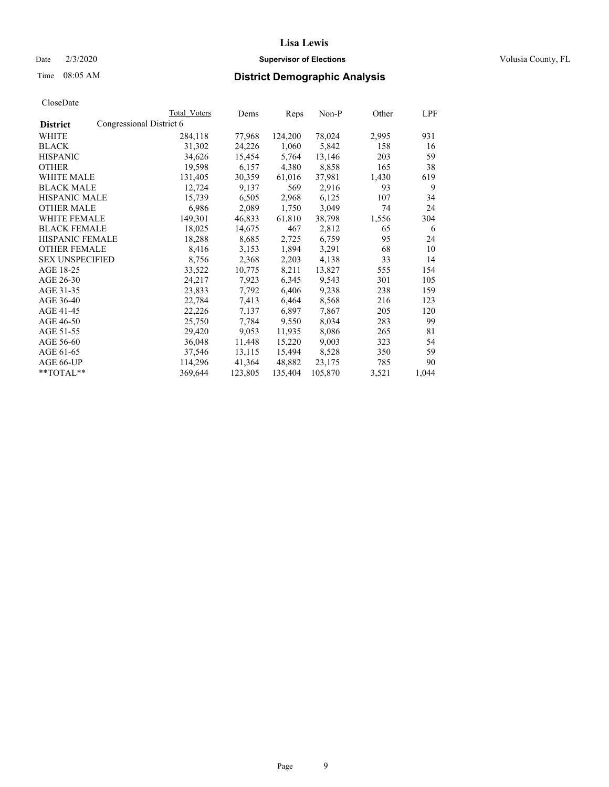### Date  $2/3/2020$  **Supervisor of Elections** Volusia County, FL

| CloseDate |
|-----------|
|-----------|

|                        | Total Voters             | Dems    | Reps    | Non-P   | Other | LPF   |
|------------------------|--------------------------|---------|---------|---------|-------|-------|
| <b>District</b>        | Congressional District 6 |         |         |         |       |       |
| WHITE                  | 284,118                  | 77,968  | 124,200 | 78,024  | 2,995 | 931   |
| <b>BLACK</b>           | 31,302                   | 24,226  | 1,060   | 5,842   | 158   | 16    |
| <b>HISPANIC</b>        | 34,626                   | 15,454  | 5,764   | 13,146  | 203   | 59    |
| <b>OTHER</b>           | 19,598                   | 6,157   | 4,380   | 8,858   | 165   | 38    |
| WHITE MALE             | 131,405                  | 30,359  | 61,016  | 37,981  | 1,430 | 619   |
| <b>BLACK MALE</b>      | 12,724                   | 9,137   | 569     | 2,916   | 93    | 9     |
| <b>HISPANIC MALE</b>   | 15,739                   | 6,505   | 2,968   | 6,125   | 107   | 34    |
| <b>OTHER MALE</b>      | 6,986                    | 2,089   | 1,750   | 3,049   | 74    | 24    |
| <b>WHITE FEMALE</b>    | 149,301                  | 46,833  | 61,810  | 38,798  | 1,556 | 304   |
| <b>BLACK FEMALE</b>    | 18,025                   | 14,675  | 467     | 2,812   | 65    | 6     |
| HISPANIC FEMALE        | 18,288                   | 8,685   | 2,725   | 6,759   | 95    | 24    |
| <b>OTHER FEMALE</b>    | 8,416                    | 3,153   | 1,894   | 3,291   | 68    | 10    |
| <b>SEX UNSPECIFIED</b> | 8,756                    | 2,368   | 2,203   | 4,138   | 33    | 14    |
| AGE 18-25              | 33,522                   | 10,775  | 8,211   | 13,827  | 555   | 154   |
| AGE 26-30              | 24,217                   | 7,923   | 6,345   | 9,543   | 301   | 105   |
| AGE 31-35              | 23,833                   | 7,792   | 6,406   | 9,238   | 238   | 159   |
| AGE 36-40              | 22,784                   | 7,413   | 6,464   | 8,568   | 216   | 123   |
| AGE 41-45              | 22,226                   | 7,137   | 6,897   | 7,867   | 205   | 120   |
| AGE 46-50              | 25,750                   | 7,784   | 9,550   | 8,034   | 283   | 99    |
| AGE 51-55              | 29,420                   | 9,053   | 11,935  | 8,086   | 265   | 81    |
| AGE 56-60              | 36,048                   | 11,448  | 15,220  | 9,003   | 323   | 54    |
| AGE 61-65              | 37,546                   | 13,115  | 15,494  | 8,528   | 350   | 59    |
| AGE 66-UP              | 114,296                  | 41,364  | 48,882  | 23,175  | 785   | 90    |
| $*$ $TOTAL**$          | 369,644                  | 123,805 | 135,404 | 105,870 | 3,521 | 1,044 |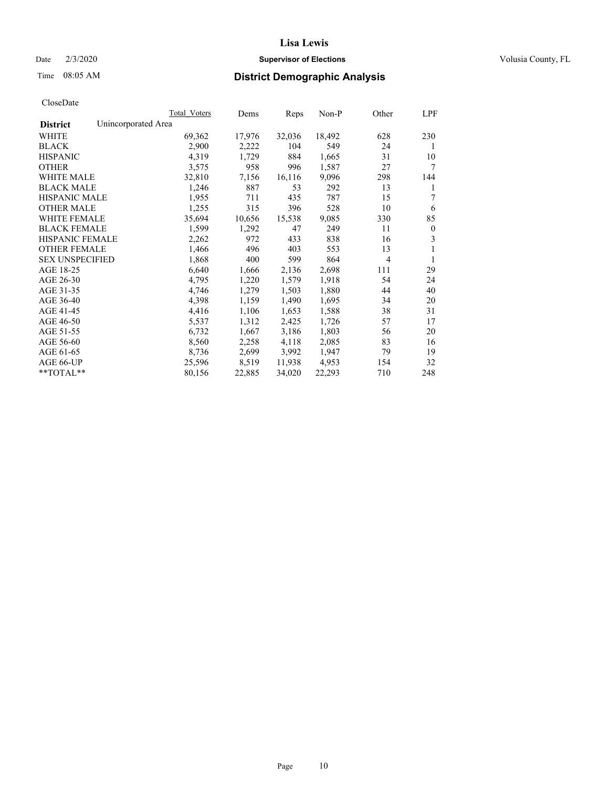### Date  $2/3/2020$  **Supervisor of Elections** Volusia County, FL

# Time 08:05 AM **District Demographic Analysis**

|                                        | Total Voters | Dems   | Reps   | Non-P  | Other | LPF          |
|----------------------------------------|--------------|--------|--------|--------|-------|--------------|
| Unincorporated Area<br><b>District</b> |              |        |        |        |       |              |
| WHITE                                  | 69,362       | 17,976 | 32,036 | 18,492 | 628   | 230          |
| <b>BLACK</b>                           | 2,900        | 2,222  | 104    | 549    | 24    | 1            |
| <b>HISPANIC</b>                        | 4,319        | 1,729  | 884    | 1,665  | 31    | 10           |
| <b>OTHER</b>                           | 3,575        | 958    | 996    | 1,587  | 27    | 7            |
| WHITE MALE                             | 32,810       | 7,156  | 16,116 | 9,096  | 298   | 144          |
| <b>BLACK MALE</b>                      | 1,246        | 887    | 53     | 292    | 13    | 1            |
| <b>HISPANIC MALE</b>                   | 1,955        | 711    | 435    | 787    | 15    | 7            |
| <b>OTHER MALE</b>                      | 1,255        | 315    | 396    | 528    | 10    | 6            |
| WHITE FEMALE                           | 35,694       | 10,656 | 15,538 | 9,085  | 330   | 85           |
| <b>BLACK FEMALE</b>                    | 1,599        | 1,292  | 47     | 249    | 11    | $\mathbf{0}$ |
| <b>HISPANIC FEMALE</b>                 | 2,262        | 972    | 433    | 838    | 16    | 3            |
| <b>OTHER FEMALE</b>                    | 1,466        | 496    | 403    | 553    | 13    | 1            |
| <b>SEX UNSPECIFIED</b>                 | 1,868        | 400    | 599    | 864    | 4     | 1            |
| AGE 18-25                              | 6,640        | 1,666  | 2,136  | 2,698  | 111   | 29           |
| AGE 26-30                              | 4,795        | 1,220  | 1,579  | 1,918  | 54    | 24           |
| AGE 31-35                              | 4,746        | 1,279  | 1,503  | 1,880  | 44    | 40           |
| AGE 36-40                              | 4,398        | 1,159  | 1,490  | 1,695  | 34    | 20           |
| AGE 41-45                              | 4,416        | 1,106  | 1,653  | 1,588  | 38    | 31           |
| AGE 46-50                              | 5,537        | 1,312  | 2,425  | 1,726  | 57    | 17           |
| AGE 51-55                              | 6,732        | 1,667  | 3,186  | 1,803  | 56    | 20           |
| AGE 56-60                              | 8,560        | 2,258  | 4,118  | 2,085  | 83    | 16           |
| AGE 61-65                              | 8,736        | 2,699  | 3,992  | 1,947  | 79    | 19           |
| AGE 66-UP                              | 25,596       | 8,519  | 11,938 | 4,953  | 154   | 32           |
| $*$ $TOTAL**$                          | 80,156       | 22,885 | 34,020 | 22,293 | 710   | 248          |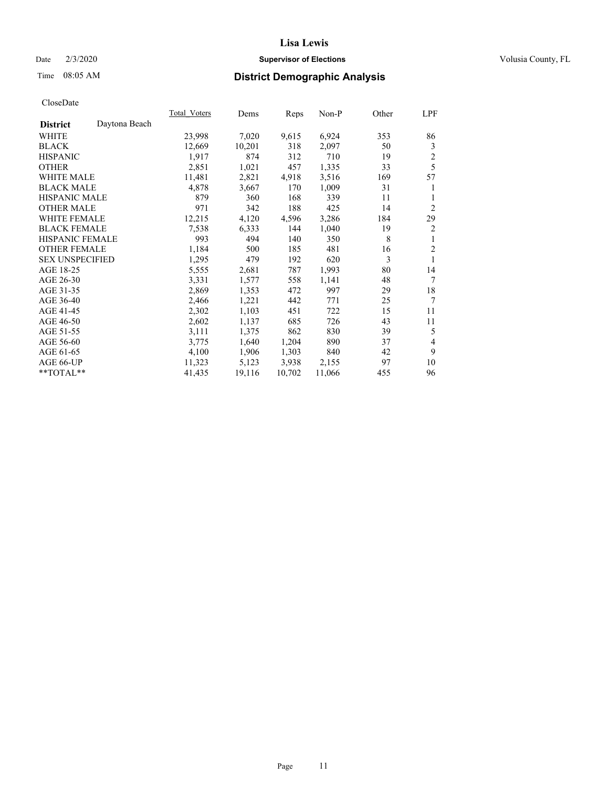### Date  $2/3/2020$  **Supervisor of Elections** Volusia County, FL

# Time 08:05 AM **District Demographic Analysis**

|                        |               | Total Voters | Dems   | Reps   | $Non-P$ | Other | LPF            |
|------------------------|---------------|--------------|--------|--------|---------|-------|----------------|
| <b>District</b>        | Daytona Beach |              |        |        |         |       |                |
| WHITE                  |               | 23,998       | 7,020  | 9,615  | 6,924   | 353   | 86             |
| <b>BLACK</b>           |               | 12,669       | 10,201 | 318    | 2,097   | 50    | 3              |
| <b>HISPANIC</b>        |               | 1,917        | 874    | 312    | 710     | 19    | $\overline{2}$ |
| <b>OTHER</b>           |               | 2,851        | 1,021  | 457    | 1,335   | 33    | 5              |
| WHITE MALE             |               | 11,481       | 2,821  | 4,918  | 3,516   | 169   | 57             |
| <b>BLACK MALE</b>      |               | 4,878        | 3,667  | 170    | 1,009   | 31    | 1              |
| <b>HISPANIC MALE</b>   |               | 879          | 360    | 168    | 339     | 11    | 1              |
| <b>OTHER MALE</b>      |               | 971          | 342    | 188    | 425     | 14    | 2              |
| <b>WHITE FEMALE</b>    |               | 12,215       | 4,120  | 4,596  | 3,286   | 184   | 29             |
| <b>BLACK FEMALE</b>    |               | 7,538        | 6,333  | 144    | 1,040   | 19    | 2              |
| <b>HISPANIC FEMALE</b> |               | 993          | 494    | 140    | 350     | 8     | 1              |
| <b>OTHER FEMALE</b>    |               | 1,184        | 500    | 185    | 481     | 16    | $\overline{2}$ |
| <b>SEX UNSPECIFIED</b> |               | 1,295        | 479    | 192    | 620     | 3     | 1              |
| AGE 18-25              |               | 5,555        | 2,681  | 787    | 1,993   | 80    | 14             |
| AGE 26-30              |               | 3,331        | 1,577  | 558    | 1,141   | 48    | 7              |
| AGE 31-35              |               | 2,869        | 1,353  | 472    | 997     | 29    | 18             |
| AGE 36-40              |               | 2,466        | 1,221  | 442    | 771     | 25    | 7              |
| AGE 41-45              |               | 2,302        | 1,103  | 451    | 722     | 15    | 11             |
| AGE 46-50              |               | 2,602        | 1,137  | 685    | 726     | 43    | 11             |
| AGE 51-55              |               | 3,111        | 1,375  | 862    | 830     | 39    | 5              |
| AGE 56-60              |               | 3,775        | 1,640  | 1,204  | 890     | 37    | 4              |
| AGE 61-65              |               | 4,100        | 1,906  | 1,303  | 840     | 42    | 9              |
| AGE 66-UP              |               | 11,323       | 5,123  | 3,938  | 2,155   | 97    | 10             |
| $*$ TOTAL $*$          |               | 41,435       | 19,116 | 10,702 | 11,066  | 455   | 96             |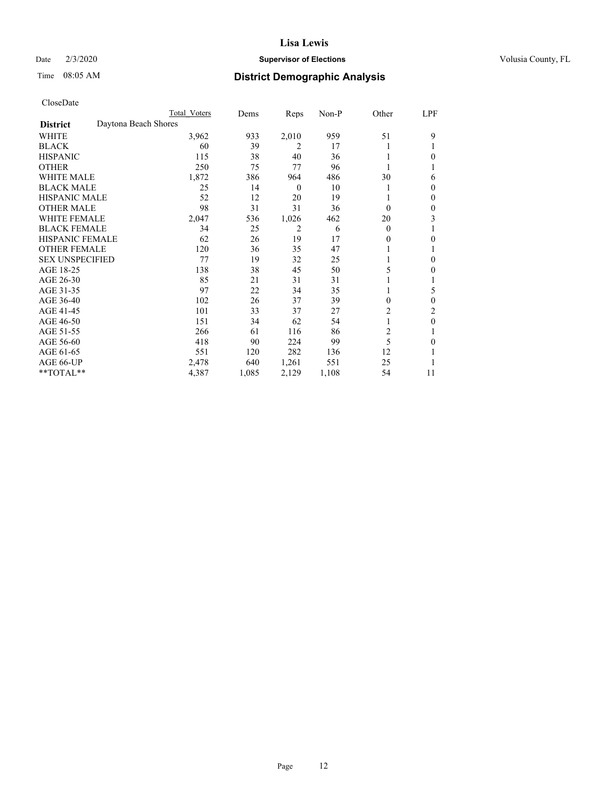## Date  $2/3/2020$  **Supervisor of Elections** Volusia County, FL

# Time 08:05 AM **District Demographic Analysis**

|                        | Total Voters         | Dems  | Reps             | Non-P | Other          | LPF          |
|------------------------|----------------------|-------|------------------|-------|----------------|--------------|
| <b>District</b>        | Daytona Beach Shores |       |                  |       |                |              |
| <b>WHITE</b>           | 3,962                | 933   | 2,010            | 959   | 51             | 9            |
| <b>BLACK</b>           | 60                   | 39    | 2                | 17    |                |              |
| <b>HISPANIC</b>        | 115                  | 38    | 40               | 36    |                | $\theta$     |
| <b>OTHER</b>           | 250                  | 75    | 77               | 96    |                |              |
| <b>WHITE MALE</b>      | 1,872                | 386   | 964              | 486   | 30             | 6            |
| <b>BLACK MALE</b>      | 25                   | 14    | $\boldsymbol{0}$ | 10    |                | $\mathbf{0}$ |
| <b>HISPANIC MALE</b>   | 52                   | 12    | 20               | 19    |                | $\mathbf{0}$ |
| <b>OTHER MALE</b>      | 98                   | 31    | 31               | 36    | $\theta$       | $\theta$     |
| <b>WHITE FEMALE</b>    | 2,047                | 536   | 1,026            | 462   | 20             | 3            |
| <b>BLACK FEMALE</b>    | 34                   | 25    | 2                | 6     | $\theta$       |              |
| <b>HISPANIC FEMALE</b> | 62                   | 26    | 19               | 17    | 0              | $\theta$     |
| <b>OTHER FEMALE</b>    | 120                  | 36    | 35               | 47    |                |              |
| <b>SEX UNSPECIFIED</b> | 77                   | 19    | 32               | 25    |                | $\theta$     |
| AGE 18-25              | 138                  | 38    | 45               | 50    | 5              | $\theta$     |
| AGE 26-30              | 85                   | 21    | 31               | 31    |                | 1            |
| AGE 31-35              | 97                   | 22    | 34               | 35    |                | 5            |
| AGE 36-40              | 102                  | 26    | 37               | 39    | 0              | $\theta$     |
| AGE 41-45              | 101                  | 33    | 37               | 27    | 2              | 2            |
| AGE 46-50              | 151                  | 34    | 62               | 54    |                | $\theta$     |
| AGE 51-55              | 266                  | 61    | 116              | 86    | $\overline{c}$ | 1            |
| AGE 56-60              | 418                  | 90    | 224              | 99    | 5              | $\theta$     |
| AGE 61-65              | 551                  | 120   | 282              | 136   | 12             | 1            |
| AGE 66-UP              | 2,478                | 640   | 1,261            | 551   | 25             |              |
| **TOTAL**              | 4,387                | 1,085 | 2,129            | 1,108 | 54             | 11           |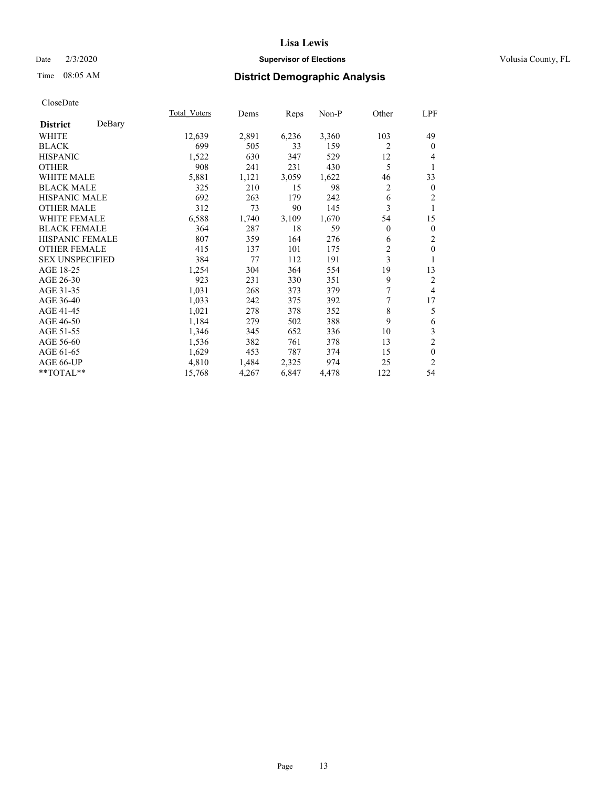## Date  $2/3/2020$  **Supervisor of Elections** Volusia County, FL

# Time 08:05 AM **District Demographic Analysis**

|                        |        | Total Voters | Dems  | Reps  | Non-P | Other          | LPF            |
|------------------------|--------|--------------|-------|-------|-------|----------------|----------------|
| <b>District</b>        | DeBary |              |       |       |       |                |                |
| WHITE                  |        | 12,639       | 2,891 | 6,236 | 3,360 | 103            | 49             |
| <b>BLACK</b>           |        | 699          | 505   | 33    | 159   | 2              | $\mathbf{0}$   |
| <b>HISPANIC</b>        |        | 1,522        | 630   | 347   | 529   | 12             | 4              |
| <b>OTHER</b>           |        | 908          | 241   | 231   | 430   | 5              | 1              |
| WHITE MALE             |        | 5,881        | 1,121 | 3,059 | 1,622 | 46             | 33             |
| <b>BLACK MALE</b>      |        | 325          | 210   | 15    | 98    | 2              | $\mathbf{0}$   |
| <b>HISPANIC MALE</b>   |        | 692          | 263   | 179   | 242   | 6              | 2              |
| <b>OTHER MALE</b>      |        | 312          | 73    | 90    | 145   | 3              | 1              |
| WHITE FEMALE           |        | 6,588        | 1,740 | 3,109 | 1,670 | 54             | 15             |
| <b>BLACK FEMALE</b>    |        | 364          | 287   | 18    | 59    | $\overline{0}$ | $\mathbf{0}$   |
| <b>HISPANIC FEMALE</b> |        | 807          | 359   | 164   | 276   | 6              | 2              |
| <b>OTHER FEMALE</b>    |        | 415          | 137   | 101   | 175   | $\overline{c}$ | $\theta$       |
| <b>SEX UNSPECIFIED</b> |        | 384          | 77    | 112   | 191   | 3              | 1              |
| AGE 18-25              |        | 1,254        | 304   | 364   | 554   | 19             | 13             |
| AGE 26-30              |        | 923          | 231   | 330   | 351   | 9              | 2              |
| AGE 31-35              |        | 1,031        | 268   | 373   | 379   | 7              | $\overline{4}$ |
| AGE 36-40              |        | 1,033        | 242   | 375   | 392   | 7              | 17             |
| AGE 41-45              |        | 1,021        | 278   | 378   | 352   | 8              | 5              |
| AGE 46-50              |        | 1,184        | 279   | 502   | 388   | 9              | 6              |
| AGE 51-55              |        | 1,346        | 345   | 652   | 336   | 10             | 3              |
| AGE 56-60              |        | 1,536        | 382   | 761   | 378   | 13             | $\overline{c}$ |
| AGE 61-65              |        | 1,629        | 453   | 787   | 374   | 15             | $\mathbf{0}$   |
| AGE 66-UP              |        | 4,810        | 1,484 | 2,325 | 974   | 25             | 2              |
| $*$ $TOTAL**$          |        | 15,768       | 4,267 | 6,847 | 4,478 | 122            | 54             |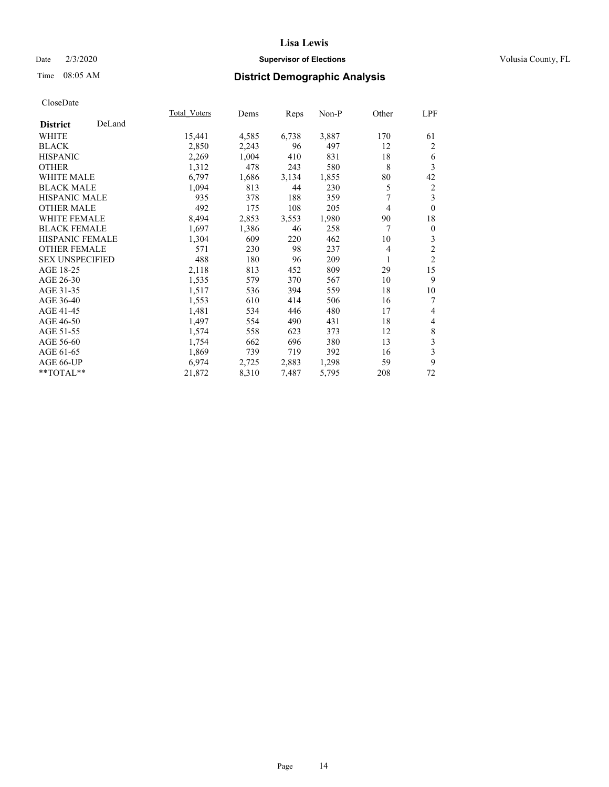## Date  $2/3/2020$  **Supervisor of Elections** Volusia County, FL

# Time 08:05 AM **District Demographic Analysis**

|                        |        | Total Voters | Dems  | Reps  | Non-P | Other          | LPF                     |
|------------------------|--------|--------------|-------|-------|-------|----------------|-------------------------|
| <b>District</b>        | DeLand |              |       |       |       |                |                         |
| WHITE                  |        | 15,441       | 4,585 | 6,738 | 3,887 | 170            | 61                      |
| <b>BLACK</b>           |        | 2,850        | 2,243 | 96    | 497   | 12             | 2                       |
| <b>HISPANIC</b>        |        | 2,269        | 1,004 | 410   | 831   | 18             | 6                       |
| <b>OTHER</b>           |        | 1,312        | 478   | 243   | 580   | 8              | 3                       |
| WHITE MALE             |        | 6,797        | 1,686 | 3,134 | 1,855 | 80             | 42                      |
| <b>BLACK MALE</b>      |        | 1,094        | 813   | 44    | 230   | 5              | 2                       |
| <b>HISPANIC MALE</b>   |        | 935          | 378   | 188   | 359   | 7              | 3                       |
| <b>OTHER MALE</b>      |        | 492          | 175   | 108   | 205   | 4              | $\mathbf{0}$            |
| WHITE FEMALE           |        | 8,494        | 2,853 | 3,553 | 1,980 | 90             | 18                      |
| <b>BLACK FEMALE</b>    |        | 1,697        | 1,386 | 46    | 258   | 7              | $\boldsymbol{0}$        |
| <b>HISPANIC FEMALE</b> |        | 1,304        | 609   | 220   | 462   | 10             | 3                       |
| <b>OTHER FEMALE</b>    |        | 571          | 230   | 98    | 237   | $\overline{4}$ | $\overline{2}$          |
| <b>SEX UNSPECIFIED</b> |        | 488          | 180   | 96    | 209   | 1              | $\overline{2}$          |
| AGE 18-25              |        | 2,118        | 813   | 452   | 809   | 29             | 15                      |
| AGE 26-30              |        | 1,535        | 579   | 370   | 567   | 10             | 9                       |
| AGE 31-35              |        | 1,517        | 536   | 394   | 559   | 18             | 10                      |
| AGE 36-40              |        | 1,553        | 610   | 414   | 506   | 16             | 7                       |
| AGE 41-45              |        | 1,481        | 534   | 446   | 480   | 17             | 4                       |
| AGE 46-50              |        | 1,497        | 554   | 490   | 431   | 18             | 4                       |
| AGE 51-55              |        | 1,574        | 558   | 623   | 373   | 12             | 8                       |
| AGE 56-60              |        | 1,754        | 662   | 696   | 380   | 13             | $\overline{\mathbf{3}}$ |
| AGE 61-65              |        | 1,869        | 739   | 719   | 392   | 16             | 3                       |
| AGE 66-UP              |        | 6,974        | 2,725 | 2,883 | 1,298 | 59             | 9                       |
| **TOTAL**              |        | 21,872       | 8,310 | 7,487 | 5,795 | 208            | 72                      |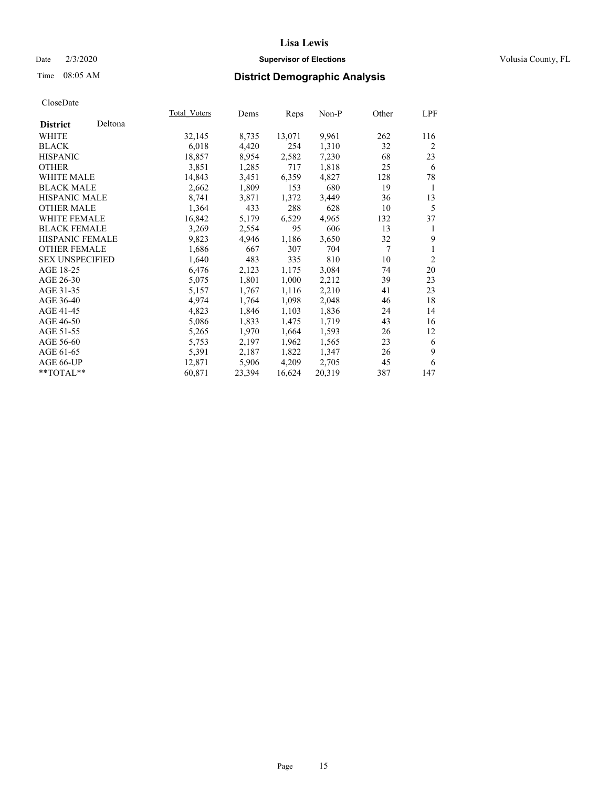## Date  $2/3/2020$  **Supervisor of Elections** Volusia County, FL

# Time 08:05 AM **District Demographic Analysis**

|                        |         | Total Voters | Dems   | Reps   | $Non-P$ | Other | LPF            |
|------------------------|---------|--------------|--------|--------|---------|-------|----------------|
| <b>District</b>        | Deltona |              |        |        |         |       |                |
| WHITE                  |         | 32,145       | 8,735  | 13,071 | 9,961   | 262   | 116            |
| <b>BLACK</b>           |         | 6,018        | 4,420  | 254    | 1,310   | 32    | 2              |
| <b>HISPANIC</b>        |         | 18,857       | 8,954  | 2,582  | 7,230   | 68    | 23             |
| <b>OTHER</b>           |         | 3,851        | 1,285  | 717    | 1,818   | 25    | 6              |
| WHITE MALE             |         | 14,843       | 3,451  | 6,359  | 4,827   | 128   | 78             |
| <b>BLACK MALE</b>      |         | 2,662        | 1,809  | 153    | 680     | 19    | 1              |
| <b>HISPANIC MALE</b>   |         | 8,741        | 3,871  | 1,372  | 3,449   | 36    | 13             |
| <b>OTHER MALE</b>      |         | 1,364        | 433    | 288    | 628     | 10    | 5              |
| <b>WHITE FEMALE</b>    |         | 16,842       | 5,179  | 6,529  | 4,965   | 132   | 37             |
| <b>BLACK FEMALE</b>    |         | 3,269        | 2,554  | 95     | 606     | 13    | 1              |
| <b>HISPANIC FEMALE</b> |         | 9,823        | 4,946  | 1,186  | 3,650   | 32    | 9              |
| <b>OTHER FEMALE</b>    |         | 1,686        | 667    | 307    | 704     | 7     | 1              |
| <b>SEX UNSPECIFIED</b> |         | 1,640        | 483    | 335    | 810     | 10    | $\overline{2}$ |
| AGE 18-25              |         | 6,476        | 2,123  | 1,175  | 3,084   | 74    | 20             |
| AGE 26-30              |         | 5,075        | 1,801  | 1,000  | 2,212   | 39    | 23             |
| AGE 31-35              |         | 5,157        | 1,767  | 1,116  | 2,210   | 41    | 23             |
| AGE 36-40              |         | 4,974        | 1,764  | 1,098  | 2,048   | 46    | 18             |
| AGE 41-45              |         | 4,823        | 1,846  | 1,103  | 1,836   | 24    | 14             |
| AGE 46-50              |         | 5,086        | 1,833  | 1,475  | 1,719   | 43    | 16             |
| AGE 51-55              |         | 5,265        | 1,970  | 1,664  | 1,593   | 26    | 12             |
| AGE 56-60              |         | 5,753        | 2,197  | 1,962  | 1,565   | 23    | 6              |
| AGE 61-65              |         | 5,391        | 2,187  | 1,822  | 1,347   | 26    | 9              |
| AGE 66-UP              |         | 12,871       | 5,906  | 4,209  | 2,705   | 45    | 6              |
| **TOTAL**              |         | 60,871       | 23,394 | 16,624 | 20,319  | 387   | 147            |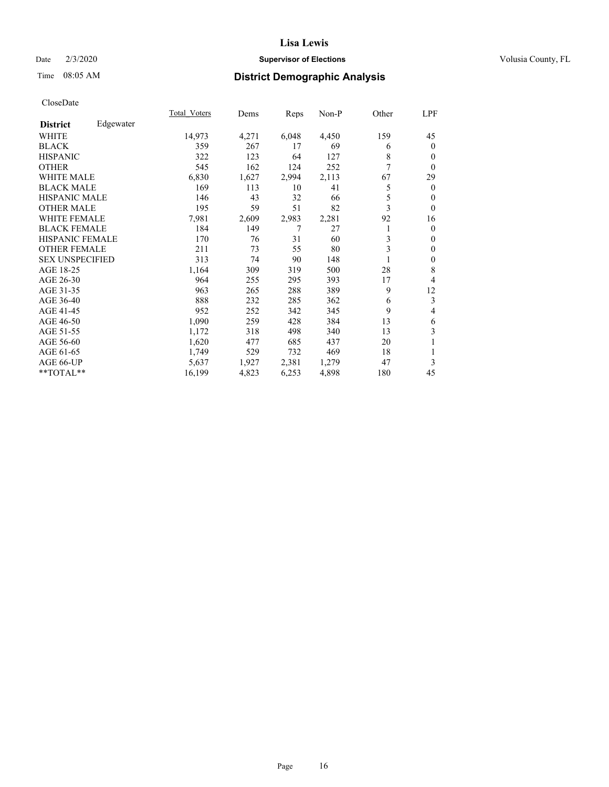## Date  $2/3/2020$  **Supervisor of Elections** Volusia County, FL

# Time 08:05 AM **District Demographic Analysis**

|                        |           | Total Voters | Dems  | Reps  | Non-P | Other | LPF            |
|------------------------|-----------|--------------|-------|-------|-------|-------|----------------|
| <b>District</b>        | Edgewater |              |       |       |       |       |                |
| WHITE                  |           | 14,973       | 4,271 | 6,048 | 4,450 | 159   | 45             |
| <b>BLACK</b>           |           | 359          | 267   | 17    | 69    | 6     | $\overline{0}$ |
| <b>HISPANIC</b>        |           | 322          | 123   | 64    | 127   | 8     | 0              |
| <b>OTHER</b>           |           | 545          | 162   | 124   | 252   | 7     | $\theta$       |
| WHITE MALE             |           | 6,830        | 1,627 | 2,994 | 2,113 | 67    | 29             |
| <b>BLACK MALE</b>      |           | 169          | 113   | 10    | 41    | 5     | $\theta$       |
| <b>HISPANIC MALE</b>   |           | 146          | 43    | 32    | 66    | 5     | 0              |
| <b>OTHER MALE</b>      |           | 195          | 59    | 51    | 82    | 3     | $\theta$       |
| <b>WHITE FEMALE</b>    |           | 7,981        | 2,609 | 2,983 | 2,281 | 92    | 16             |
| <b>BLACK FEMALE</b>    |           | 184          | 149   | 7     | 27    | 1     | $\overline{0}$ |
| <b>HISPANIC FEMALE</b> |           | 170          | 76    | 31    | 60    | 3     | 0              |
| <b>OTHER FEMALE</b>    |           | 211          | 73    | 55    | 80    | 3     | $\mathbf{0}$   |
| <b>SEX UNSPECIFIED</b> |           | 313          | 74    | 90    | 148   |       | 0              |
| AGE 18-25              |           | 1,164        | 309   | 319   | 500   | 28    | 8              |
| AGE 26-30              |           | 964          | 255   | 295   | 393   | 17    | 4              |
| AGE 31-35              |           | 963          | 265   | 288   | 389   | 9     | 12             |
| AGE 36-40              |           | 888          | 232   | 285   | 362   | 6     | 3              |
| AGE 41-45              |           | 952          | 252   | 342   | 345   | 9     | 4              |
| AGE 46-50              |           | 1,090        | 259   | 428   | 384   | 13    | 6              |
| AGE 51-55              |           | 1,172        | 318   | 498   | 340   | 13    | 3              |
| AGE 56-60              |           | 1,620        | 477   | 685   | 437   | 20    |                |
| AGE 61-65              |           | 1,749        | 529   | 732   | 469   | 18    | 1              |
| AGE 66-UP              |           | 5,637        | 1,927 | 2,381 | 1,279 | 47    | 3              |
| **TOTAL**              |           | 16,199       | 4,823 | 6,253 | 4,898 | 180   | 45             |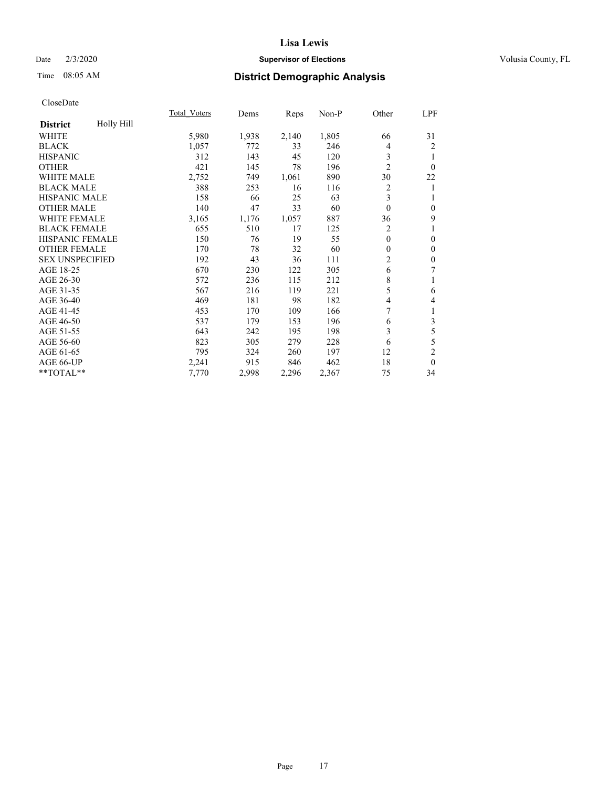## Date  $2/3/2020$  **Supervisor of Elections** Volusia County, FL

# Time 08:05 AM **District Demographic Analysis**

|                        |            | Total Voters | Dems  | Reps  | Non-P | Other          | LPF              |
|------------------------|------------|--------------|-------|-------|-------|----------------|------------------|
| <b>District</b>        | Holly Hill |              |       |       |       |                |                  |
| WHITE                  |            | 5,980        | 1,938 | 2,140 | 1,805 | 66             | 31               |
| <b>BLACK</b>           |            | 1,057        | 772   | 33    | 246   | 4              | $\overline{2}$   |
| <b>HISPANIC</b>        |            | 312          | 143   | 45    | 120   | 3              | 1                |
| <b>OTHER</b>           |            | 421          | 145   | 78    | 196   | $\overline{2}$ | $\theta$         |
| <b>WHITE MALE</b>      |            | 2,752        | 749   | 1,061 | 890   | 30             | 22               |
| <b>BLACK MALE</b>      |            | 388          | 253   | 16    | 116   | 2              | 1                |
| <b>HISPANIC MALE</b>   |            | 158          | 66    | 25    | 63    | 3              | 1                |
| <b>OTHER MALE</b>      |            | 140          | 47    | 33    | 60    | $\mathbf{0}$   | $\mathbf{0}$     |
| <b>WHITE FEMALE</b>    |            | 3,165        | 1,176 | 1,057 | 887   | 36             | 9                |
| <b>BLACK FEMALE</b>    |            | 655          | 510   | 17    | 125   | 2              | 1                |
| <b>HISPANIC FEMALE</b> |            | 150          | 76    | 19    | 55    | $\theta$       | $\mathbf{0}$     |
| <b>OTHER FEMALE</b>    |            | 170          | 78    | 32    | 60    | $\theta$       | $\mathbf{0}$     |
| <b>SEX UNSPECIFIED</b> |            | 192          | 43    | 36    | 111   | $\overline{c}$ | $\boldsymbol{0}$ |
| AGE 18-25              |            | 670          | 230   | 122   | 305   | 6              | 7                |
| AGE 26-30              |            | 572          | 236   | 115   | 212   | 8              | 1                |
| AGE 31-35              |            | 567          | 216   | 119   | 221   | 5              | 6                |
| AGE 36-40              |            | 469          | 181   | 98    | 182   | 4              | $\overline{4}$   |
| AGE 41-45              |            | 453          | 170   | 109   | 166   | 7              | 1                |
| AGE 46-50              |            | 537          | 179   | 153   | 196   | 6              | 3                |
| AGE 51-55              |            | 643          | 242   | 195   | 198   | 3              | 5                |
| AGE 56-60              |            | 823          | 305   | 279   | 228   | 6              | 5                |
| AGE 61-65              |            | 795          | 324   | 260   | 197   | 12             | $\overline{c}$   |
| AGE 66-UP              |            | 2,241        | 915   | 846   | 462   | 18             | $\theta$         |
| **TOTAL**              |            | 7,770        | 2,998 | 2,296 | 2,367 | 75             | 34               |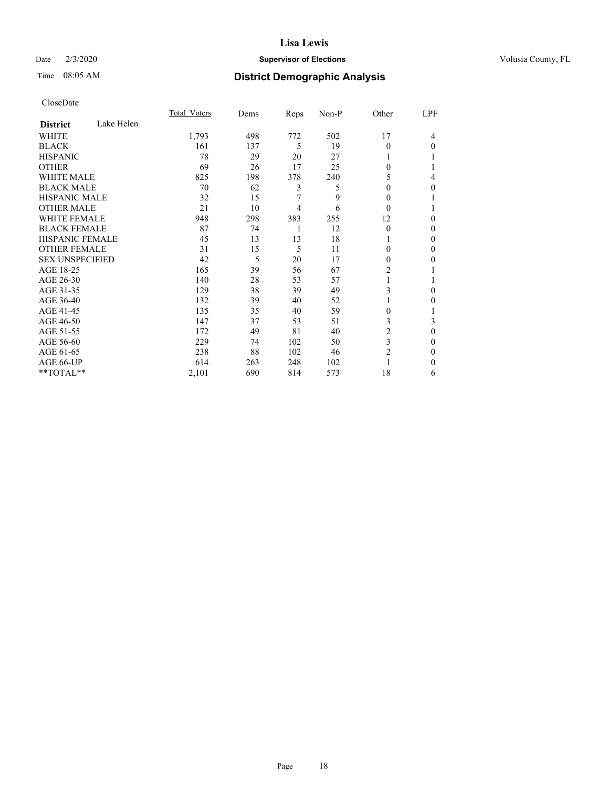### Date  $2/3/2020$  **Supervisor of Elections** Volusia County, FL

# Time 08:05 AM **District Demographic Analysis**

|                        |            | Total Voters | Dems | Reps | Non-P | Other          | LPF          |
|------------------------|------------|--------------|------|------|-------|----------------|--------------|
| <b>District</b>        | Lake Helen |              |      |      |       |                |              |
| WHITE                  |            | 1,793        | 498  | 772  | 502   | 17             | 4            |
| <b>BLACK</b>           |            | 161          | 137  | 5    | 19    | $\theta$       | $\Omega$     |
| <b>HISPANIC</b>        |            | 78           | 29   | 20   | 27    |                |              |
| <b>OTHER</b>           |            | 69           | 26   | 17   | 25    | 0              |              |
| WHITE MALE             |            | 825          | 198  | 378  | 240   | 5              | 4            |
| <b>BLACK MALE</b>      |            | 70           | 62   | 3    | 5     | $\Omega$       | 0            |
| <b>HISPANIC MALE</b>   |            | 32           | 15   | 7    | 9     | $\Omega$       |              |
| <b>OTHER MALE</b>      |            | 21           | 10   | 4    | 6     | $\theta$       |              |
| <b>WHITE FEMALE</b>    |            | 948          | 298  | 383  | 255   | 12             | 0            |
| <b>BLACK FEMALE</b>    |            | 87           | 74   | 1    | 12    | $\theta$       | 0            |
| <b>HISPANIC FEMALE</b> |            | 45           | 13   | 13   | 18    |                | 0            |
| <b>OTHER FEMALE</b>    |            | 31           | 15   | 5    | 11    | 0              | 0            |
| <b>SEX UNSPECIFIED</b> |            | 42           | 5    | 20   | 17    | $\Omega$       | 0            |
| AGE 18-25              |            | 165          | 39   | 56   | 67    | 2              |              |
| AGE 26-30              |            | 140          | 28   | 53   | 57    | 1              |              |
| AGE 31-35              |            | 129          | 38   | 39   | 49    | 3              | 0            |
| AGE 36-40              |            | 132          | 39   | 40   | 52    |                | 0            |
| AGE 41-45              |            | 135          | 35   | 40   | 59    | 0              |              |
| AGE 46-50              |            | 147          | 37   | 53   | 51    | 3              | 3            |
| AGE 51-55              |            | 172          | 49   | 81   | 40    | 2              | 0            |
| AGE 56-60              |            | 229          | 74   | 102  | 50    | 3              | 0            |
| AGE 61-65              |            | 238          | 88   | 102  | 46    | $\overline{2}$ | $\mathbf{0}$ |
| AGE 66-UP              |            | 614          | 263  | 248  | 102   |                | 0            |
| **TOTAL**              |            | 2,101        | 690  | 814  | 573   | 18             | 6            |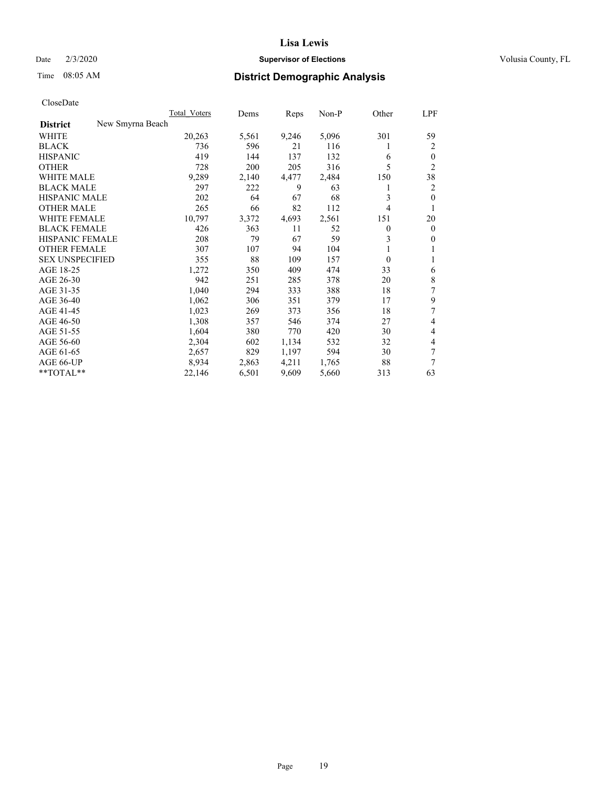## Date  $2/3/2020$  **Supervisor of Elections** Volusia County, FL

# Time 08:05 AM **District Demographic Analysis**

|                                     | Total Voters | Dems  | Reps  | $Non-P$ | Other            | LPF            |
|-------------------------------------|--------------|-------|-------|---------|------------------|----------------|
| New Smyrna Beach<br><b>District</b> |              |       |       |         |                  |                |
| WHITE                               | 20,263       | 5,561 | 9,246 | 5,096   | 301              | 59             |
| <b>BLACK</b>                        | 736          | 596   | 21    | 116     | 1                | 2              |
| <b>HISPANIC</b>                     | 419          | 144   | 137   | 132     | 6                | $\theta$       |
| <b>OTHER</b>                        | 728          | 200   | 205   | 316     | 5                | $\overline{2}$ |
| <b>WHITE MALE</b>                   | 9,289        | 2,140 | 4,477 | 2,484   | 150              | 38             |
| <b>BLACK MALE</b>                   | 297          | 222   | 9     | 63      | 1                | 2              |
| <b>HISPANIC MALE</b>                | 202          | 64    | 67    | 68      | 3                | $\theta$       |
| <b>OTHER MALE</b>                   | 265          | 66    | 82    | 112     | 4                | 1              |
| <b>WHITE FEMALE</b>                 | 10,797       | 3,372 | 4,693 | 2,561   | 151              | 20             |
| <b>BLACK FEMALE</b>                 | 426          | 363   | 11    | 52      | $\boldsymbol{0}$ | $\mathbf{0}$   |
| HISPANIC FEMALE                     | 208          | 79    | 67    | 59      | 3                | $\mathbf{0}$   |
| <b>OTHER FEMALE</b>                 | 307          | 107   | 94    | 104     | 1                | 1              |
| <b>SEX UNSPECIFIED</b>              | 355          | 88    | 109   | 157     | $\theta$         | 1              |
| AGE 18-25                           | 1,272        | 350   | 409   | 474     | 33               | 6              |
| AGE 26-30                           | 942          | 251   | 285   | 378     | 20               | 8              |
| AGE 31-35                           | 1,040        | 294   | 333   | 388     | 18               | 7              |
| AGE 36-40                           | 1,062        | 306   | 351   | 379     | 17               | 9              |
| AGE 41-45                           | 1,023        | 269   | 373   | 356     | 18               | 7              |
| AGE 46-50                           | 1,308        | 357   | 546   | 374     | 27               | 4              |
| AGE 51-55                           | 1,604        | 380   | 770   | 420     | 30               | 4              |
| AGE 56-60                           | 2,304        | 602   | 1,134 | 532     | 32               | 4              |
| AGE 61-65                           | 2,657        | 829   | 1,197 | 594     | 30               | 7              |
| AGE 66-UP                           | 8,934        | 2,863 | 4,211 | 1,765   | 88               | 7              |
| **TOTAL**                           | 22,146       | 6,501 | 9,609 | 5,660   | 313              | 63             |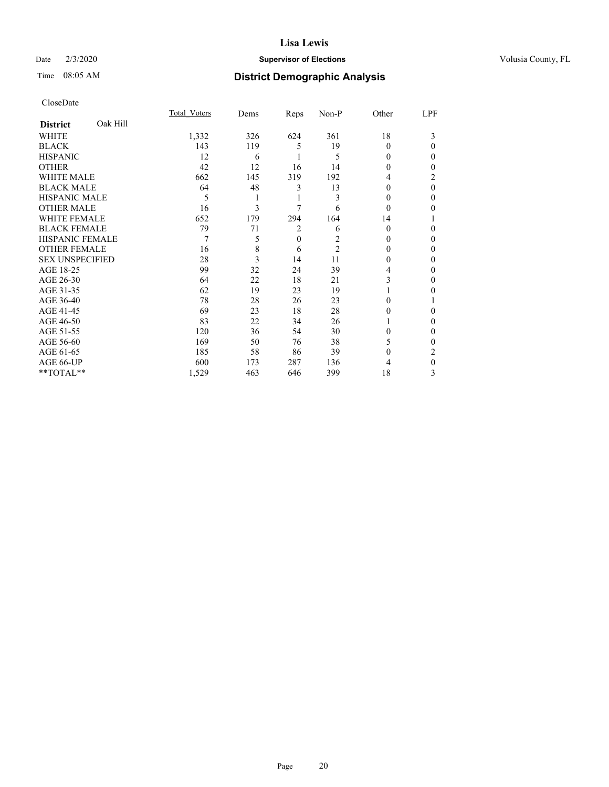## Date  $2/3/2020$  **Supervisor of Elections** Volusia County, FL

# Time 08:05 AM **District Demographic Analysis**

|                        |          | Total Voters | Dems | Reps           | Non-P          | Other    | LPF      |
|------------------------|----------|--------------|------|----------------|----------------|----------|----------|
| <b>District</b>        | Oak Hill |              |      |                |                |          |          |
| WHITE                  |          | 1,332        | 326  | 624            | 361            | 18       | 3        |
| <b>BLACK</b>           |          | 143          | 119  | 5              | 19             | 0        | 0        |
| <b>HISPANIC</b>        |          | 12           | 6    |                | 5              | 0        | 0        |
| <b>OTHER</b>           |          | 42           | 12   | 16             | 14             | $\Omega$ | 0        |
| WHITE MALE             |          | 662          | 145  | 319            | 192            | 4        | 2        |
| <b>BLACK MALE</b>      |          | 64           | 48   | 3              | 13             | $\theta$ | $\theta$ |
| <b>HISPANIC MALE</b>   |          | 5            |      | 1              | 3              | $\theta$ | 0        |
| <b>OTHER MALE</b>      |          | 16           | 3    | 7              | 6              | $\Omega$ | 0        |
| WHITE FEMALE           |          | 652          | 179  | 294            | 164            | 14       |          |
| <b>BLACK FEMALE</b>    |          | 79           | 71   | 2              | 6              | $\Omega$ | 0        |
| <b>HISPANIC FEMALE</b> |          | 7            | 5    | $\overline{0}$ | 2              | $\Omega$ | 0        |
| <b>OTHER FEMALE</b>    |          | 16           | 8    | 6              | $\overline{2}$ | $\Omega$ | 0        |
| <b>SEX UNSPECIFIED</b> |          | 28           | 3    | 14             | 11             | $\Omega$ | 0        |
| AGE 18-25              |          | 99           | 32   | 24             | 39             | 4        | 0        |
| AGE 26-30              |          | 64           | 22   | 18             | 21             | 3        | 0        |
| AGE 31-35              |          | 62           | 19   | 23             | 19             |          | 0        |
| AGE 36-40              |          | 78           | 28   | 26             | 23             | 0        |          |
| AGE 41-45              |          | 69           | 23   | 18             | 28             | $\theta$ | 0        |
| AGE 46-50              |          | 83           | 22   | 34             | 26             |          | 0        |
| AGE 51-55              |          | 120          | 36   | 54             | 30             | 0        | 0        |
| AGE 56-60              |          | 169          | 50   | 76             | 38             | 5        | 0        |
| AGE 61-65              |          | 185          | 58   | 86             | 39             | $\theta$ | 2        |
| AGE 66-UP              |          | 600          | 173  | 287            | 136            | 4        | 0        |
| **TOTAL**              |          | 1,529        | 463  | 646            | 399            | 18       | 3        |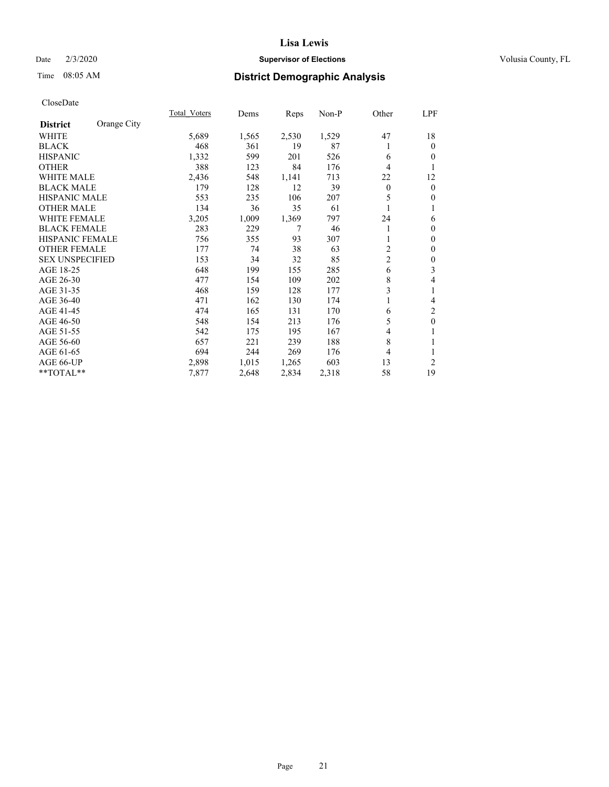## Date  $2/3/2020$  **Supervisor of Elections** Volusia County, FL

# Time 08:05 AM **District Demographic Analysis**

|                        |             | Total Voters | Dems  | Reps  | Non-P | Other          | LPF          |
|------------------------|-------------|--------------|-------|-------|-------|----------------|--------------|
| <b>District</b>        | Orange City |              |       |       |       |                |              |
| WHITE                  |             | 5,689        | 1,565 | 2,530 | 1,529 | 47             | 18           |
| <b>BLACK</b>           |             | 468          | 361   | 19    | 87    |                | $\mathbf{0}$ |
| <b>HISPANIC</b>        |             | 1,332        | 599   | 201   | 526   | 6              | $\theta$     |
| <b>OTHER</b>           |             | 388          | 123   | 84    | 176   | 4              | 1            |
| <b>WHITE MALE</b>      |             | 2,436        | 548   | 1,141 | 713   | 22             | 12           |
| <b>BLACK MALE</b>      |             | 179          | 128   | 12    | 39    | $\mathbf{0}$   | $\mathbf{0}$ |
| <b>HISPANIC MALE</b>   |             | 553          | 235   | 106   | 207   | 5              | $\mathbf{0}$ |
| <b>OTHER MALE</b>      |             | 134          | 36    | 35    | 61    |                | 1            |
| <b>WHITE FEMALE</b>    |             | 3,205        | 1,009 | 1,369 | 797   | 24             | 6            |
| <b>BLACK FEMALE</b>    |             | 283          | 229   | 7     | 46    |                | $\mathbf{0}$ |
| <b>HISPANIC FEMALE</b> |             | 756          | 355   | 93    | 307   |                | $\mathbf{0}$ |
| <b>OTHER FEMALE</b>    |             | 177          | 74    | 38    | 63    | $\overline{c}$ | $\theta$     |
| <b>SEX UNSPECIFIED</b> |             | 153          | 34    | 32    | 85    | $\overline{c}$ | $\mathbf{0}$ |
| AGE 18-25              |             | 648          | 199   | 155   | 285   | 6              | 3            |
| AGE 26-30              |             | 477          | 154   | 109   | 202   | 8              | 4            |
| AGE 31-35              |             | 468          | 159   | 128   | 177   | 3              | 1            |
| AGE 36-40              |             | 471          | 162   | 130   | 174   |                | 4            |
| AGE 41-45              |             | 474          | 165   | 131   | 170   | 6              | 2            |
| AGE 46-50              |             | 548          | 154   | 213   | 176   | 5              | $\theta$     |
| AGE 51-55              |             | 542          | 175   | 195   | 167   | 4              | 1            |
| AGE 56-60              |             | 657          | 221   | 239   | 188   | 8              | 1            |
| AGE 61-65              |             | 694          | 244   | 269   | 176   | 4              | 1            |
| AGE 66-UP              |             | 2,898        | 1,015 | 1,265 | 603   | 13             | 2            |
| **TOTAL**              |             | 7,877        | 2,648 | 2,834 | 2,318 | 58             | 19           |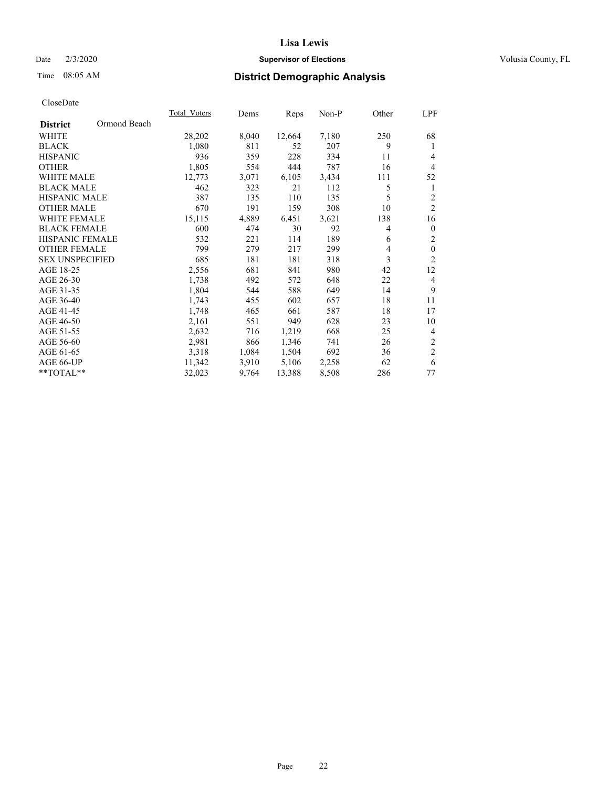## Date  $2/3/2020$  **Supervisor of Elections** Volusia County, FL

# Time 08:05 AM **District Demographic Analysis**

|                        |              | Total Voters | Dems  | Reps   | Non-P | Other | LPF              |
|------------------------|--------------|--------------|-------|--------|-------|-------|------------------|
| <b>District</b>        | Ormond Beach |              |       |        |       |       |                  |
| WHITE                  |              | 28,202       | 8,040 | 12,664 | 7,180 | 250   | 68               |
| <b>BLACK</b>           |              | 1,080        | 811   | 52     | 207   | 9     | 1                |
| <b>HISPANIC</b>        |              | 936          | 359   | 228    | 334   | 11    | $\overline{4}$   |
| <b>OTHER</b>           |              | 1,805        | 554   | 444    | 787   | 16    | $\overline{4}$   |
| <b>WHITE MALE</b>      |              | 12,773       | 3,071 | 6,105  | 3,434 | 111   | 52               |
| <b>BLACK MALE</b>      |              | 462          | 323   | 21     | 112   | 5     | 1                |
| <b>HISPANIC MALE</b>   |              | 387          | 135   | 110    | 135   | 5     | $\overline{2}$   |
| <b>OTHER MALE</b>      |              | 670          | 191   | 159    | 308   | 10    | $\mathfrak{2}$   |
| <b>WHITE FEMALE</b>    |              | 15,115       | 4,889 | 6,451  | 3,621 | 138   | 16               |
| <b>BLACK FEMALE</b>    |              | 600          | 474   | 30     | 92    | 4     | $\mathbf{0}$     |
| <b>HISPANIC FEMALE</b> |              | 532          | 221   | 114    | 189   | 6     | $\sqrt{2}$       |
| <b>OTHER FEMALE</b>    |              | 799          | 279   | 217    | 299   | 4     | $\boldsymbol{0}$ |
| <b>SEX UNSPECIFIED</b> |              | 685          | 181   | 181    | 318   | 3     | $\overline{2}$   |
| AGE 18-25              |              | 2,556        | 681   | 841    | 980   | 42    | 12               |
| AGE 26-30              |              | 1,738        | 492   | 572    | 648   | 22    | 4                |
| AGE 31-35              |              | 1,804        | 544   | 588    | 649   | 14    | 9                |
| AGE 36-40              |              | 1,743        | 455   | 602    | 657   | 18    | 11               |
| AGE 41-45              |              | 1,748        | 465   | 661    | 587   | 18    | 17               |
| AGE 46-50              |              | 2,161        | 551   | 949    | 628   | 23    | 10               |
| AGE 51-55              |              | 2,632        | 716   | 1,219  | 668   | 25    | 4                |
| AGE 56-60              |              | 2,981        | 866   | 1,346  | 741   | 26    | $\overline{c}$   |
| AGE 61-65              |              | 3,318        | 1,084 | 1,504  | 692   | 36    | $\mathbf{2}$     |
| AGE 66-UP              |              | 11,342       | 3,910 | 5,106  | 2,258 | 62    | 6                |
| **TOTAL**              |              | 32,023       | 9,764 | 13,388 | 8,508 | 286   | 77               |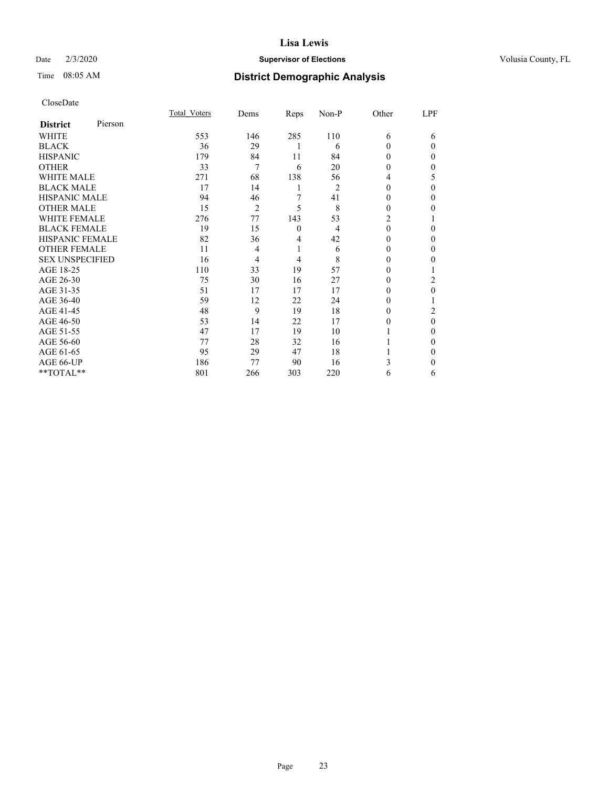## Date  $2/3/2020$  **Supervisor of Elections** Volusia County, FL

| CloseDate |
|-----------|
|-----------|

|                        |         | Total Voters | Dems | Reps         | Non-P | Other    | LPF      |
|------------------------|---------|--------------|------|--------------|-------|----------|----------|
| <b>District</b>        | Pierson |              |      |              |       |          |          |
| WHITE                  |         | 553          | 146  | 285          | 110   | 6        | 6        |
| <b>BLACK</b>           |         | 36           | 29   |              | 6     | $\Omega$ | $\Omega$ |
| <b>HISPANIC</b>        |         | 179          | 84   | 11           | 84    | $\theta$ | $\Omega$ |
| <b>OTHER</b>           |         | 33           | 7    | 6            | 20    | 0        | 0        |
| <b>WHITE MALE</b>      |         | 271          | 68   | 138          | 56    | 4        | 5        |
| <b>BLACK MALE</b>      |         | 17           | 14   | 1            | 2     | 0        | $\Omega$ |
| <b>HISPANIC MALE</b>   |         | 94           | 46   | 7            | 41    | $_{0}$   | 0        |
| <b>OTHER MALE</b>      |         | 15           | 2    | 5            | 8     | 0        | 0        |
| <b>WHITE FEMALE</b>    |         | 276          | 77   | 143          | 53    | 2        |          |
| <b>BLACK FEMALE</b>    |         | 19           | 15   | $\mathbf{0}$ | 4     | $\theta$ | 0        |
| <b>HISPANIC FEMALE</b> |         | 82           | 36   | 4            | 42    | 0        | 0        |
| <b>OTHER FEMALE</b>    |         | 11           | 4    | 1            | 6     | 0        | 0        |
| <b>SEX UNSPECIFIED</b> |         | 16           | 4    | 4            | 8     | 0        | 0        |
| AGE 18-25              |         | 110          | 33   | 19           | 57    | 0        |          |
| AGE 26-30              |         | 75           | 30   | 16           | 27    | $_{0}$   | 2        |
| AGE 31-35              |         | 51           | 17   | 17           | 17    |          | 0        |
| AGE 36-40              |         | 59           | 12   | 22           | 24    | 0        |          |
| AGE 41-45              |         | 48           | 9    | 19           | 18    | 0        | 2        |
| AGE 46-50              |         | 53           | 14   | 22           | 17    | 0        | $\theta$ |
| AGE 51-55              |         | 47           | 17   | 19           | 10    |          | 0        |
| AGE 56-60              |         | 77           | 28   | 32           | 16    |          | 0        |
| AGE 61-65              |         | 95           | 29   | 47           | 18    |          | 0        |
| AGE 66-UP              |         | 186          | 77   | 90           | 16    | 3        | 0        |
| **TOTAL**              |         | 801          | 266  | 303          | 220   | 6        | 6        |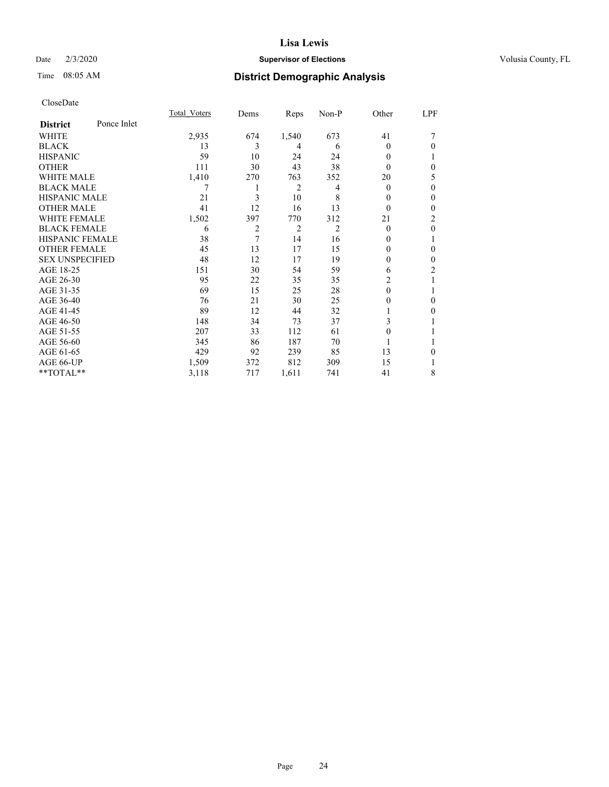## Date  $2/3/2020$  **Supervisor of Elections** Volusia County, FL

# Time 08:05 AM **District Demographic Analysis**

|                        |             | Total Voters | Dems | Reps           | Non-P          | Other    | LPF            |
|------------------------|-------------|--------------|------|----------------|----------------|----------|----------------|
| <b>District</b>        | Ponce Inlet |              |      |                |                |          |                |
| WHITE                  |             | 2,935        | 674  | 1,540          | 673            | 41       | 7              |
| <b>BLACK</b>           |             | 13           | 3    | 4              | 6              | $\Omega$ | $\theta$       |
| <b>HISPANIC</b>        |             | 59           | 10   | 24             | 24             | 0        |                |
| <b>OTHER</b>           |             | 111          | 30   | 43             | 38             | 0        | $\theta$       |
| WHITE MALE             |             | 1,410        | 270  | 763            | 352            | 20       | 5              |
| <b>BLACK MALE</b>      |             | 7            | 1    | 2              | 4              | $\Omega$ | $\theta$       |
| <b>HISPANIC MALE</b>   |             | 21           | 3    | 10             | 8              | 0        | $\mathbf{0}$   |
| <b>OTHER MALE</b>      |             | 41           | 12   | 16             | 13             | $\theta$ | $\mathbf{0}$   |
| WHITE FEMALE           |             | 1,502        | 397  | 770            | 312            | 21       | $\overline{c}$ |
| <b>BLACK FEMALE</b>    |             | 6            | 2    | $\overline{2}$ | $\overline{2}$ | $\theta$ | $\mathbf{0}$   |
| <b>HISPANIC FEMALE</b> |             | 38           | 7    | 14             | 16             | 0        | 1              |
| <b>OTHER FEMALE</b>    |             | 45           | 13   | 17             | 15             | 0        | $\theta$       |
| <b>SEX UNSPECIFIED</b> |             | 48           | 12   | 17             | 19             | 0        | $\theta$       |
| AGE 18-25              |             | 151          | 30   | 54             | 59             | 6        | 2              |
| AGE 26-30              |             | 95           | 22   | 35             | 35             | 2        | 1              |
| AGE 31-35              |             | 69           | 15   | 25             | 28             | $\theta$ |                |
| AGE 36-40              |             | 76           | 21   | 30             | 25             | 0        | $\theta$       |
| AGE 41-45              |             | 89           | 12   | 44             | 32             |          | $\theta$       |
| AGE 46-50              |             | 148          | 34   | 73             | 37             | 3        | 1              |
| AGE 51-55              |             | 207          | 33   | 112            | 61             | 0        |                |
| AGE 56-60              |             | 345          | 86   | 187            | 70             |          | 1              |
| AGE 61-65              |             | 429          | 92   | 239            | 85             | 13       | $\theta$       |
| AGE 66-UP              |             | 1,509        | 372  | 812            | 309            | 15       |                |
| **TOTAL**              |             | 3,118        | 717  | 1,611          | 741            | 41       | 8              |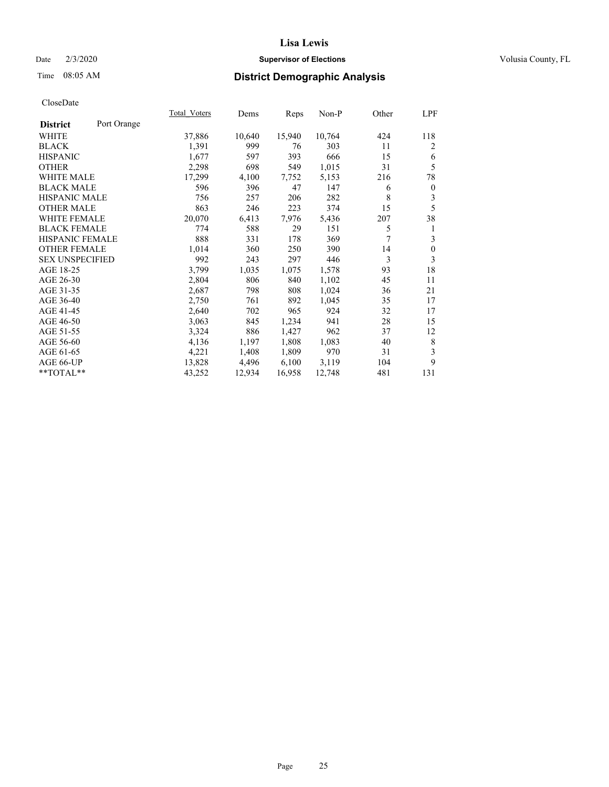## Date  $2/3/2020$  **Supervisor of Elections** Volusia County, FL

# Time 08:05 AM **District Demographic Analysis**

| <b>Total Voters</b> | Dems   |        | Non-P  | Other | LPF              |
|---------------------|--------|--------|--------|-------|------------------|
|                     |        |        |        |       |                  |
| 37,886              | 10,640 | 15,940 | 10,764 | 424   | 118              |
| 1,391               | 999    | 76     | 303    | 11    | 2                |
| 1,677               | 597    | 393    | 666    | 15    | 6                |
| 2,298               | 698    | 549    | 1,015  | 31    | 5                |
| 17,299              | 4,100  | 7,752  | 5,153  | 216   | 78               |
| 596                 | 396    | 47     | 147    | 6     | $\boldsymbol{0}$ |
| 756                 | 257    | 206    | 282    | 8     | 3                |
| 863                 | 246    | 223    | 374    | 15    | 5                |
| 20,070              | 6,413  | 7,976  | 5,436  | 207   | 38               |
| 774                 | 588    | 29     | 151    | 5     | 1                |
| 888                 | 331    | 178    | 369    | 7     | 3                |
| 1,014               | 360    | 250    | 390    | 14    | $\mathbf{0}$     |
| 992                 | 243    | 297    | 446    | 3     | 3                |
| 3,799               | 1,035  | 1,075  | 1,578  | 93    | 18               |
| 2,804               | 806    | 840    | 1,102  | 45    | 11               |
| 2,687               | 798    | 808    | 1,024  | 36    | 21               |
| 2,750               | 761    | 892    | 1,045  | 35    | 17               |
| 2,640               | 702    | 965    | 924    | 32    | 17               |
| 3,063               | 845    | 1,234  | 941    | 28    | 15               |
| 3,324               | 886    | 1,427  | 962    | 37    | 12               |
| 4,136               | 1,197  | 1,808  | 1,083  | 40    | 8                |
| 4,221               | 1,408  | 1,809  | 970    | 31    | 3                |
| 13,828              | 4,496  | 6,100  | 3,119  | 104   | 9                |
| 43,252              | 12,934 | 16,958 | 12,748 | 481   | 131              |
|                     |        |        | Reps   |       |                  |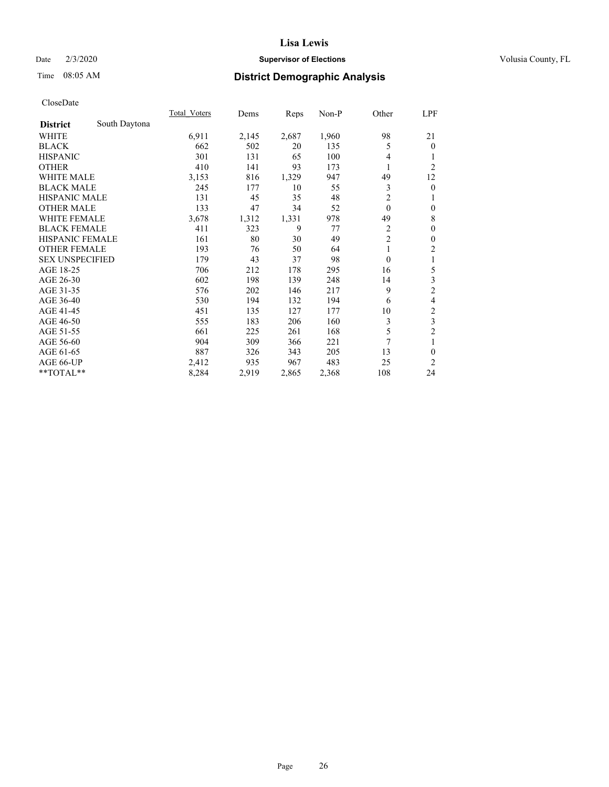## Date  $2/3/2020$  **Supervisor of Elections** Volusia County, FL

# Time 08:05 AM **District Demographic Analysis**

|                        |               | Total Voters | Dems  | Reps  | Non-P | Other          | <u>LPF</u>              |
|------------------------|---------------|--------------|-------|-------|-------|----------------|-------------------------|
| <b>District</b>        | South Daytona |              |       |       |       |                |                         |
| WHITE                  |               | 6,911        | 2,145 | 2,687 | 1,960 | 98             | 21                      |
| <b>BLACK</b>           |               | 662          | 502   | 20    | 135   | 5              | $\overline{0}$          |
| <b>HISPANIC</b>        |               | 301          | 131   | 65    | 100   | 4              |                         |
| <b>OTHER</b>           |               | 410          | 141   | 93    | 173   | 1              | $\overline{2}$          |
| WHITE MALE             |               | 3,153        | 816   | 1,329 | 947   | 49             | 12                      |
| <b>BLACK MALE</b>      |               | 245          | 177   | 10    | 55    | 3              | $\mathbf{0}$            |
| <b>HISPANIC MALE</b>   |               | 131          | 45    | 35    | 48    | $\overline{2}$ | 1                       |
| <b>OTHER MALE</b>      |               | 133          | 47    | 34    | 52    | $\theta$       | $\mathbf{0}$            |
| <b>WHITE FEMALE</b>    |               | 3,678        | 1,312 | 1,331 | 978   | 49             | 8                       |
| <b>BLACK FEMALE</b>    |               | 411          | 323   | 9     | 77    | 2              | $\mathbf{0}$            |
| HISPANIC FEMALE        |               | 161          | 80    | 30    | 49    | $\overline{2}$ | $\mathbf{0}$            |
| <b>OTHER FEMALE</b>    |               | 193          | 76    | 50    | 64    | 1              | $\overline{2}$          |
| <b>SEX UNSPECIFIED</b> |               | 179          | 43    | 37    | 98    | $\theta$       | 1                       |
| AGE 18-25              |               | 706          | 212   | 178   | 295   | 16             | 5                       |
| AGE 26-30              |               | 602          | 198   | 139   | 248   | 14             | 3                       |
| AGE 31-35              |               | 576          | 202   | 146   | 217   | 9              | $\overline{c}$          |
| AGE 36-40              |               | 530          | 194   | 132   | 194   | 6              | 4                       |
| AGE 41-45              |               | 451          | 135   | 127   | 177   | 10             | $\overline{\mathbf{c}}$ |
| AGE 46-50              |               | 555          | 183   | 206   | 160   | 3              | 3                       |
| AGE 51-55              |               | 661          | 225   | 261   | 168   | 5              | $\overline{2}$          |
| AGE 56-60              |               | 904          | 309   | 366   | 221   | 7              | 1                       |
| AGE 61-65              |               | 887          | 326   | 343   | 205   | 13             | $\theta$                |
| AGE 66-UP              |               | 2,412        | 935   | 967   | 483   | 25             | 2                       |
| **TOTAL**              |               | 8,284        | 2,919 | 2,865 | 2,368 | 108            | 24                      |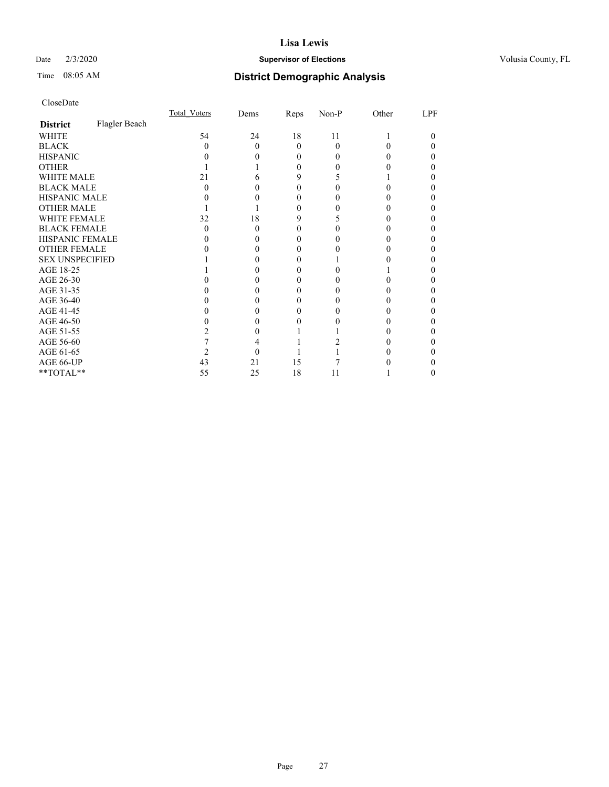## Date  $2/3/2020$  **Supervisor of Elections** Volusia County, FL

# Time 08:05 AM **District Demographic Analysis**

|                        |               | Total Voters | Dems | Reps     | Non-P    | Other | LPF |
|------------------------|---------------|--------------|------|----------|----------|-------|-----|
| <b>District</b>        | Flagler Beach |              |      |          |          |       |     |
| WHITE                  |               | 54           | 24   | 18       | 11       |       | 0   |
| <b>BLACK</b>           |               | $\mathbf{0}$ | 0    | $\Omega$ | $\Omega$ |       |     |
| <b>HISPANIC</b>        |               |              |      | 0        | 0        |       |     |
| <b>OTHER</b>           |               |              |      | 0        |          |       |     |
| <b>WHITE MALE</b>      |               | 21           |      | 9        |          |       |     |
| <b>BLACK MALE</b>      |               | 0            |      | 0        |          |       |     |
| <b>HISPANIC MALE</b>   |               |              |      |          |          |       |     |
| <b>OTHER MALE</b>      |               |              |      | 0        |          |       | 0   |
| <b>WHITE FEMALE</b>    |               | 32           | 18   | 9        |          |       |     |
| <b>BLACK FEMALE</b>    |               | 0            | 0    | $\theta$ |          |       |     |
| <b>HISPANIC FEMALE</b> |               |              |      |          |          |       |     |
| <b>OTHER FEMALE</b>    |               |              |      |          |          |       |     |
| <b>SEX UNSPECIFIED</b> |               |              |      |          |          |       |     |
| AGE 18-25              |               |              |      |          |          |       |     |
| AGE 26-30              |               |              |      |          |          |       |     |
| AGE 31-35              |               |              |      |          |          |       |     |
| AGE 36-40              |               |              |      | 0        |          |       |     |
| AGE 41-45              |               |              |      |          |          |       |     |
| AGE 46-50              |               |              |      |          |          |       |     |
| AGE 51-55              |               |              |      |          |          |       |     |
| AGE 56-60              |               |              |      |          |          |       |     |
| AGE 61-65              |               |              |      |          |          |       |     |
| AGE 66-UP              |               | 43           | 21   | 15       |          |       |     |
| **TOTAL**              |               | 55           | 25   | 18       | 11       |       | 0   |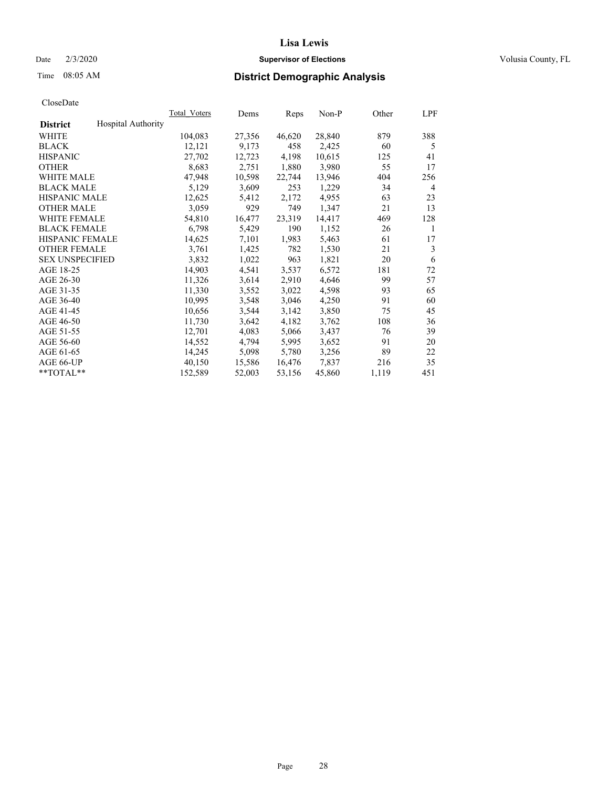### Date  $2/3/2020$  **Supervisor of Elections** Volusia County, FL

# Time 08:05 AM **District Demographic Analysis**

|                        |                           | Total Voters | Dems   | Reps   | Non-P  | Other | LPF |
|------------------------|---------------------------|--------------|--------|--------|--------|-------|-----|
| <b>District</b>        | <b>Hospital Authority</b> |              |        |        |        |       |     |
| WHITE                  |                           | 104,083      | 27,356 | 46,620 | 28,840 | 879   | 388 |
| <b>BLACK</b>           |                           | 12,121       | 9,173  | 458    | 2,425  | 60    | 5   |
| <b>HISPANIC</b>        |                           | 27,702       | 12,723 | 4,198  | 10,615 | 125   | 41  |
| <b>OTHER</b>           |                           | 8,683        | 2,751  | 1,880  | 3,980  | 55    | 17  |
| WHITE MALE             |                           | 47,948       | 10,598 | 22,744 | 13,946 | 404   | 256 |
| <b>BLACK MALE</b>      |                           | 5,129        | 3,609  | 253    | 1,229  | 34    | 4   |
| <b>HISPANIC MALE</b>   |                           | 12,625       | 5,412  | 2,172  | 4,955  | 63    | 23  |
| <b>OTHER MALE</b>      |                           | 3,059        | 929    | 749    | 1,347  | 21    | 13  |
| <b>WHITE FEMALE</b>    |                           | 54,810       | 16,477 | 23,319 | 14,417 | 469   | 128 |
| <b>BLACK FEMALE</b>    |                           | 6,798        | 5,429  | 190    | 1,152  | 26    | 1   |
| <b>HISPANIC FEMALE</b> |                           | 14,625       | 7,101  | 1,983  | 5,463  | 61    | 17  |
| <b>OTHER FEMALE</b>    |                           | 3,761        | 1,425  | 782    | 1,530  | 21    | 3   |
| <b>SEX UNSPECIFIED</b> |                           | 3,832        | 1,022  | 963    | 1,821  | 20    | 6   |
| AGE 18-25              |                           | 14,903       | 4,541  | 3,537  | 6,572  | 181   | 72  |
| AGE 26-30              |                           | 11,326       | 3,614  | 2,910  | 4,646  | 99    | 57  |
| AGE 31-35              |                           | 11,330       | 3,552  | 3,022  | 4,598  | 93    | 65  |
| AGE 36-40              |                           | 10,995       | 3,548  | 3,046  | 4,250  | 91    | 60  |
| AGE 41-45              |                           | 10,656       | 3,544  | 3,142  | 3,850  | 75    | 45  |
| AGE 46-50              |                           | 11,730       | 3,642  | 4,182  | 3,762  | 108   | 36  |
| AGE 51-55              |                           | 12,701       | 4,083  | 5,066  | 3,437  | 76    | 39  |
| AGE 56-60              |                           | 14,552       | 4,794  | 5,995  | 3,652  | 91    | 20  |
| AGE 61-65              |                           | 14,245       | 5,098  | 5,780  | 3,256  | 89    | 22  |
| AGE 66-UP              |                           | 40,150       | 15,586 | 16,476 | 7,837  | 216   | 35  |
| $*$ TOTAL $*$          |                           | 152,589      | 52,003 | 53,156 | 45,860 | 1,119 | 451 |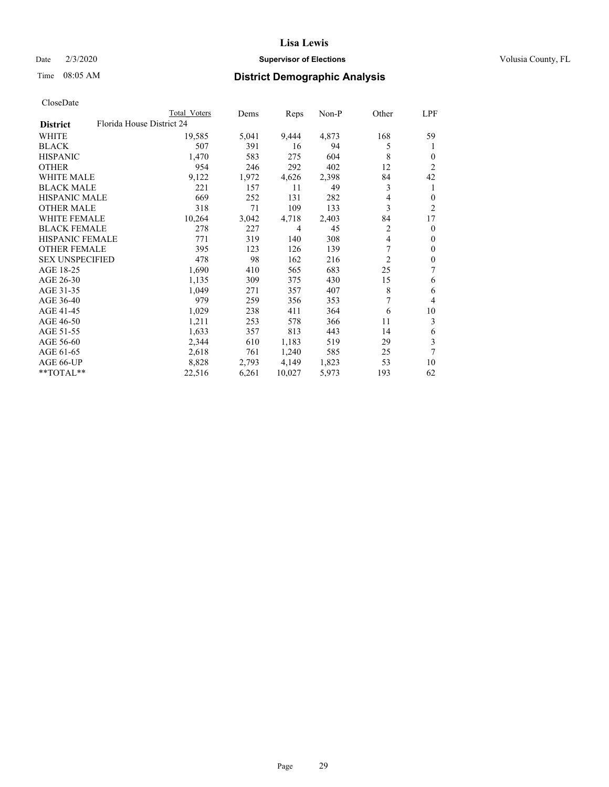## Date  $2/3/2020$  **Supervisor of Elections** Volusia County, FL

| CloseDate |
|-----------|
|-----------|

|                        |                           | Total Voters | Dems  | Reps           | Non-P | Other          | LPF            |
|------------------------|---------------------------|--------------|-------|----------------|-------|----------------|----------------|
| <b>District</b>        | Florida House District 24 |              |       |                |       |                |                |
| WHITE                  |                           | 19,585       | 5,041 | 9,444          | 4,873 | 168            | 59             |
| <b>BLACK</b>           |                           | 507          | 391   | 16             | 94    | 5              | 1              |
| <b>HISPANIC</b>        |                           | 1,470        | 583   | 275            | 604   | 8              | $\Omega$       |
| <b>OTHER</b>           |                           | 954          | 246   | 292            | 402   | 12             | 2              |
| <b>WHITE MALE</b>      |                           | 9,122        | 1,972 | 4,626          | 2,398 | 84             | 42             |
| <b>BLACK MALE</b>      |                           | 221          | 157   | 11             | 49    | 3              | 1              |
| <b>HISPANIC MALE</b>   |                           | 669          | 252   | 131            | 282   | 4              | $\Omega$       |
| <b>OTHER MALE</b>      |                           | 318          | 71    | 109            | 133   | 3              | $\overline{c}$ |
| <b>WHITE FEMALE</b>    |                           | 10,264       | 3,042 | 4,718          | 2,403 | 84             | 17             |
| <b>BLACK FEMALE</b>    |                           | 278          | 227   | $\overline{4}$ | 45    | $\overline{c}$ | $\Omega$       |
| <b>HISPANIC FEMALE</b> |                           | 771          | 319   | 140            | 308   | 4              | $\overline{0}$ |
| <b>OTHER FEMALE</b>    |                           | 395          | 123   | 126            | 139   | 7              | $\mathbf{0}$   |
| <b>SEX UNSPECIFIED</b> |                           | 478          | 98    | 162            | 216   | $\overline{2}$ | 0              |
| AGE 18-25              |                           | 1,690        | 410   | 565            | 683   | 25             | 7              |
| AGE 26-30              |                           | 1,135        | 309   | 375            | 430   | 15             | 6              |
| AGE 31-35              |                           | 1,049        | 271   | 357            | 407   | 8              | 6              |
| AGE 36-40              |                           | 979          | 259   | 356            | 353   | 7              | 4              |
| AGE 41-45              |                           | 1,029        | 238   | 411            | 364   | 6              | 10             |
| AGE 46-50              |                           | 1,211        | 253   | 578            | 366   | 11             | 3              |
| AGE 51-55              |                           | 1,633        | 357   | 813            | 443   | 14             | 6              |
| AGE 56-60              |                           | 2,344        | 610   | 1,183          | 519   | 29             | 3              |
| AGE 61-65              |                           | 2,618        | 761   | 1,240          | 585   | 25             | 7              |
| AGE 66-UP              |                           | 8,828        | 2,793 | 4,149          | 1,823 | 53             | 10             |
| **TOTAL**              |                           | 22,516       | 6,261 | 10,027         | 5,973 | 193            | 62             |
|                        |                           |              |       |                |       |                |                |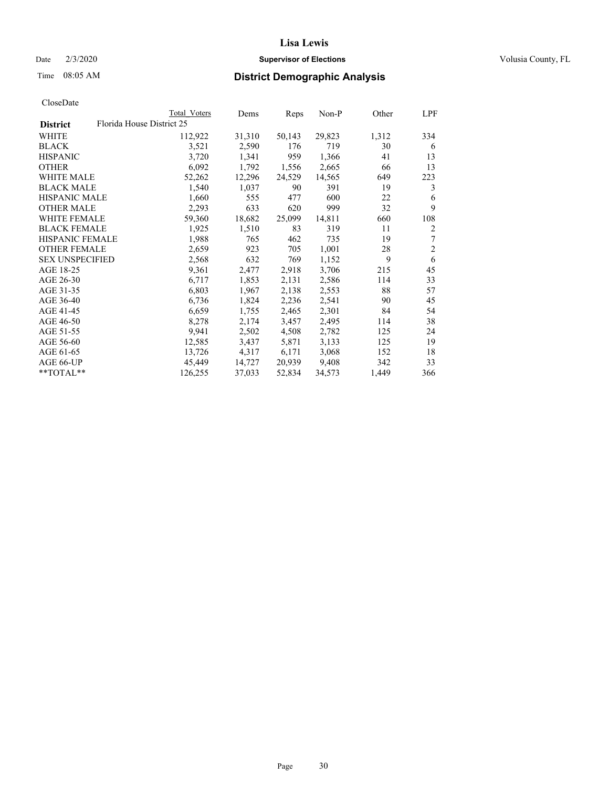## Date  $2/3/2020$  **Supervisor of Elections** Volusia County, FL

# Time 08:05 AM **District Demographic Analysis**

|                        |                           | Total Voters | Dems   | Reps   | $Non-P$ | Other | LPF            |
|------------------------|---------------------------|--------------|--------|--------|---------|-------|----------------|
| <b>District</b>        | Florida House District 25 |              |        |        |         |       |                |
| WHITE                  |                           | 112,922      | 31,310 | 50,143 | 29,823  | 1,312 | 334            |
| <b>BLACK</b>           |                           | 3,521        | 2,590  | 176    | 719     | 30    | 6              |
| <b>HISPANIC</b>        |                           | 3,720        | 1,341  | 959    | 1,366   | 41    | 13             |
| <b>OTHER</b>           |                           | 6,092        | 1,792  | 1,556  | 2,665   | 66    | 13             |
| WHITE MALE             |                           | 52,262       | 12,296 | 24,529 | 14,565  | 649   | 223            |
| <b>BLACK MALE</b>      |                           | 1,540        | 1,037  | 90     | 391     | 19    | 3              |
| <b>HISPANIC MALE</b>   |                           | 1,660        | 555    | 477    | 600     | 22    | 6              |
| <b>OTHER MALE</b>      |                           | 2,293        | 633    | 620    | 999     | 32    | 9              |
| <b>WHITE FEMALE</b>    |                           | 59,360       | 18,682 | 25,099 | 14,811  | 660   | 108            |
| <b>BLACK FEMALE</b>    |                           | 1,925        | 1,510  | 83     | 319     | 11    | $\overline{2}$ |
| HISPANIC FEMALE        |                           | 1,988        | 765    | 462    | 735     | 19    | 7              |
| <b>OTHER FEMALE</b>    |                           | 2,659        | 923    | 705    | 1,001   | 28    | $\overline{2}$ |
| <b>SEX UNSPECIFIED</b> |                           | 2,568        | 632    | 769    | 1,152   | 9     | 6              |
| AGE 18-25              |                           | 9,361        | 2,477  | 2,918  | 3,706   | 215   | 45             |
| AGE 26-30              |                           | 6,717        | 1,853  | 2,131  | 2,586   | 114   | 33             |
| AGE 31-35              |                           | 6,803        | 1,967  | 2,138  | 2,553   | 88    | 57             |
| AGE 36-40              |                           | 6,736        | 1,824  | 2,236  | 2,541   | 90    | 45             |
| AGE 41-45              |                           | 6,659        | 1,755  | 2,465  | 2,301   | 84    | 54             |
| AGE 46-50              |                           | 8,278        | 2,174  | 3,457  | 2,495   | 114   | 38             |
| AGE 51-55              |                           | 9,941        | 2,502  | 4,508  | 2,782   | 125   | 24             |
| AGE 56-60              |                           | 12,585       | 3,437  | 5,871  | 3,133   | 125   | 19             |
| AGE 61-65              |                           | 13,726       | 4,317  | 6,171  | 3,068   | 152   | 18             |
| AGE 66-UP              |                           | 45,449       | 14,727 | 20,939 | 9,408   | 342   | 33             |
| **TOTAL**              |                           | 126,255      | 37,033 | 52,834 | 34,573  | 1,449 | 366            |
|                        |                           |              |        |        |         |       |                |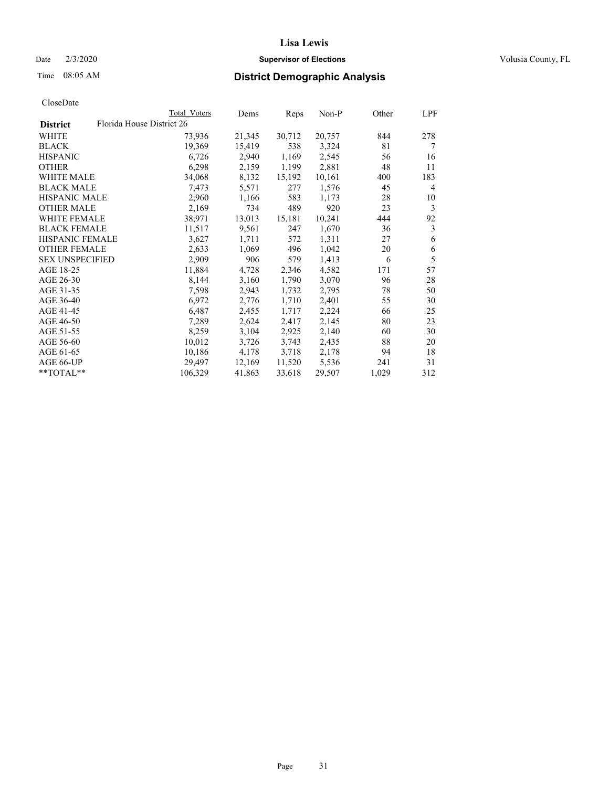## Date  $2/3/2020$  **Supervisor of Elections** Volusia County, FL

| CloseDate |
|-----------|
|-----------|

|                        | Total Voters              | Dems   | Reps   | Non-P  | Other | LPF            |
|------------------------|---------------------------|--------|--------|--------|-------|----------------|
| <b>District</b>        | Florida House District 26 |        |        |        |       |                |
| WHITE                  | 73,936                    | 21,345 | 30,712 | 20,757 | 844   | 278            |
| BLACK                  | 19,369                    | 15,419 | 538    | 3,324  | 81    | 7              |
| <b>HISPANIC</b>        | 6,726                     | 2,940  | 1,169  | 2,545  | 56    | 16             |
| <b>OTHER</b>           | 6,298                     | 2,159  | 1,199  | 2,881  | 48    | 11             |
| <b>WHITE MALE</b>      | 34,068                    | 8,132  | 15,192 | 10,161 | 400   | 183            |
| <b>BLACK MALE</b>      | 7,473                     | 5,571  | 277    | 1,576  | 45    | $\overline{4}$ |
| <b>HISPANIC MALE</b>   | 2,960                     | 1,166  | 583    | 1,173  | 28    | 10             |
| <b>OTHER MALE</b>      | 2,169                     | 734    | 489    | 920    | 23    | 3              |
| <b>WHITE FEMALE</b>    | 38,971                    | 13,013 | 15,181 | 10,241 | 444   | 92             |
| <b>BLACK FEMALE</b>    | 11,517                    | 9,561  | 247    | 1,670  | 36    | 3              |
| HISPANIC FEMALE        | 3,627                     | 1,711  | 572    | 1,311  | 27    | 6              |
| <b>OTHER FEMALE</b>    | 2,633                     | 1,069  | 496    | 1,042  | 20    | 6              |
| <b>SEX UNSPECIFIED</b> | 2,909                     | 906    | 579    | 1,413  | 6     | 5              |
| AGE 18-25              | 11,884                    | 4,728  | 2,346  | 4,582  | 171   | 57             |
| AGE 26-30              | 8,144                     | 3,160  | 1,790  | 3,070  | 96    | 28             |
| AGE 31-35              | 7,598                     | 2,943  | 1,732  | 2,795  | 78    | 50             |
| AGE 36-40              | 6,972                     | 2,776  | 1,710  | 2,401  | 55    | 30             |
| AGE 41-45              | 6,487                     | 2,455  | 1,717  | 2,224  | 66    | 25             |
| AGE 46-50              | 7,289                     | 2,624  | 2,417  | 2,145  | 80    | 23             |
| AGE 51-55              | 8,259                     | 3,104  | 2,925  | 2,140  | 60    | 30             |
| AGE 56-60              | 10,012                    | 3,726  | 3,743  | 2,435  | 88    | 20             |
| AGE 61-65              | 10,186                    | 4,178  | 3,718  | 2,178  | 94    | 18             |
| AGE 66-UP              | 29,497                    | 12,169 | 11,520 | 5,536  | 241   | 31             |
| **TOTAL**              | 106,329                   | 41,863 | 33,618 | 29,507 | 1,029 | 312            |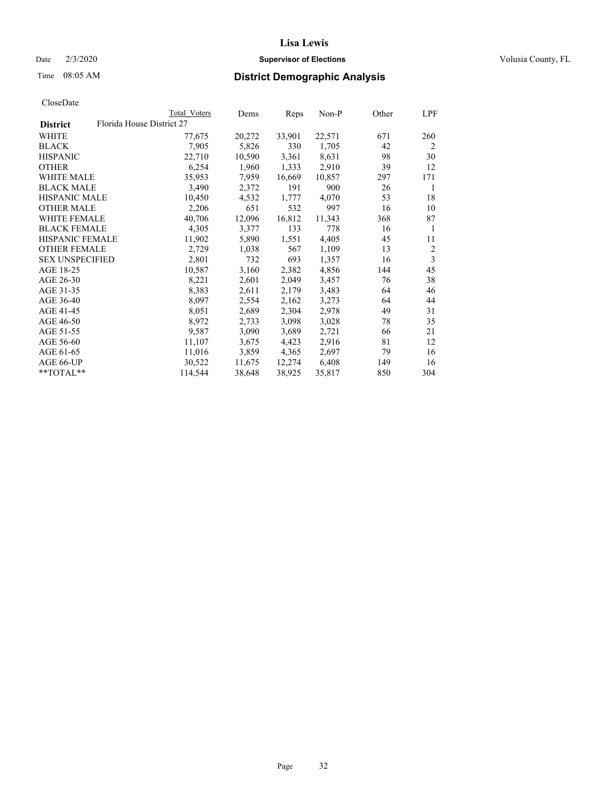## Date  $2/3/2020$  **Supervisor of Elections** Volusia County, FL

|                        |                           | Total Voters | Dems   | Reps   | Non-P  | Other | LPF            |
|------------------------|---------------------------|--------------|--------|--------|--------|-------|----------------|
| <b>District</b>        | Florida House District 27 |              |        |        |        |       |                |
| WHITE                  |                           | 77,675       | 20,272 | 33,901 | 22,571 | 671   | 260            |
| BLACK                  |                           | 7,905        | 5,826  | 330    | 1,705  | 42    | $\overline{2}$ |
| <b>HISPANIC</b>        |                           | 22,710       | 10,590 | 3,361  | 8,631  | 98    | 30             |
| <b>OTHER</b>           |                           | 6,254        | 1,960  | 1,333  | 2,910  | 39    | 12             |
| <b>WHITE MALE</b>      |                           | 35,953       | 7,959  | 16,669 | 10,857 | 297   | 171            |
| <b>BLACK MALE</b>      |                           | 3,490        | 2,372  | 191    | 900    | 26    | 1              |
| <b>HISPANIC MALE</b>   |                           | 10,450       | 4,532  | 1,777  | 4,070  | 53    | 18             |
| OTHER MALE             |                           | 2,206        | 651    | 532    | 997    | 16    | 10             |
| <b>WHITE FEMALE</b>    |                           | 40,706       | 12,096 | 16,812 | 11,343 | 368   | 87             |
| <b>BLACK FEMALE</b>    |                           | 4,305        | 3,377  | 133    | 778    | 16    | 1              |
| HISPANIC FEMALE        |                           | 11,902       | 5,890  | 1,551  | 4,405  | 45    | 11             |
| <b>OTHER FEMALE</b>    |                           | 2,729        | 1,038  | 567    | 1,109  | 13    | 2              |
| <b>SEX UNSPECIFIED</b> |                           | 2,801        | 732    | 693    | 1,357  | 16    | $\mathfrak{Z}$ |
| AGE 18-25              |                           | 10,587       | 3,160  | 2,382  | 4,856  | 144   | 45             |
| AGE 26-30              |                           | 8,221        | 2,601  | 2,049  | 3,457  | 76    | 38             |
| AGE 31-35              |                           | 8,383        | 2,611  | 2,179  | 3,483  | 64    | 46             |
| AGE 36-40              |                           | 8,097        | 2,554  | 2,162  | 3,273  | 64    | 44             |
| AGE 41-45              |                           | 8,051        | 2,689  | 2,304  | 2,978  | 49    | 31             |
| AGE 46-50              |                           | 8,972        | 2,733  | 3,098  | 3,028  | 78    | 35             |
| AGE 51-55              |                           | 9,587        | 3,090  | 3,689  | 2,721  | 66    | 21             |
| AGE 56-60              |                           | 11,107       | 3,675  | 4,423  | 2,916  | 81    | 12             |
| AGE 61-65              |                           | 11,016       | 3,859  | 4,365  | 2,697  | 79    | 16             |
| AGE 66-UP              |                           | 30,522       | 11,675 | 12,274 | 6,408  | 149   | 16             |
| **TOTAL**              |                           | 114,544      | 38,648 | 38,925 | 35,817 | 850   | 304            |
|                        |                           |              |        |        |        |       |                |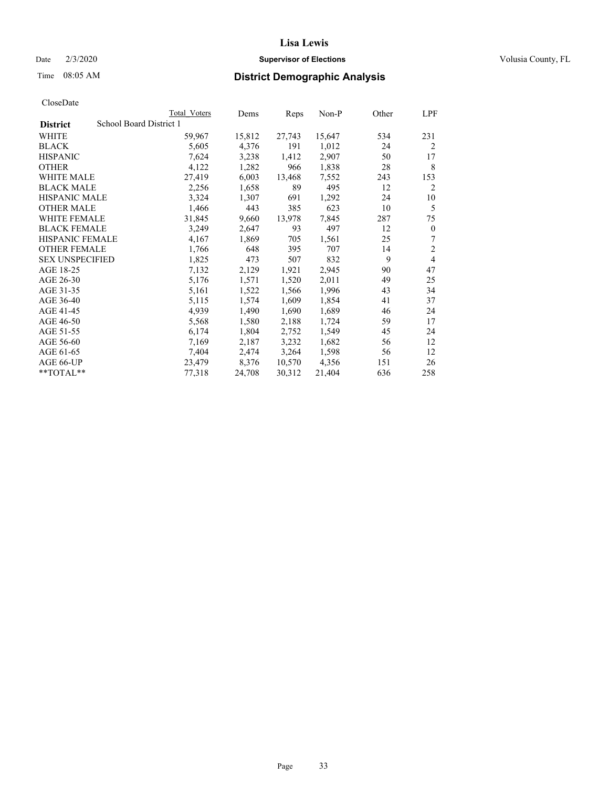### Date  $2/3/2020$  **Supervisor of Elections** Volusia County, FL

# Time 08:05 AM **District Demographic Analysis**

|                        | Total Voters            | Dems   | Reps   | Non-P  | Other | LPF            |
|------------------------|-------------------------|--------|--------|--------|-------|----------------|
| <b>District</b>        | School Board District 1 |        |        |        |       |                |
| WHITE                  | 59,967                  | 15,812 | 27,743 | 15,647 | 534   | 231            |
| <b>BLACK</b>           | 5,605                   | 4,376  | 191    | 1,012  | 24    | $\overline{2}$ |
| <b>HISPANIC</b>        | 7,624                   | 3,238  | 1,412  | 2,907  | 50    | 17             |
| <b>OTHER</b>           | 4,122                   | 1,282  | 966    | 1,838  | 28    | 8              |
| WHITE MALE             | 27,419                  | 6,003  | 13,468 | 7,552  | 243   | 153            |
| <b>BLACK MALE</b>      | 2,256                   | 1,658  | 89     | 495    | 12    | 2              |
| <b>HISPANIC MALE</b>   | 3,324                   | 1,307  | 691    | 1,292  | 24    | 10             |
| <b>OTHER MALE</b>      | 1,466                   | 443    | 385    | 623    | 10    | 5              |
| <b>WHITE FEMALE</b>    | 31,845                  | 9,660  | 13,978 | 7,845  | 287   | 75             |
| <b>BLACK FEMALE</b>    | 3,249                   | 2,647  | 93     | 497    | 12    | $\mathbf{0}$   |
| <b>HISPANIC FEMALE</b> | 4,167                   | 1,869  | 705    | 1,561  | 25    | 7              |
| <b>OTHER FEMALE</b>    | 1,766                   | 648    | 395    | 707    | 14    | $\overline{2}$ |
| <b>SEX UNSPECIFIED</b> | 1,825                   | 473    | 507    | 832    | 9     | 4              |
| AGE 18-25              | 7,132                   | 2,129  | 1,921  | 2,945  | 90    | 47             |
| AGE 26-30              | 5,176                   | 1,571  | 1,520  | 2,011  | 49    | 25             |
| AGE 31-35              | 5,161                   | 1,522  | 1,566  | 1,996  | 43    | 34             |
| AGE 36-40              | 5,115                   | 1,574  | 1,609  | 1,854  | 41    | 37             |
| AGE 41-45              | 4,939                   | 1,490  | 1,690  | 1,689  | 46    | 24             |
| AGE 46-50              | 5,568                   | 1,580  | 2,188  | 1,724  | 59    | 17             |
| AGE 51-55              | 6,174                   | 1,804  | 2,752  | 1,549  | 45    | 24             |
| AGE 56-60              | 7,169                   | 2,187  | 3,232  | 1,682  | 56    | 12             |
| AGE 61-65              | 7,404                   | 2,474  | 3,264  | 1,598  | 56    | 12             |
| AGE 66-UP              | 23,479                  | 8,376  | 10,570 | 4,356  | 151   | 26             |
| $*$ $TOTAL**$          | 77,318                  | 24,708 | 30,312 | 21,404 | 636   | 258            |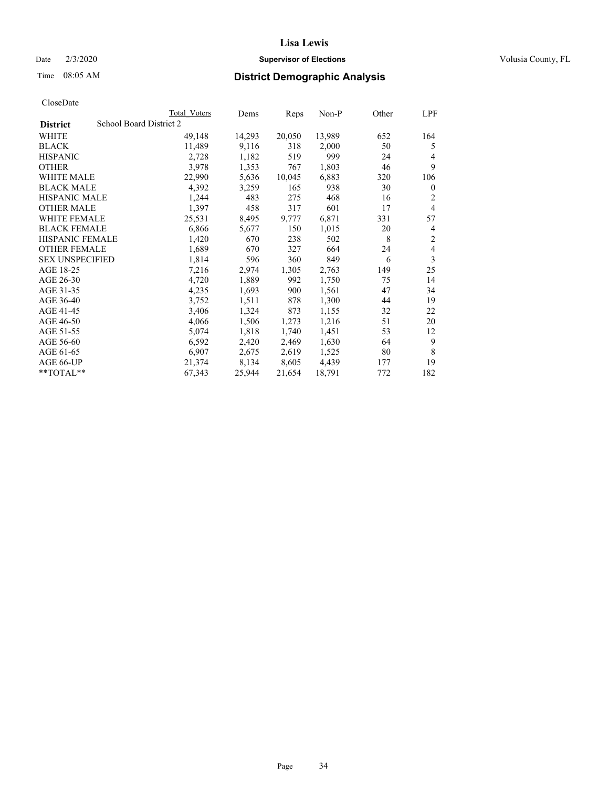## Date  $2/3/2020$  **Supervisor of Elections** Volusia County, FL

# Time 08:05 AM **District Demographic Analysis**

|                                            | Total Voters | Dems   | Reps   | Non-P  | Other | LPF            |
|--------------------------------------------|--------------|--------|--------|--------|-------|----------------|
| School Board District 2<br><b>District</b> |              |        |        |        |       |                |
| WHITE                                      | 49,148       | 14,293 | 20,050 | 13,989 | 652   | 164            |
| <b>BLACK</b>                               | 11,489       | 9,116  | 318    | 2,000  | 50    | 5              |
| <b>HISPANIC</b>                            | 2,728        | 1,182  | 519    | 999    | 24    | 4              |
| <b>OTHER</b>                               | 3,978        | 1,353  | 767    | 1,803  | 46    | 9              |
| WHITE MALE                                 | 22,990       | 5,636  | 10,045 | 6,883  | 320   | 106            |
| <b>BLACK MALE</b>                          | 4,392        | 3,259  | 165    | 938    | 30    | $\mathbf{0}$   |
| <b>HISPANIC MALE</b>                       | 1,244        | 483    | 275    | 468    | 16    | 2              |
| <b>OTHER MALE</b>                          | 1,397        | 458    | 317    | 601    | 17    | $\overline{4}$ |
| WHITE FEMALE                               | 25,531       | 8,495  | 9,777  | 6,871  | 331   | 57             |
| <b>BLACK FEMALE</b>                        | 6,866        | 5,677  | 150    | 1,015  | 20    | 4              |
| <b>HISPANIC FEMALE</b>                     | 1,420        | 670    | 238    | 502    | 8     | 2              |
| <b>OTHER FEMALE</b>                        | 1,689        | 670    | 327    | 664    | 24    | $\overline{4}$ |
| <b>SEX UNSPECIFIED</b>                     | 1,814        | 596    | 360    | 849    | 6     | 3              |
| AGE 18-25                                  | 7,216        | 2,974  | 1,305  | 2,763  | 149   | 25             |
| AGE 26-30                                  | 4,720        | 1,889  | 992    | 1,750  | 75    | 14             |
| AGE 31-35                                  | 4,235        | 1,693  | 900    | 1,561  | 47    | 34             |
| AGE 36-40                                  | 3,752        | 1,511  | 878    | 1,300  | 44    | 19             |
| AGE 41-45                                  | 3,406        | 1,324  | 873    | 1,155  | 32    | 22             |
| AGE 46-50                                  | 4,066        | 1,506  | 1,273  | 1,216  | 51    | 20             |
| AGE 51-55                                  | 5,074        | 1,818  | 1,740  | 1,451  | 53    | 12             |
| AGE 56-60                                  | 6,592        | 2,420  | 2,469  | 1,630  | 64    | 9              |
| AGE 61-65                                  | 6,907        | 2,675  | 2,619  | 1,525  | 80    | 8              |
| AGE 66-UP                                  | 21,374       | 8,134  | 8,605  | 4,439  | 177   | 19             |
| $*$ $TOTAL**$                              | 67,343       | 25,944 | 21,654 | 18,791 | 772   | 182            |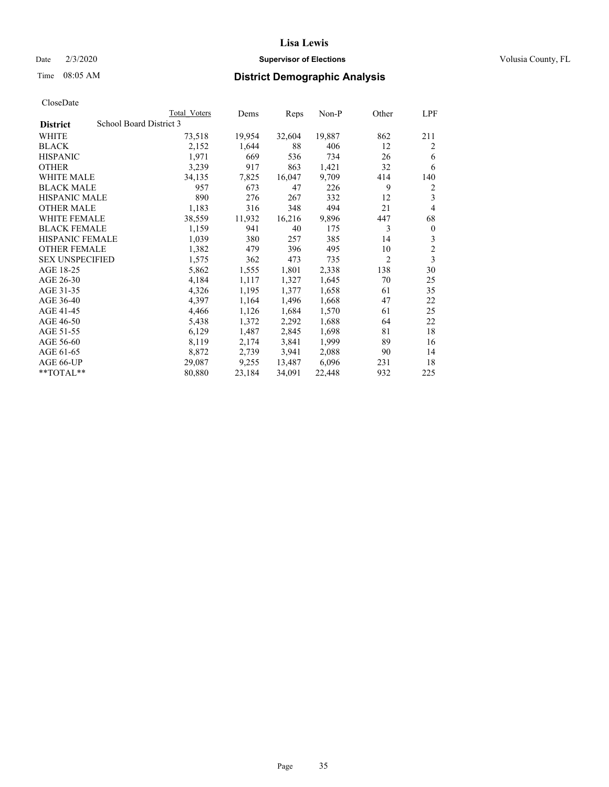## Date  $2/3/2020$  **Supervisor of Elections** Volusia County, FL

# Time 08:05 AM **District Demographic Analysis**

|                        | Total Voters            | Dems   | Reps   | Non-P  | Other          | LPF            |
|------------------------|-------------------------|--------|--------|--------|----------------|----------------|
| <b>District</b>        | School Board District 3 |        |        |        |                |                |
| WHITE                  | 73,518                  | 19,954 | 32,604 | 19,887 | 862            | 211            |
| <b>BLACK</b>           | 2,152                   | 1,644  | 88     | 406    | 12             | 2              |
| <b>HISPANIC</b>        | 1,971                   | 669    | 536    | 734    | 26             | 6              |
| <b>OTHER</b>           | 3,239                   | 917    | 863    | 1,421  | 32             | 6              |
| WHITE MALE             | 34,135                  | 7,825  | 16,047 | 9,709  | 414            | 140            |
| <b>BLACK MALE</b>      | 957                     | 673    | 47     | 226    | 9              | 2              |
| <b>HISPANIC MALE</b>   | 890                     | 276    | 267    | 332    | 12             | 3              |
| <b>OTHER MALE</b>      | 1,183                   | 316    | 348    | 494    | 21             | 4              |
| WHITE FEMALE           | 38,559                  | 11,932 | 16,216 | 9,896  | 447            | 68             |
| <b>BLACK FEMALE</b>    | 1,159                   | 941    | 40     | 175    | 3              | $\mathbf{0}$   |
| <b>HISPANIC FEMALE</b> | 1,039                   | 380    | 257    | 385    | 14             | 3              |
| <b>OTHER FEMALE</b>    | 1,382                   | 479    | 396    | 495    | 10             | $\overline{c}$ |
| <b>SEX UNSPECIFIED</b> | 1,575                   | 362    | 473    | 735    | $\overline{2}$ | 3              |
| AGE 18-25              | 5,862                   | 1,555  | 1,801  | 2,338  | 138            | 30             |
| AGE 26-30              | 4,184                   | 1,117  | 1,327  | 1,645  | 70             | 25             |
| AGE 31-35              | 4,326                   | 1,195  | 1,377  | 1,658  | 61             | 35             |
| AGE 36-40              | 4,397                   | 1,164  | 1,496  | 1,668  | 47             | 22             |
| AGE 41-45              | 4,466                   | 1,126  | 1,684  | 1,570  | 61             | 25             |
| AGE 46-50              | 5,438                   | 1,372  | 2,292  | 1,688  | 64             | 22             |
| AGE 51-55              | 6,129                   | 1,487  | 2,845  | 1,698  | 81             | 18             |
| AGE 56-60              | 8,119                   | 2,174  | 3,841  | 1,999  | 89             | 16             |
| AGE 61-65              | 8,872                   | 2,739  | 3,941  | 2,088  | 90             | 14             |
| AGE 66-UP              | 29,087                  | 9,255  | 13,487 | 6,096  | 231            | 18             |
| $*$ $TOTAL**$          | 80,880                  | 23,184 | 34,091 | 22,448 | 932            | 225            |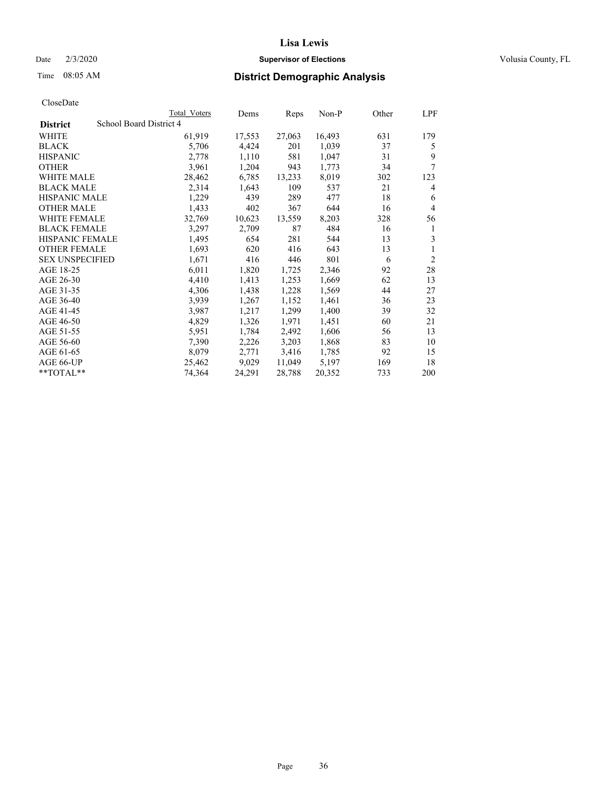### Date  $2/3/2020$  **Supervisor of Elections** Volusia County, FL

# Time 08:05 AM **District Demographic Analysis**

|                        |                         | Total Voters | Dems   | Reps   | Non-P  | Other | LPF            |
|------------------------|-------------------------|--------------|--------|--------|--------|-------|----------------|
| <b>District</b>        | School Board District 4 |              |        |        |        |       |                |
| WHITE                  |                         | 61,919       | 17,553 | 27,063 | 16,493 | 631   | 179            |
| <b>BLACK</b>           |                         | 5,706        | 4,424  | 201    | 1,039  | 37    | 5              |
| <b>HISPANIC</b>        |                         | 2,778        | 1,110  | 581    | 1,047  | 31    | 9              |
| <b>OTHER</b>           |                         | 3,961        | 1,204  | 943    | 1,773  | 34    | 7              |
| WHITE MALE             |                         | 28,462       | 6,785  | 13,233 | 8,019  | 302   | 123            |
| <b>BLACK MALE</b>      |                         | 2,314        | 1,643  | 109    | 537    | 21    | 4              |
| <b>HISPANIC MALE</b>   |                         | 1,229        | 439    | 289    | 477    | 18    | 6              |
| <b>OTHER MALE</b>      |                         | 1,433        | 402    | 367    | 644    | 16    | 4              |
| WHITE FEMALE           |                         | 32,769       | 10,623 | 13,559 | 8,203  | 328   | 56             |
| <b>BLACK FEMALE</b>    |                         | 3,297        | 2,709  | 87     | 484    | 16    | 1              |
| <b>HISPANIC FEMALE</b> |                         | 1,495        | 654    | 281    | 544    | 13    | 3              |
| <b>OTHER FEMALE</b>    |                         | 1,693        | 620    | 416    | 643    | 13    | 1              |
| <b>SEX UNSPECIFIED</b> |                         | 1,671        | 416    | 446    | 801    | 6     | $\overline{2}$ |
| AGE 18-25              |                         | 6,011        | 1,820  | 1,725  | 2,346  | 92    | 28             |
| AGE 26-30              |                         | 4,410        | 1,413  | 1,253  | 1,669  | 62    | 13             |
| AGE 31-35              |                         | 4,306        | 1,438  | 1,228  | 1,569  | 44    | 27             |
| AGE 36-40              |                         | 3,939        | 1,267  | 1,152  | 1,461  | 36    | 23             |
| AGE 41-45              |                         | 3,987        | 1,217  | 1,299  | 1,400  | 39    | 32             |
| AGE 46-50              |                         | 4,829        | 1,326  | 1,971  | 1,451  | 60    | 21             |
| AGE 51-55              |                         | 5,951        | 1,784  | 2,492  | 1,606  | 56    | 13             |
| AGE 56-60              |                         | 7,390        | 2,226  | 3,203  | 1,868  | 83    | 10             |
| AGE 61-65              |                         | 8,079        | 2,771  | 3,416  | 1,785  | 92    | 15             |
| AGE 66-UP              |                         | 25,462       | 9,029  | 11,049 | 5,197  | 169   | 18             |
| $*$ $TOTAL**$          |                         | 74,364       | 24,291 | 28,788 | 20,352 | 733   | 200            |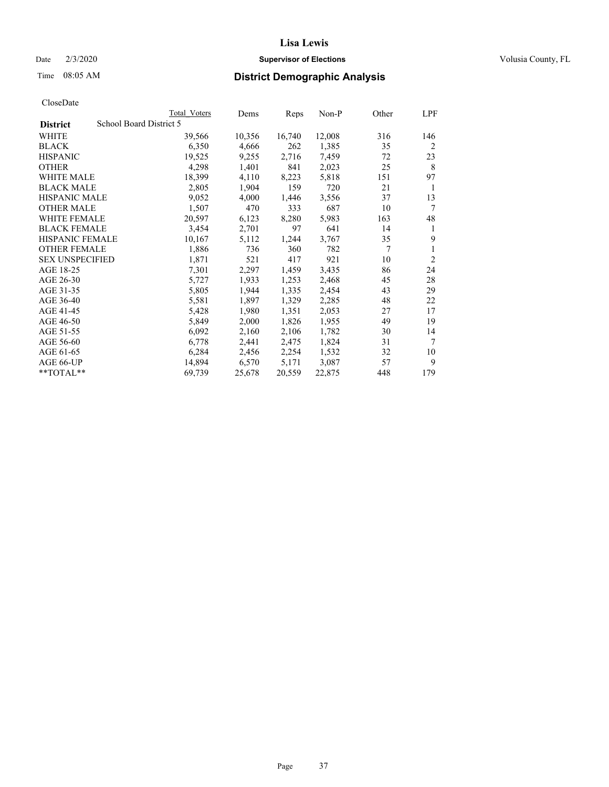#### Date  $2/3/2020$  **Supervisor of Elections** Volusia County, FL

# Time 08:05 AM **District Demographic Analysis**

|                        |                         | Total Voters | Dems   | Reps   | $Non-P$ | Other | LPF            |
|------------------------|-------------------------|--------------|--------|--------|---------|-------|----------------|
| <b>District</b>        | School Board District 5 |              |        |        |         |       |                |
| WHITE                  |                         | 39,566       | 10,356 | 16,740 | 12,008  | 316   | 146            |
| <b>BLACK</b>           |                         | 6,350        | 4,666  | 262    | 1,385   | 35    | $\overline{2}$ |
| <b>HISPANIC</b>        |                         | 19,525       | 9,255  | 2,716  | 7,459   | 72    | 23             |
| <b>OTHER</b>           |                         | 4,298        | 1,401  | 841    | 2,023   | 25    | 8              |
| WHITE MALE             |                         | 18,399       | 4,110  | 8,223  | 5,818   | 151   | 97             |
| <b>BLACK MALE</b>      |                         | 2,805        | 1,904  | 159    | 720     | 21    | 1              |
| <b>HISPANIC MALE</b>   |                         | 9,052        | 4,000  | 1,446  | 3,556   | 37    | 13             |
| <b>OTHER MALE</b>      |                         | 1,507        | 470    | 333    | 687     | 10    | 7              |
| <b>WHITE FEMALE</b>    |                         | 20,597       | 6,123  | 8,280  | 5,983   | 163   | 48             |
| <b>BLACK FEMALE</b>    |                         | 3,454        | 2,701  | 97     | 641     | 14    | 1              |
| HISPANIC FEMALE        |                         | 10,167       | 5,112  | 1,244  | 3,767   | 35    | 9              |
| <b>OTHER FEMALE</b>    |                         | 1,886        | 736    | 360    | 782     | 7     | 1              |
| <b>SEX UNSPECIFIED</b> |                         | 1,871        | 521    | 417    | 921     | 10    | $\overline{2}$ |
| AGE 18-25              |                         | 7,301        | 2,297  | 1,459  | 3,435   | 86    | 24             |
| AGE 26-30              |                         | 5,727        | 1,933  | 1,253  | 2,468   | 45    | 28             |
| AGE 31-35              |                         | 5,805        | 1,944  | 1,335  | 2,454   | 43    | 29             |
| AGE 36-40              |                         | 5,581        | 1,897  | 1,329  | 2,285   | 48    | 22             |
| AGE 41-45              |                         | 5,428        | 1,980  | 1,351  | 2,053   | 27    | 17             |
| AGE 46-50              |                         | 5,849        | 2,000  | 1,826  | 1,955   | 49    | 19             |
| AGE 51-55              |                         | 6,092        | 2,160  | 2,106  | 1,782   | 30    | 14             |
| AGE 56-60              |                         | 6,778        | 2,441  | 2,475  | 1,824   | 31    | 7              |
| AGE 61-65              |                         | 6,284        | 2,456  | 2,254  | 1,532   | 32    | 10             |
| AGE 66-UP              |                         | 14,894       | 6,570  | 5,171  | 3,087   | 57    | 9              |
| $*$ TOTAL $*$          |                         | 69,739       | 25,678 | 20,559 | 22,875  | 448   | 179            |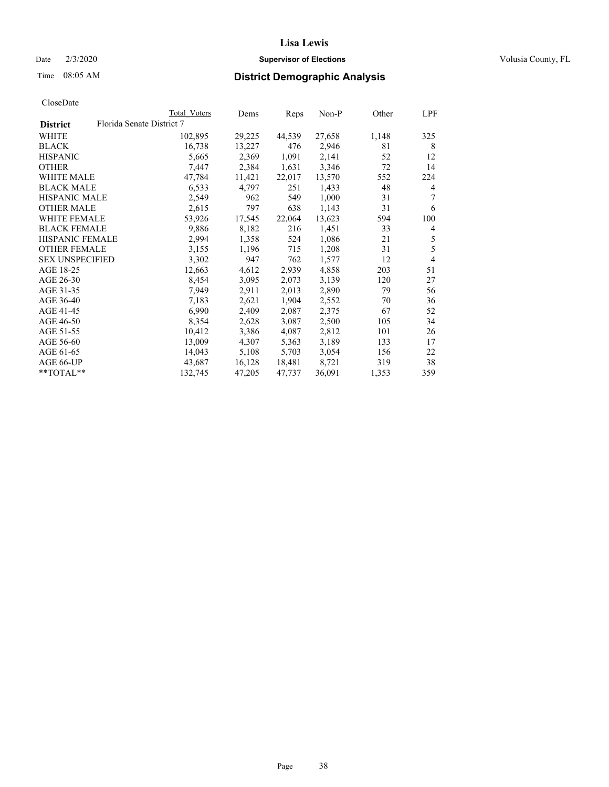## Date  $2/3/2020$  **Supervisor of Elections** Volusia County, FL

| Total Voters              | Dems   | Reps   | Non-P  | Other | LPF            |
|---------------------------|--------|--------|--------|-------|----------------|
| Florida Senate District 7 |        |        |        |       |                |
| 102,895                   | 29,225 | 44,539 | 27,658 | 1,148 | 325            |
| 16,738                    | 13,227 | 476    | 2,946  | 81    | 8              |
| 5,665                     | 2,369  | 1,091  | 2,141  | 52    | 12             |
| 7,447                     | 2,384  | 1,631  | 3,346  | 72    | 14             |
| 47,784                    | 11,421 | 22,017 | 13,570 | 552   | 224            |
| 6,533                     | 4,797  | 251    | 1,433  | 48    | 4              |
| 2,549                     | 962    | 549    | 1,000  | 31    | 7              |
| 2,615                     | 797    | 638    | 1,143  | 31    | 6              |
| 53,926                    | 17,545 | 22,064 | 13,623 | 594   | 100            |
| 9,886                     | 8,182  | 216    | 1,451  | 33    | $\overline{4}$ |
| 2,994                     | 1,358  | 524    | 1,086  | 21    | 5              |
| 3,155                     | 1,196  | 715    | 1,208  | 31    | 5              |
| 3,302                     | 947    | 762    | 1,577  | 12    | $\overline{4}$ |
| 12,663                    | 4,612  | 2,939  | 4,858  | 203   | 51             |
| 8,454                     | 3,095  | 2,073  | 3,139  | 120   | 27             |
| 7,949                     | 2,911  | 2,013  | 2,890  | 79    | 56             |
| 7,183                     | 2,621  | 1,904  | 2,552  | 70    | 36             |
| 6,990                     | 2,409  | 2,087  | 2,375  | 67    | 52             |
| 8,354                     | 2,628  | 3,087  | 2,500  | 105   | 34             |
| 10,412                    | 3,386  | 4,087  | 2,812  | 101   | 26             |
| 13,009                    | 4,307  | 5,363  | 3,189  | 133   | 17             |
| 14,043                    | 5,108  | 5,703  | 3,054  | 156   | 22             |
| 43,687                    | 16,128 | 18,481 | 8,721  | 319   | 38             |
| 132,745                   | 47,205 | 47,737 | 36,091 | 1,353 | 359            |
|                           |        |        |        |       |                |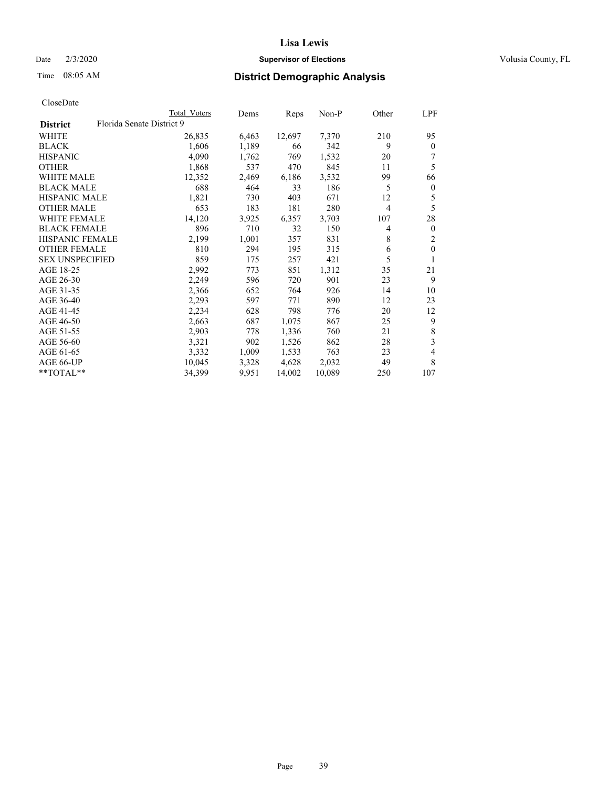## Date  $2/3/2020$  **Supervisor of Elections** Volusia County, FL

|                                              | Total Voters | Dems  | Reps   | Non-P  | Other | LPF              |
|----------------------------------------------|--------------|-------|--------|--------|-------|------------------|
| Florida Senate District 9<br><b>District</b> |              |       |        |        |       |                  |
| WHITE                                        | 26,835       | 6,463 | 12,697 | 7,370  | 210   | 95               |
| <b>BLACK</b>                                 | 1,606        | 1,189 | 66     | 342    | 9     | $\mathbf{0}$     |
| <b>HISPANIC</b>                              | 4,090        | 1,762 | 769    | 1,532  | 20    | 7                |
| <b>OTHER</b>                                 | 1,868        | 537   | 470    | 845    | 11    | 5                |
| <b>WHITE MALE</b>                            | 12,352       | 2,469 | 6,186  | 3,532  | 99    | 66               |
| <b>BLACK MALE</b>                            | 688          | 464   | 33     | 186    | 5     | $\boldsymbol{0}$ |
| <b>HISPANIC MALE</b>                         | 1,821        | 730   | 403    | 671    | 12    | 5                |
| <b>OTHER MALE</b>                            | 653          | 183   | 181    | 280    | 4     | 5                |
| <b>WHITE FEMALE</b>                          | 14,120       | 3,925 | 6,357  | 3,703  | 107   | 28               |
| <b>BLACK FEMALE</b>                          | 896          | 710   | 32     | 150    | 4     | $\mathbf{0}$     |
| <b>HISPANIC FEMALE</b>                       | 2,199        | 1,001 | 357    | 831    | 8     | 2                |
| <b>OTHER FEMALE</b>                          | 810          | 294   | 195    | 315    | 6     | $\theta$         |
| <b>SEX UNSPECIFIED</b>                       | 859          | 175   | 257    | 421    | 5     | 1                |
| AGE 18-25                                    | 2,992        | 773   | 851    | 1,312  | 35    | 21               |
| AGE 26-30                                    | 2,249        | 596   | 720    | 901    | 23    | 9                |
| AGE 31-35                                    | 2,366        | 652   | 764    | 926    | 14    | 10               |
| AGE 36-40                                    | 2,293        | 597   | 771    | 890    | 12    | 23               |
| AGE 41-45                                    | 2,234        | 628   | 798    | 776    | 20    | 12               |
| AGE 46-50                                    | 2,663        | 687   | 1,075  | 867    | 25    | 9                |
| AGE 51-55                                    | 2,903        | 778   | 1,336  | 760    | 21    | 8                |
| AGE 56-60                                    | 3,321        | 902   | 1,526  | 862    | 28    | 3                |
| AGE 61-65                                    | 3,332        | 1,009 | 1,533  | 763    | 23    | 4                |
| AGE 66-UP                                    | 10,045       | 3,328 | 4,628  | 2,032  | 49    | 8                |
| **TOTAL**                                    | 34,399       | 9,951 | 14,002 | 10,089 | 250   | 107              |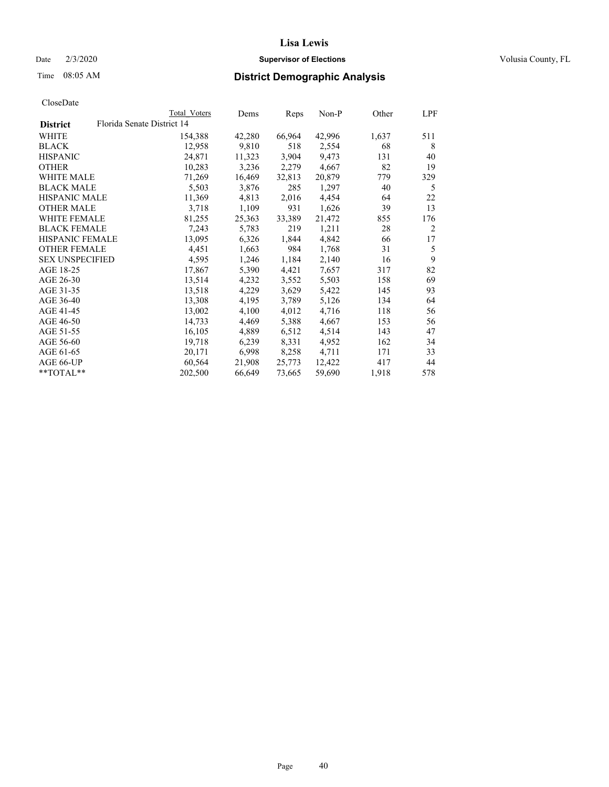#### Date  $2/3/2020$  **Supervisor of Elections** Volusia County, FL

# Time 08:05 AM **District Demographic Analysis**

|                        |                            | Total Voters | Dems   | Reps   | Non-P  | Other | LPF |
|------------------------|----------------------------|--------------|--------|--------|--------|-------|-----|
| <b>District</b>        | Florida Senate District 14 |              |        |        |        |       |     |
| WHITE                  |                            | 154,388      | 42,280 | 66,964 | 42,996 | 1,637 | 511 |
| <b>BLACK</b>           |                            | 12,958       | 9,810  | 518    | 2,554  | 68    | 8   |
| <b>HISPANIC</b>        |                            | 24,871       | 11,323 | 3,904  | 9,473  | 131   | 40  |
| <b>OTHER</b>           |                            | 10,283       | 3,236  | 2,279  | 4,667  | 82    | 19  |
| <b>WHITE MALE</b>      |                            | 71,269       | 16,469 | 32,813 | 20,879 | 779   | 329 |
| <b>BLACK MALE</b>      |                            | 5,503        | 3,876  | 285    | 1,297  | 40    | 5   |
| <b>HISPANIC MALE</b>   |                            | 11,369       | 4,813  | 2,016  | 4,454  | 64    | 22  |
| <b>OTHER MALE</b>      |                            | 3,718        | 1,109  | 931    | 1,626  | 39    | 13  |
| <b>WHITE FEMALE</b>    |                            | 81,255       | 25,363 | 33,389 | 21,472 | 855   | 176 |
| <b>BLACK FEMALE</b>    |                            | 7,243        | 5,783  | 219    | 1,211  | 28    | 2   |
| HISPANIC FEMALE        |                            | 13,095       | 6,326  | 1,844  | 4,842  | 66    | 17  |
| <b>OTHER FEMALE</b>    |                            | 4,451        | 1,663  | 984    | 1,768  | 31    | 5   |
| <b>SEX UNSPECIFIED</b> |                            | 4,595        | 1,246  | 1,184  | 2,140  | 16    | 9   |
| AGE 18-25              |                            | 17,867       | 5,390  | 4,421  | 7,657  | 317   | 82  |
| AGE 26-30              |                            | 13,514       | 4,232  | 3,552  | 5,503  | 158   | 69  |
| AGE 31-35              |                            | 13,518       | 4,229  | 3,629  | 5,422  | 145   | 93  |
| AGE 36-40              |                            | 13,308       | 4,195  | 3,789  | 5,126  | 134   | 64  |
| AGE 41-45              |                            | 13,002       | 4,100  | 4,012  | 4,716  | 118   | 56  |
| AGE 46-50              |                            | 14,733       | 4,469  | 5,388  | 4,667  | 153   | 56  |
| AGE 51-55              |                            | 16,105       | 4,889  | 6,512  | 4,514  | 143   | 47  |
| AGE 56-60              |                            | 19,718       | 6,239  | 8,331  | 4,952  | 162   | 34  |
| AGE 61-65              |                            | 20,171       | 6,998  | 8,258  | 4,711  | 171   | 33  |
| AGE 66-UP              |                            | 60,564       | 21,908 | 25,773 | 12,422 | 417   | 44  |
| $*$ TOTAL $*$          |                            | 202,500      | 66,649 | 73,665 | 59,690 | 1,918 | 578 |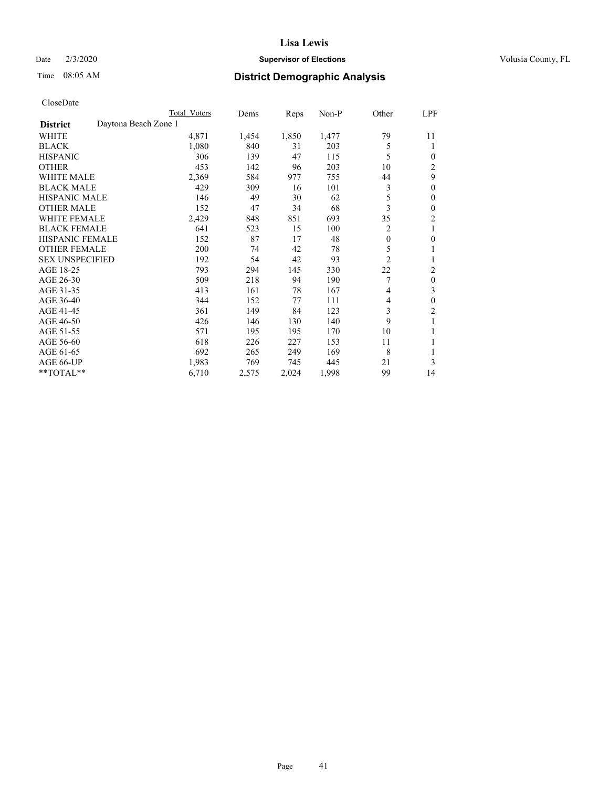## Date  $2/3/2020$  **Supervisor of Elections** Volusia County, FL

# Time 08:05 AM **District Demographic Analysis**

|                                         | Total Voters | Dems  | Reps  | $Non-P$ | Other          | LPF            |
|-----------------------------------------|--------------|-------|-------|---------|----------------|----------------|
| Daytona Beach Zone 1<br><b>District</b> |              |       |       |         |                |                |
| WHITE                                   | 4,871        | 1,454 | 1,850 | 1,477   | 79             | 11             |
| <b>BLACK</b>                            | 1,080        | 840   | 31    | 203     | 5              | 1              |
| <b>HISPANIC</b>                         | 306          | 139   | 47    | 115     | 5              | 0              |
| <b>OTHER</b>                            | 453          | 142   | 96    | 203     | 10             | 2              |
| <b>WHITE MALE</b>                       | 2,369        | 584   | 977   | 755     | 44             | 9              |
| <b>BLACK MALE</b>                       | 429          | 309   | 16    | 101     | 3              | $\mathbf{0}$   |
| <b>HISPANIC MALE</b>                    | 146          | 49    | 30    | 62      | 5              | 0              |
| <b>OTHER MALE</b>                       | 152          | 47    | 34    | 68      | 3              | 0              |
| <b>WHITE FEMALE</b>                     | 2,429        | 848   | 851   | 693     | 35             | $\overline{c}$ |
| <b>BLACK FEMALE</b>                     | 641          | 523   | 15    | 100     | 2              | 1              |
| <b>HISPANIC FEMALE</b>                  | 152          | 87    | 17    | 48      | $\mathbf{0}$   | 0              |
| <b>OTHER FEMALE</b>                     | 200          | 74    | 42    | 78      | 5              | 1              |
| <b>SEX UNSPECIFIED</b>                  | 192          | 54    | 42    | 93      | $\overline{c}$ | 1              |
| AGE 18-25                               | 793          | 294   | 145   | 330     | 22             | $\overline{c}$ |
| AGE 26-30                               | 509          | 218   | 94    | 190     | 7              | 0              |
| AGE 31-35                               | 413          | 161   | 78    | 167     | 4              | 3              |
| AGE 36-40                               | 344          | 152   | 77    | 111     | 4              | 0              |
| AGE 41-45                               | 361          | 149   | 84    | 123     | 3              | 2              |
| AGE 46-50                               | 426          | 146   | 130   | 140     | 9              |                |
| AGE 51-55                               | 571          | 195   | 195   | 170     | 10             |                |
| AGE 56-60                               | 618          | 226   | 227   | 153     | 11             | 1              |
| AGE 61-65                               | 692          | 265   | 249   | 169     | 8              |                |
| AGE 66-UP                               | 1,983        | 769   | 745   | 445     | 21             | 3              |
| **TOTAL**                               | 6,710        | 2,575 | 2,024 | 1,998   | 99             | 14             |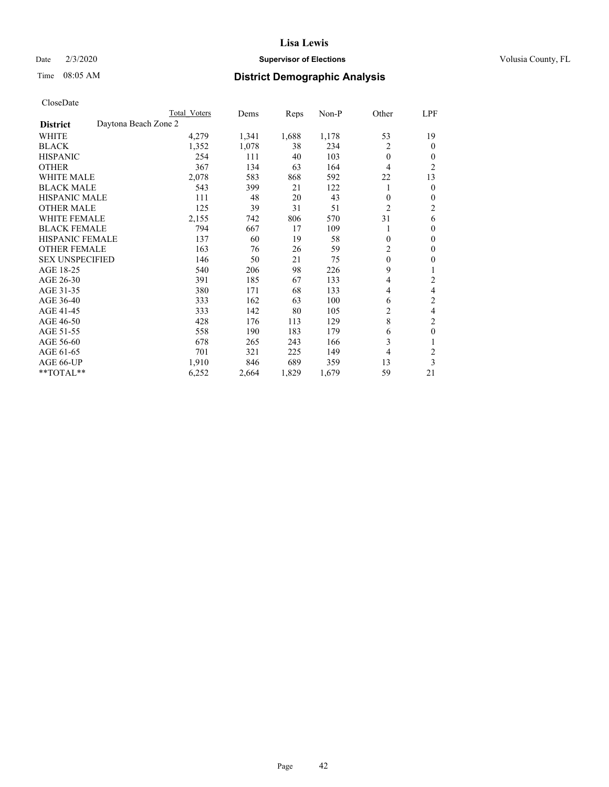## Date  $2/3/2020$  **Supervisor of Elections** Volusia County, FL

# Time 08:05 AM **District Demographic Analysis**

|                        | Total Voters         | Dems  | Reps  | Non-P | Other          | LPF            |
|------------------------|----------------------|-------|-------|-------|----------------|----------------|
| <b>District</b>        | Daytona Beach Zone 2 |       |       |       |                |                |
| WHITE                  | 4,279                | 1,341 | 1,688 | 1,178 | 53             | 19             |
| <b>BLACK</b>           | 1,352                | 1,078 | 38    | 234   | 2              | 0              |
| <b>HISPANIC</b>        | 254                  | 111   | 40    | 103   | $\theta$       | $_{0}$         |
| <b>OTHER</b>           | 367                  | 134   | 63    | 164   | 4              | $\overline{2}$ |
| WHITE MALE             | 2,078                | 583   | 868   | 592   | 22             | 13             |
| <b>BLACK MALE</b>      | 543                  | 399   | 21    | 122   | 1              | 0              |
| <b>HISPANIC MALE</b>   | 111                  | 48    | 20    | 43    | $\theta$       | 0              |
| <b>OTHER MALE</b>      | 125                  | 39    | 31    | 51    | $\overline{2}$ | 2              |
| <b>WHITE FEMALE</b>    | 2,155                | 742   | 806   | 570   | 31             | 6              |
| <b>BLACK FEMALE</b>    | 794                  | 667   | 17    | 109   | 1              | 0              |
| <b>HISPANIC FEMALE</b> | 137                  | 60    | 19    | 58    | $\theta$       | 0              |
| <b>OTHER FEMALE</b>    | 163                  | 76    | 26    | 59    | 2              | 0              |
| <b>SEX UNSPECIFIED</b> | 146                  | 50    | 21    | 75    | $\mathbf{0}$   | 0              |
| AGE 18-25              | 540                  | 206   | 98    | 226   | 9              |                |
| AGE 26-30              | 391                  | 185   | 67    | 133   | 4              | 2              |
| AGE 31-35              | 380                  | 171   | 68    | 133   | 4              | 4              |
| AGE 36-40              | 333                  | 162   | 63    | 100   | 6              | 2              |
| AGE 41-45              | 333                  | 142   | 80    | 105   | 2              | 4              |
| AGE 46-50              | 428                  | 176   | 113   | 129   | 8              | 2              |
| AGE 51-55              | 558                  | 190   | 183   | 179   | 6              | 0              |
| AGE 56-60              | 678                  | 265   | 243   | 166   | 3              |                |
| AGE 61-65              | 701                  | 321   | 225   | 149   | 4              | 2              |
| AGE 66-UP              | 1,910                | 846   | 689   | 359   | 13             | 3              |
| **TOTAL**              | 6,252                | 2,664 | 1,829 | 1,679 | 59             | 21             |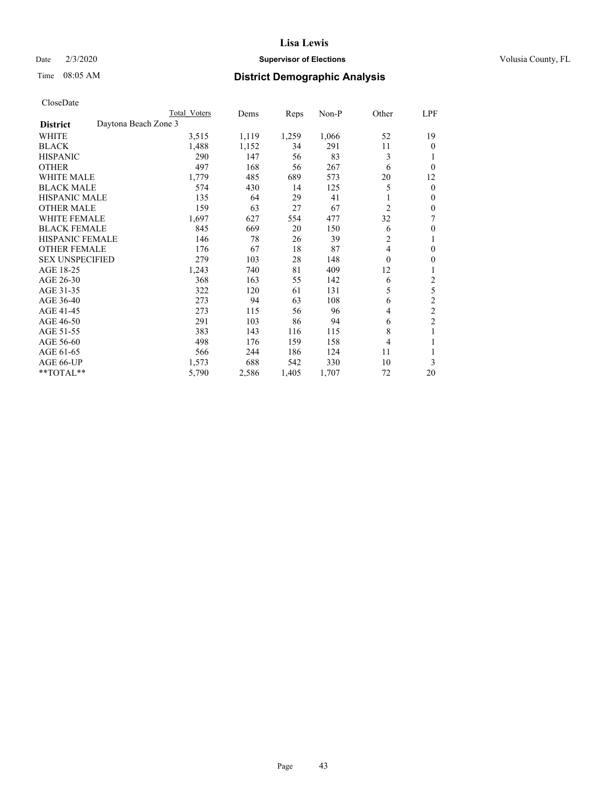## Date  $2/3/2020$  **Supervisor of Elections** Volusia County, FL

# Time 08:05 AM **District Demographic Analysis**

|                        | Total Voters         | Dems  | Reps  | Non-P | Other          | LPF            |
|------------------------|----------------------|-------|-------|-------|----------------|----------------|
| <b>District</b>        | Daytona Beach Zone 3 |       |       |       |                |                |
| WHITE                  | 3,515                | 1,119 | 1,259 | 1,066 | 52             | 19             |
| <b>BLACK</b>           | 1,488                | 1,152 | 34    | 291   | 11             | 0              |
| <b>HISPANIC</b>        | 290                  | 147   | 56    | 83    | 3              |                |
| <b>OTHER</b>           | 497                  | 168   | 56    | 267   | 6              | 0              |
| WHITE MALE             | 1,779                | 485   | 689   | 573   | 20             | 12             |
| <b>BLACK MALE</b>      | 574                  | 430   | 14    | 125   | 5              | 0              |
| <b>HISPANIC MALE</b>   | 135                  | 64    | 29    | 41    |                | 0              |
| <b>OTHER MALE</b>      | 159                  | 63    | 27    | 67    | $\overline{2}$ | 0              |
| <b>WHITE FEMALE</b>    | 1,697                | 627   | 554   | 477   | 32             | 7              |
| <b>BLACK FEMALE</b>    | 845                  | 669   | 20    | 150   | 6              | 0              |
| <b>HISPANIC FEMALE</b> | 146                  | 78    | 26    | 39    | 2              | 1              |
| <b>OTHER FEMALE</b>    | 176                  | 67    | 18    | 87    | $\overline{4}$ | 0              |
| <b>SEX UNSPECIFIED</b> | 279                  | 103   | 28    | 148   | $\theta$       | 0              |
| AGE 18-25              | 1,243                | 740   | 81    | 409   | 12             |                |
| AGE 26-30              | 368                  | 163   | 55    | 142   | 6              | 2              |
| AGE 31-35              | 322                  | 120   | 61    | 131   | 5              | 5              |
| AGE 36-40              | 273                  | 94    | 63    | 108   | 6              | 2              |
| AGE 41-45              | 273                  | 115   | 56    | 96    | 4              | $\overline{c}$ |
| AGE 46-50              | 291                  | 103   | 86    | 94    | 6              | $\overline{2}$ |
| AGE 51-55              | 383                  | 143   | 116   | 115   | 8              | 1              |
| AGE 56-60              | 498                  | 176   | 159   | 158   | 4              |                |
| AGE 61-65              | 566                  | 244   | 186   | 124   | 11             |                |
| AGE 66-UP              | 1,573                | 688   | 542   | 330   | 10             | 3              |
| **TOTAL**              | 5,790                | 2,586 | 1,405 | 1,707 | 72             | 20             |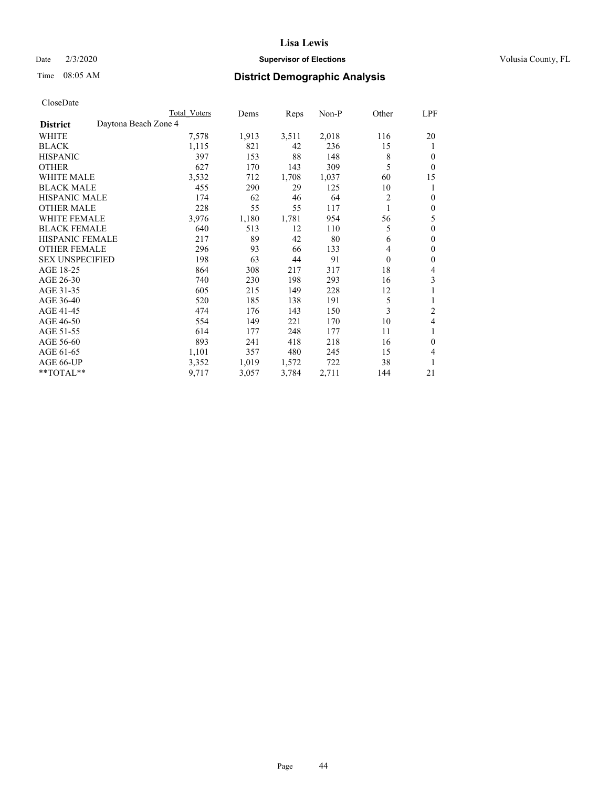## Date  $2/3/2020$  **Supervisor of Elections** Volusia County, FL

# Time 08:05 AM **District Demographic Analysis**

|                        |                      | Total Voters | Dems  | Reps  | Non-P | Other            | LPF          |
|------------------------|----------------------|--------------|-------|-------|-------|------------------|--------------|
| <b>District</b>        | Daytona Beach Zone 4 |              |       |       |       |                  |              |
| WHITE                  |                      | 7,578        | 1,913 | 3,511 | 2,018 | 116              | 20           |
| <b>BLACK</b>           |                      | 1,115        | 821   | 42    | 236   | 15               | 1            |
| <b>HISPANIC</b>        |                      | 397          | 153   | 88    | 148   | 8                | 0            |
| <b>OTHER</b>           |                      | 627          | 170   | 143   | 309   | 5                | $\theta$     |
| <b>WHITE MALE</b>      |                      | 3,532        | 712   | 1,708 | 1,037 | 60               | 15           |
| <b>BLACK MALE</b>      |                      | 455          | 290   | 29    | 125   | 10               | 1            |
| <b>HISPANIC MALE</b>   |                      | 174          | 62    | 46    | 64    | 2                | $\theta$     |
| <b>OTHER MALE</b>      |                      | 228          | 55    | 55    | 117   | 1                | $\mathbf{0}$ |
| WHITE FEMALE           |                      | 3,976        | 1,180 | 1,781 | 954   | 56               | 5            |
| <b>BLACK FEMALE</b>    |                      | 640          | 513   | 12    | 110   | 5                | $\theta$     |
| <b>HISPANIC FEMALE</b> |                      | 217          | 89    | 42    | 80    | 6                | $\theta$     |
| <b>OTHER FEMALE</b>    |                      | 296          | 93    | 66    | 133   | 4                | $\theta$     |
| <b>SEX UNSPECIFIED</b> |                      | 198          | 63    | 44    | 91    | $\boldsymbol{0}$ | $\theta$     |
| AGE 18-25              |                      | 864          | 308   | 217   | 317   | 18               | 4            |
| AGE 26-30              |                      | 740          | 230   | 198   | 293   | 16               | 3            |
| AGE 31-35              |                      | 605          | 215   | 149   | 228   | 12               |              |
| AGE 36-40              |                      | 520          | 185   | 138   | 191   | 5                | 1            |
| AGE 41-45              |                      | 474          | 176   | 143   | 150   | 3                | 2            |
| AGE 46-50              |                      | 554          | 149   | 221   | 170   | 10               | 4            |
| AGE 51-55              |                      | 614          | 177   | 248   | 177   | 11               | 1            |
| AGE 56-60              |                      | 893          | 241   | 418   | 218   | 16               | $\theta$     |
| AGE 61-65              |                      | 1,101        | 357   | 480   | 245   | 15               | 4            |
| AGE 66-UP              |                      | 3,352        | 1,019 | 1,572 | 722   | 38               | 1            |
| **TOTAL**              |                      | 9,717        | 3,057 | 3,784 | 2,711 | 144              | 21           |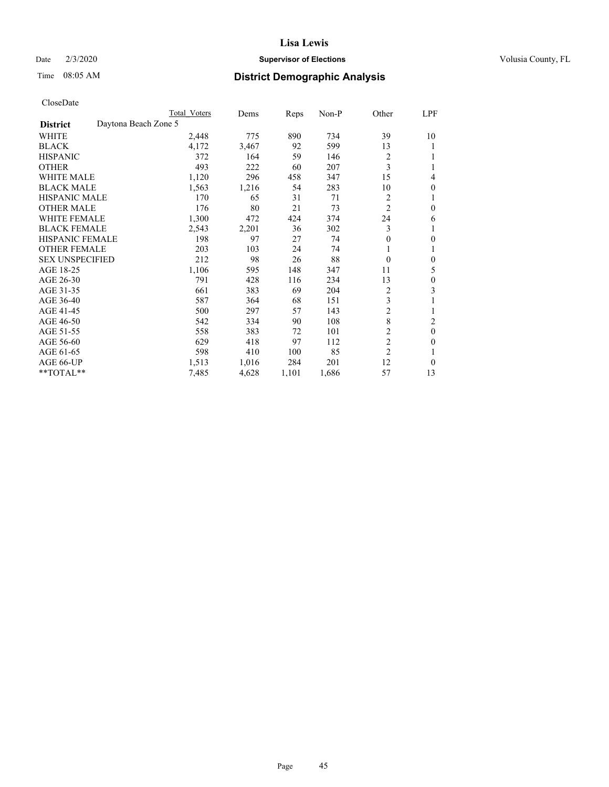#### Date  $2/3/2020$  **Supervisor of Elections** Volusia County, FL

# Time 08:05 AM **District Demographic Analysis**

|                                         | Total Voters | Dems  | Reps  | $Non-P$ | Other          | LPF      |
|-----------------------------------------|--------------|-------|-------|---------|----------------|----------|
| Daytona Beach Zone 5<br><b>District</b> |              |       |       |         |                |          |
| WHITE                                   | 2,448        | 775   | 890   | 734     | 39             | 10       |
| <b>BLACK</b>                            | 4,172        | 3,467 | 92    | 599     | 13             | 1        |
| <b>HISPANIC</b>                         | 372          | 164   | 59    | 146     | $\overline{c}$ |          |
| <b>OTHER</b>                            | 493          | 222   | 60    | 207     | 3              |          |
| <b>WHITE MALE</b>                       | 1,120        | 296   | 458   | 347     | 15             | 4        |
| <b>BLACK MALE</b>                       | 1,563        | 1,216 | 54    | 283     | 10             | 0        |
| <b>HISPANIC MALE</b>                    | 170          | 65    | 31    | 71      | 2              |          |
| <b>OTHER MALE</b>                       | 176          | 80    | 21    | 73      | $\overline{c}$ | 0        |
| WHITE FEMALE                            | 1,300        | 472   | 424   | 374     | 24             | 6        |
| <b>BLACK FEMALE</b>                     | 2,543        | 2,201 | 36    | 302     | 3              |          |
| <b>HISPANIC FEMALE</b>                  | 198          | 97    | 27    | 74      | 0              | 0        |
| <b>OTHER FEMALE</b>                     | 203          | 103   | 24    | 74      | 1              | 1        |
| <b>SEX UNSPECIFIED</b>                  | 212          | 98    | 26    | 88      | $\theta$       | 0        |
| AGE 18-25                               | 1,106        | 595   | 148   | 347     | 11             | 5        |
| AGE 26-30                               | 791          | 428   | 116   | 234     | 13             | 0        |
| AGE 31-35                               | 661          | 383   | 69    | 204     | $\overline{c}$ | 3        |
| AGE 36-40                               | 587          | 364   | 68    | 151     | 3              |          |
| AGE 41-45                               | 500          | 297   | 57    | 143     | $\overline{c}$ | 1        |
| AGE 46-50                               | 542          | 334   | 90    | 108     | 8              | 2        |
| AGE 51-55                               | 558          | 383   | 72    | 101     | $\overline{2}$ | $\theta$ |
| AGE 56-60                               | 629          | 418   | 97    | 112     | $\overline{c}$ | 0        |
| AGE 61-65                               | 598          | 410   | 100   | 85      | $\overline{2}$ |          |
| AGE 66-UP                               | 1,513        | 1,016 | 284   | 201     | 12             | 0        |
| $*$ TOTAL $*$                           | 7,485        | 4,628 | 1,101 | 1,686   | 57             | 13       |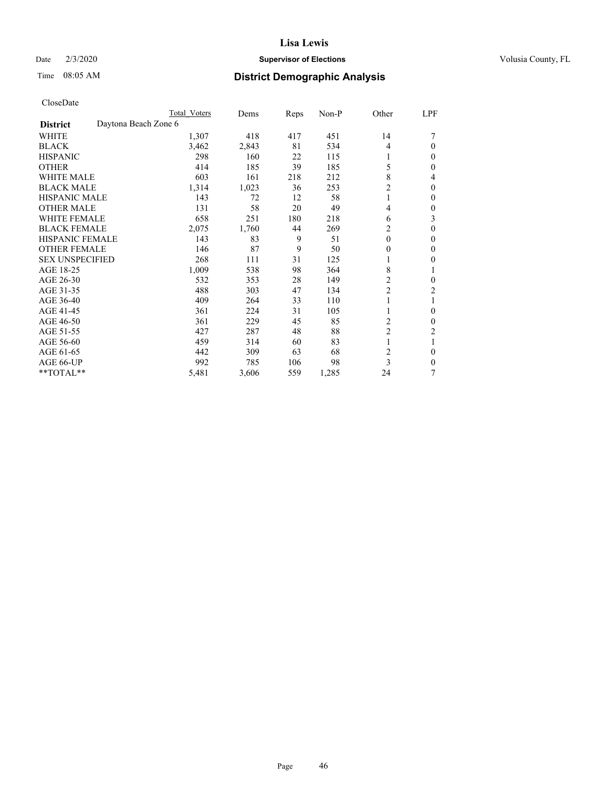## Date  $2/3/2020$  **Supervisor of Elections** Volusia County, FL

# Time 08:05 AM **District Demographic Analysis**

|                        | Total Voters         | Dems  | Reps | Non-P | Other          | LPF          |
|------------------------|----------------------|-------|------|-------|----------------|--------------|
| <b>District</b>        | Daytona Beach Zone 6 |       |      |       |                |              |
| WHITE                  | 1,307                | 418   | 417  | 451   | 14             |              |
| <b>BLACK</b>           | 3,462                | 2,843 | 81   | 534   | $\overline{4}$ | 0            |
| <b>HISPANIC</b>        | 298                  | 160   | 22   | 115   |                | 0            |
| <b>OTHER</b>           | 414                  | 185   | 39   | 185   | 5              | 0            |
| WHITE MALE             | 603                  | 161   | 218  | 212   | 8              | 4            |
| <b>BLACK MALE</b>      | 1,314                | 1,023 | 36   | 253   | $\overline{c}$ | $\mathbf{0}$ |
| <b>HISPANIC MALE</b>   | 143                  | 72    | 12   | 58    | 1              | 0            |
| <b>OTHER MALE</b>      | 131                  | 58    | 20   | 49    | 4              | 0            |
| <b>WHITE FEMALE</b>    | 658                  | 251   | 180  | 218   | 6              | 3            |
| <b>BLACK FEMALE</b>    | 2,075                | 1,760 | 44   | 269   | 2              | 0            |
| <b>HISPANIC FEMALE</b> | 143                  | 83    | 9    | 51    | $\theta$       | 0            |
| <b>OTHER FEMALE</b>    | 146                  | 87    | 9    | 50    | $\theta$       | 0            |
| <b>SEX UNSPECIFIED</b> | 268                  | 111   | 31   | 125   |                | 0            |
| AGE 18-25              | 1,009                | 538   | 98   | 364   | 8              |              |
| AGE 26-30              | 532                  | 353   | 28   | 149   | $\overline{c}$ | $\mathbf{0}$ |
| AGE 31-35              | 488                  | 303   | 47   | 134   | 2              | 2            |
| AGE 36-40              | 409                  | 264   | 33   | 110   |                |              |
| AGE 41-45              | 361                  | 224   | 31   | 105   |                | 0            |
| AGE 46-50              | 361                  | 229   | 45   | 85    | 2              | 0            |
| AGE 51-55              | 427                  | 287   | 48   | 88    | $\overline{c}$ | 2            |
| AGE 56-60              | 459                  | 314   | 60   | 83    |                |              |
| AGE 61-65              | 442                  | 309   | 63   | 68    | 2              | 0            |
| AGE 66-UP              | 992                  | 785   | 106  | 98    | 3              | 0            |
| **TOTAL**              | 5,481                | 3,606 | 559  | 1,285 | 24             | 7            |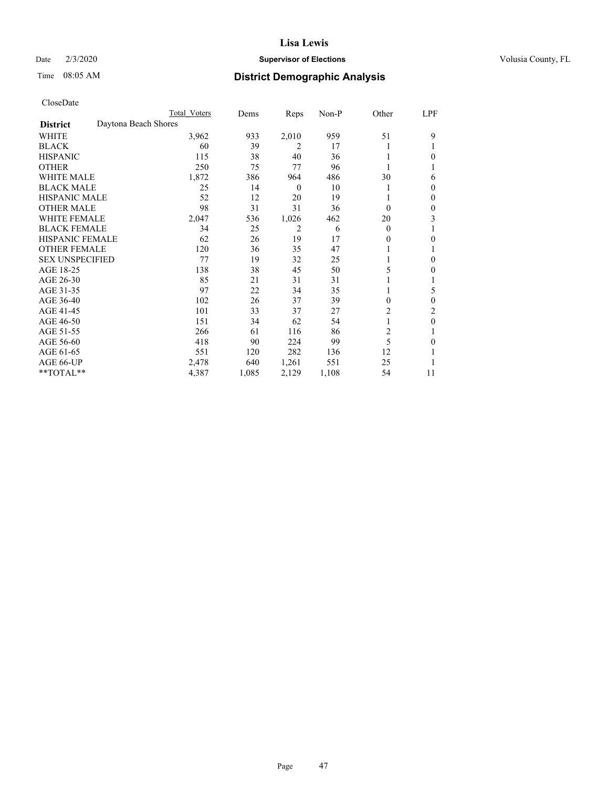## Date  $2/3/2020$  **Supervisor of Elections** Volusia County, FL

# Time 08:05 AM **District Demographic Analysis**

|                        | Total Voters         | Dems  | Reps             | Non-P | Other          | LPF          |
|------------------------|----------------------|-------|------------------|-------|----------------|--------------|
| <b>District</b>        | Daytona Beach Shores |       |                  |       |                |              |
| <b>WHITE</b>           | 3,962                | 933   | 2,010            | 959   | 51             | 9            |
| <b>BLACK</b>           | 60                   | 39    | 2                | 17    |                |              |
| <b>HISPANIC</b>        | 115                  | 38    | 40               | 36    |                | $\theta$     |
| <b>OTHER</b>           | 250                  | 75    | 77               | 96    |                |              |
| <b>WHITE MALE</b>      | 1,872                | 386   | 964              | 486   | 30             | 6            |
| <b>BLACK MALE</b>      | 25                   | 14    | $\boldsymbol{0}$ | 10    |                | $\mathbf{0}$ |
| <b>HISPANIC MALE</b>   | 52                   | 12    | 20               | 19    |                | $\mathbf{0}$ |
| <b>OTHER MALE</b>      | 98                   | 31    | 31               | 36    | $\theta$       | $\theta$     |
| <b>WHITE FEMALE</b>    | 2,047                | 536   | 1,026            | 462   | 20             | 3            |
| <b>BLACK FEMALE</b>    | 34                   | 25    | 2                | 6     | $\theta$       |              |
| <b>HISPANIC FEMALE</b> | 62                   | 26    | 19               | 17    | 0              | $\theta$     |
| <b>OTHER FEMALE</b>    | 120                  | 36    | 35               | 47    |                |              |
| <b>SEX UNSPECIFIED</b> | 77                   | 19    | 32               | 25    |                | $\theta$     |
| AGE 18-25              | 138                  | 38    | 45               | 50    | 5              | $\theta$     |
| AGE 26-30              | 85                   | 21    | 31               | 31    |                | 1            |
| AGE 31-35              | 97                   | 22    | 34               | 35    |                | 5            |
| AGE 36-40              | 102                  | 26    | 37               | 39    | 0              | $\theta$     |
| AGE 41-45              | 101                  | 33    | 37               | 27    | 2              | 2            |
| AGE 46-50              | 151                  | 34    | 62               | 54    |                | $\theta$     |
| AGE 51-55              | 266                  | 61    | 116              | 86    | $\overline{c}$ | 1            |
| AGE 56-60              | 418                  | 90    | 224              | 99    | 5              | $\theta$     |
| AGE 61-65              | 551                  | 120   | 282              | 136   | 12             | 1            |
| AGE 66-UP              | 2,478                | 640   | 1,261            | 551   | 25             |              |
| **TOTAL**              | 4,387                | 1,085 | 2,129            | 1,108 | 54             | 11           |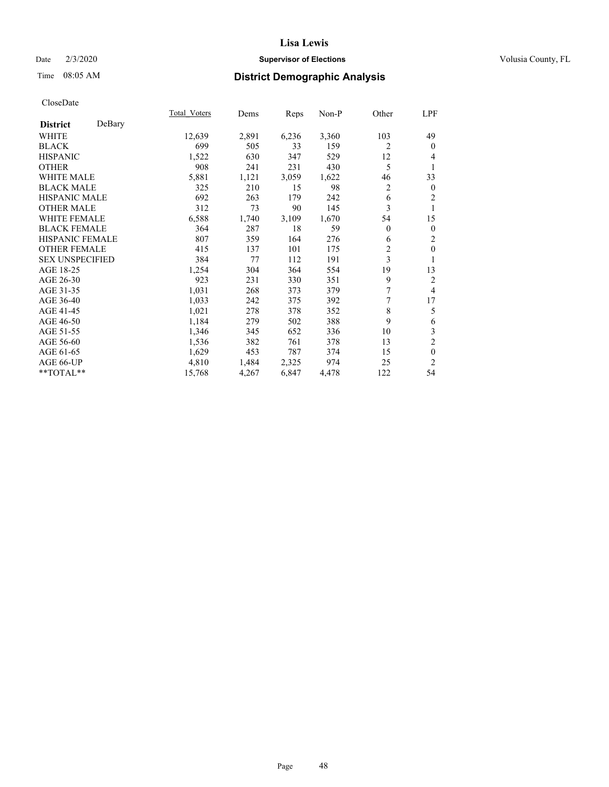## Date  $2/3/2020$  **Supervisor of Elections** Volusia County, FL

# Time 08:05 AM **District Demographic Analysis**

|                        |        | Total Voters | Dems  | Reps  | Non-P | Other          | LPF            |
|------------------------|--------|--------------|-------|-------|-------|----------------|----------------|
| <b>District</b>        | DeBary |              |       |       |       |                |                |
| WHITE                  |        | 12,639       | 2,891 | 6,236 | 3,360 | 103            | 49             |
| <b>BLACK</b>           |        | 699          | 505   | 33    | 159   | 2              | $\mathbf{0}$   |
| <b>HISPANIC</b>        |        | 1,522        | 630   | 347   | 529   | 12             | 4              |
| <b>OTHER</b>           |        | 908          | 241   | 231   | 430   | 5              | 1              |
| WHITE MALE             |        | 5,881        | 1,121 | 3,059 | 1,622 | 46             | 33             |
| <b>BLACK MALE</b>      |        | 325          | 210   | 15    | 98    | $\overline{c}$ | $\mathbf{0}$   |
| <b>HISPANIC MALE</b>   |        | 692          | 263   | 179   | 242   | 6              | 2              |
| <b>OTHER MALE</b>      |        | 312          | 73    | 90    | 145   | 3              | 1              |
| WHITE FEMALE           |        | 6,588        | 1,740 | 3,109 | 1,670 | 54             | 15             |
| <b>BLACK FEMALE</b>    |        | 364          | 287   | 18    | 59    | $\overline{0}$ | $\mathbf{0}$   |
| <b>HISPANIC FEMALE</b> |        | 807          | 359   | 164   | 276   | 6              | 2              |
| <b>OTHER FEMALE</b>    |        | 415          | 137   | 101   | 175   | $\overline{c}$ | $\mathbf{0}$   |
| <b>SEX UNSPECIFIED</b> |        | 384          | 77    | 112   | 191   | 3              | 1              |
| AGE 18-25              |        | 1,254        | 304   | 364   | 554   | 19             | 13             |
| AGE 26-30              |        | 923          | 231   | 330   | 351   | 9              | 2              |
| AGE 31-35              |        | 1,031        | 268   | 373   | 379   | 7              | $\overline{4}$ |
| AGE 36-40              |        | 1,033        | 242   | 375   | 392   | 7              | 17             |
| AGE 41-45              |        | 1,021        | 278   | 378   | 352   | 8              | 5              |
| AGE 46-50              |        | 1,184        | 279   | 502   | 388   | 9              | 6              |
| AGE 51-55              |        | 1,346        | 345   | 652   | 336   | 10             | $\mathfrak{Z}$ |
| AGE 56-60              |        | 1,536        | 382   | 761   | 378   | 13             | $\overline{c}$ |
| AGE 61-65              |        | 1,629        | 453   | 787   | 374   | 15             | $\mathbf{0}$   |
| AGE 66-UP              |        | 4,810        | 1,484 | 2,325 | 974   | 25             | $\overline{c}$ |
| $*$ TOTAL $**$         |        | 15,768       | 4,267 | 6,847 | 4,478 | 122            | 54             |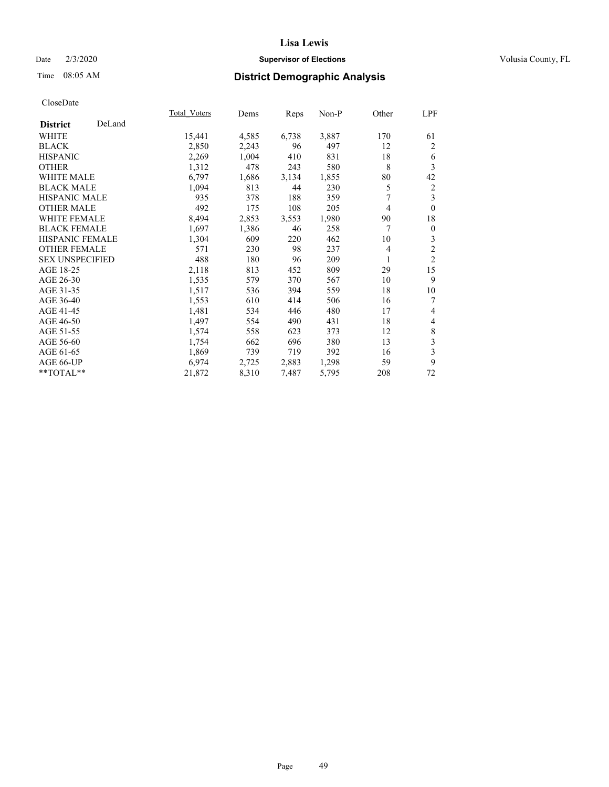## Date  $2/3/2020$  **Supervisor of Elections** Volusia County, FL

## Time 08:05 AM **District Demographic Analysis**

|                        |        | Total Voters | Dems  | Reps  | Non-P | Other          | LPF                     |
|------------------------|--------|--------------|-------|-------|-------|----------------|-------------------------|
| <b>District</b>        | DeLand |              |       |       |       |                |                         |
| WHITE                  |        | 15,441       | 4,585 | 6,738 | 3,887 | 170            | 61                      |
| <b>BLACK</b>           |        | 2,850        | 2,243 | 96    | 497   | 12             | 2                       |
| <b>HISPANIC</b>        |        | 2,269        | 1,004 | 410   | 831   | 18             | 6                       |
| <b>OTHER</b>           |        | 1,312        | 478   | 243   | 580   | 8              | 3                       |
| WHITE MALE             |        | 6,797        | 1,686 | 3,134 | 1,855 | 80             | 42                      |
| <b>BLACK MALE</b>      |        | 1,094        | 813   | 44    | 230   | 5              | 2                       |
| <b>HISPANIC MALE</b>   |        | 935          | 378   | 188   | 359   | 7              | 3                       |
| <b>OTHER MALE</b>      |        | 492          | 175   | 108   | 205   | 4              | $\mathbf{0}$            |
| WHITE FEMALE           |        | 8,494        | 2,853 | 3,553 | 1,980 | 90             | 18                      |
| <b>BLACK FEMALE</b>    |        | 1,697        | 1,386 | 46    | 258   | 7              | $\boldsymbol{0}$        |
| <b>HISPANIC FEMALE</b> |        | 1,304        | 609   | 220   | 462   | 10             | 3                       |
| <b>OTHER FEMALE</b>    |        | 571          | 230   | 98    | 237   | $\overline{4}$ | $\overline{2}$          |
| <b>SEX UNSPECIFIED</b> |        | 488          | 180   | 96    | 209   | 1              | $\overline{2}$          |
| AGE 18-25              |        | 2,118        | 813   | 452   | 809   | 29             | 15                      |
| AGE 26-30              |        | 1,535        | 579   | 370   | 567   | 10             | 9                       |
| AGE 31-35              |        | 1,517        | 536   | 394   | 559   | 18             | 10                      |
| AGE 36-40              |        | 1,553        | 610   | 414   | 506   | 16             | 7                       |
| AGE 41-45              |        | 1,481        | 534   | 446   | 480   | 17             | 4                       |
| AGE 46-50              |        | 1,497        | 554   | 490   | 431   | 18             | 4                       |
| AGE 51-55              |        | 1,574        | 558   | 623   | 373   | 12             | 8                       |
| AGE 56-60              |        | 1,754        | 662   | 696   | 380   | 13             | $\overline{\mathbf{3}}$ |
| AGE 61-65              |        | 1,869        | 739   | 719   | 392   | 16             | 3                       |
| AGE 66-UP              |        | 6,974        | 2,725 | 2,883 | 1,298 | 59             | 9                       |
| **TOTAL**              |        | 21,872       | 8,310 | 7,487 | 5,795 | 208            | 72                      |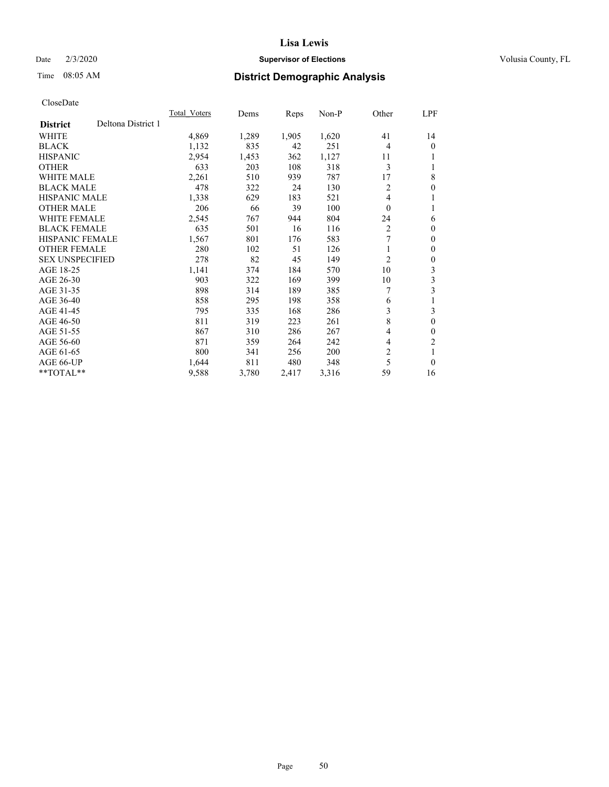## Date  $2/3/2020$  **Supervisor of Elections** Volusia County, FL

# Time 08:05 AM **District Demographic Analysis**

|                                       | Total Voters | Dems  | Reps  | Non-P | Other    | LPF            |
|---------------------------------------|--------------|-------|-------|-------|----------|----------------|
| Deltona District 1<br><b>District</b> |              |       |       |       |          |                |
| WHITE                                 | 4,869        | 1,289 | 1,905 | 1,620 | 41       | 14             |
| <b>BLACK</b>                          | 1,132        | 835   | 42    | 251   | 4        | 0              |
| <b>HISPANIC</b>                       | 2,954        | 1,453 | 362   | 1,127 | 11       |                |
| <b>OTHER</b>                          | 633          | 203   | 108   | 318   | 3        |                |
| <b>WHITE MALE</b>                     | 2,261        | 510   | 939   | 787   | 17       | 8              |
| <b>BLACK MALE</b>                     | 478          | 322   | 24    | 130   | 2        | 0              |
| HISPANIC MALE                         | 1,338        | 629   | 183   | 521   | 4        |                |
| <b>OTHER MALE</b>                     | 206          | 66    | 39    | 100   | $\Omega$ | 1              |
| WHITE FEMALE                          | 2,545        | 767   | 944   | 804   | 24       | 6              |
| <b>BLACK FEMALE</b>                   | 635          | 501   | 16    | 116   | 2        | 0              |
| <b>HISPANIC FEMALE</b>                | 1,567        | 801   | 176   | 583   | 7        | 0              |
| <b>OTHER FEMALE</b>                   | 280          | 102   | 51    | 126   | 1        | 0              |
| <b>SEX UNSPECIFIED</b>                | 278          | 82    | 45    | 149   | 2        | 0              |
| AGE 18-25                             | 1,141        | 374   | 184   | 570   | 10       | 3              |
| AGE 26-30                             | 903          | 322   | 169   | 399   | 10       | 3              |
| AGE 31-35                             | 898          | 314   | 189   | 385   | 7        | 3              |
| AGE 36-40                             | 858          | 295   | 198   | 358   | 6        |                |
| AGE 41-45                             | 795          | 335   | 168   | 286   | 3        | 3              |
| AGE 46-50                             | 811          | 319   | 223   | 261   | 8        | $\theta$       |
| AGE 51-55                             | 867          | 310   | 286   | 267   | 4        | 0              |
| AGE 56-60                             | 871          | 359   | 264   | 242   | 4        | $\overline{c}$ |
| AGE 61-65                             | 800          | 341   | 256   | 200   | 2        | 1              |
| AGE 66-UP                             | 1,644        | 811   | 480   | 348   | 5        | 0              |
| $*$ $*$ TOTAL $*$ $*$                 | 9,588        | 3,780 | 2,417 | 3,316 | 59       | 16             |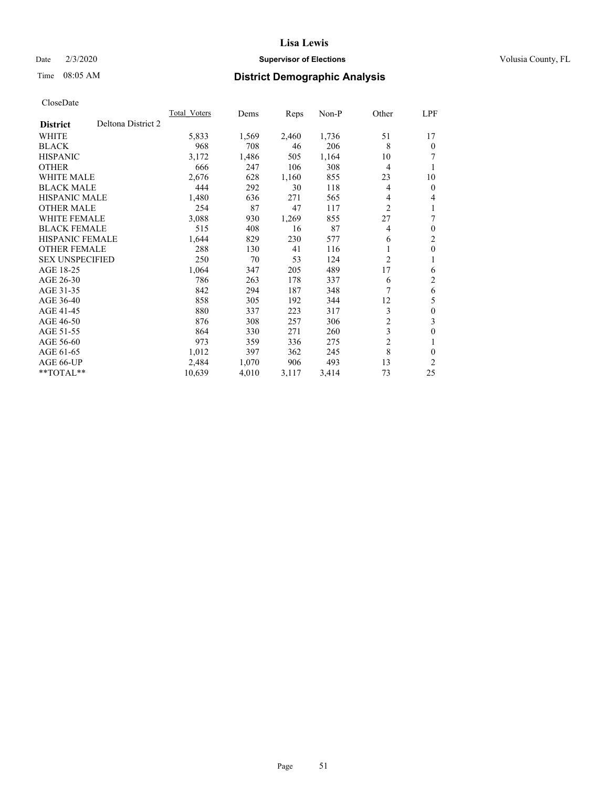## Date  $2/3/2020$  **Supervisor of Elections** Volusia County, FL

# Time 08:05 AM **District Demographic Analysis**

|                                       | Total Voters | Dems  | Reps  | $Non-P$ | Other          | <u>LPF</u>       |
|---------------------------------------|--------------|-------|-------|---------|----------------|------------------|
| Deltona District 2<br><b>District</b> |              |       |       |         |                |                  |
| WHITE                                 | 5,833        | 1,569 | 2,460 | 1,736   | 51             | 17               |
| <b>BLACK</b>                          | 968          | 708   | 46    | 206     | 8              | $\theta$         |
| <b>HISPANIC</b>                       | 3,172        | 1,486 | 505   | 1,164   | 10             |                  |
| <b>OTHER</b>                          | 666          | 247   | 106   | 308     | 4              | 1                |
| <b>WHITE MALE</b>                     | 2,676        | 628   | 1,160 | 855     | 23             | 10               |
| <b>BLACK MALE</b>                     | 444          | 292   | 30    | 118     | 4              | $\mathbf{0}$     |
| <b>HISPANIC MALE</b>                  | 1,480        | 636   | 271   | 565     | 4              | 4                |
| <b>OTHER MALE</b>                     | 254          | 87    | 47    | 117     | $\overline{c}$ | 1                |
| <b>WHITE FEMALE</b>                   | 3,088        | 930   | 1,269 | 855     | 27             | 7                |
| <b>BLACK FEMALE</b>                   | 515          | 408   | 16    | 87      | 4              | $\mathbf{0}$     |
| <b>HISPANIC FEMALE</b>                | 1,644        | 829   | 230   | 577     | 6              | $\overline{c}$   |
| <b>OTHER FEMALE</b>                   | 288          | 130   | 41    | 116     | 1              | $\mathbf{0}$     |
| <b>SEX UNSPECIFIED</b>                | 250          | 70    | 53    | 124     | 2              | 1                |
| AGE 18-25                             | 1,064        | 347   | 205   | 489     | 17             | 6                |
| AGE 26-30                             | 786          | 263   | 178   | 337     | 6              | $\mathfrak{2}$   |
| AGE 31-35                             | 842          | 294   | 187   | 348     | 7              | 6                |
| AGE 36-40                             | 858          | 305   | 192   | 344     | 12             | 5                |
| AGE 41-45                             | 880          | 337   | 223   | 317     | 3              | $\boldsymbol{0}$ |
| AGE 46-50                             | 876          | 308   | 257   | 306     | $\overline{c}$ | 3                |
| AGE 51-55                             | 864          | 330   | 271   | 260     | 3              | $\mathbf{0}$     |
| AGE 56-60                             | 973          | 359   | 336   | 275     | $\overline{2}$ | 1                |
| AGE 61-65                             | 1,012        | 397   | 362   | 245     | 8              | $\theta$         |
| AGE 66-UP                             | 2,484        | 1,070 | 906   | 493     | 13             | 2                |
| $*$ TOTAL $*$                         | 10,639       | 4,010 | 3,117 | 3,414   | 73             | 25               |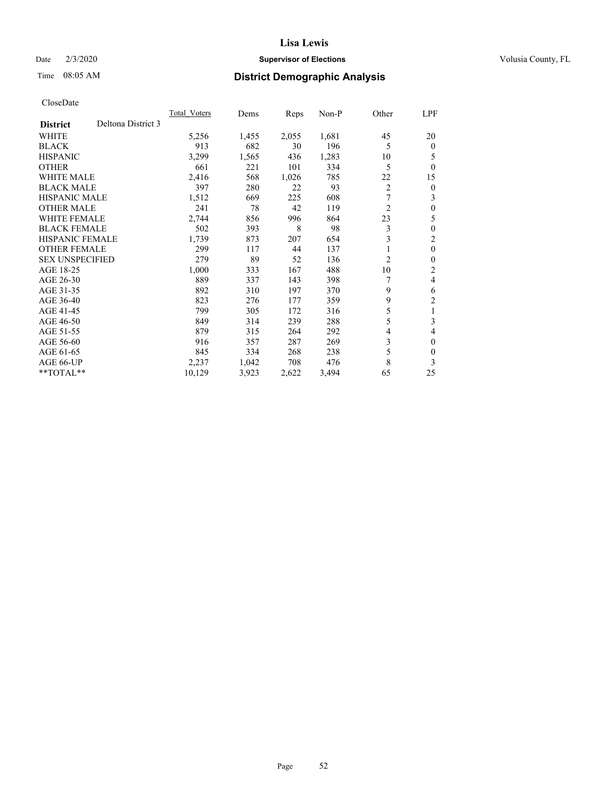## Date  $2/3/2020$  **Supervisor of Elections** Volusia County, FL

## Time 08:05 AM **District Demographic Analysis**

|                                       | Total Voters | Dems  | Reps  | $Non-P$ | Other          | LPF            |
|---------------------------------------|--------------|-------|-------|---------|----------------|----------------|
| Deltona District 3<br><b>District</b> |              |       |       |         |                |                |
| <b>WHITE</b>                          | 5,256        | 1,455 | 2,055 | 1,681   | 45             | 20             |
| <b>BLACK</b>                          | 913          | 682   | 30    | 196     | 5              | $\Omega$       |
| <b>HISPANIC</b>                       | 3,299        | 1,565 | 436   | 1,283   | 10             | 5              |
| <b>OTHER</b>                          | 661          | 221   | 101   | 334     | 5              | $\Omega$       |
| <b>WHITE MALE</b>                     | 2,416        | 568   | 1,026 | 785     | 22             | 15             |
| <b>BLACK MALE</b>                     | 397          | 280   | 22    | 93      | $\overline{2}$ | $\overline{0}$ |
| HISPANIC MALE                         | 1,512        | 669   | 225   | 608     | 7              | 3              |
| <b>OTHER MALE</b>                     | 241          | 78    | 42    | 119     | $\overline{2}$ | 0              |
| <b>WHITE FEMALE</b>                   | 2,744        | 856   | 996   | 864     | 23             | 5              |
| <b>BLACK FEMALE</b>                   | 502          | 393   | 8     | 98      | 3              | 0              |
| <b>HISPANIC FEMALE</b>                | 1,739        | 873   | 207   | 654     | 3              | 2              |
| <b>OTHER FEMALE</b>                   | 299          | 117   | 44    | 137     |                | 0              |
| <b>SEX UNSPECIFIED</b>                | 279          | 89    | 52    | 136     | $\overline{2}$ | 0              |
| AGE 18-25                             | 1,000        | 333   | 167   | 488     | 10             | 2              |
| AGE 26-30                             | 889          | 337   | 143   | 398     |                | 4              |
| AGE 31-35                             | 892          | 310   | 197   | 370     | 9              | 6              |
| AGE 36-40                             | 823          | 276   | 177   | 359     | 9              | 2              |
| AGE 41-45                             | 799          | 305   | 172   | 316     | 5              | 1              |
| AGE 46-50                             | 849          | 314   | 239   | 288     | 5              | 3              |
| AGE 51-55                             | 879          | 315   | 264   | 292     | 4              | 4              |
| AGE 56-60                             | 916          | 357   | 287   | 269     | 3              | 0              |
| AGE 61-65                             | 845          | 334   | 268   | 238     | 5              | 0              |
| AGE 66-UP                             | 2,237        | 1,042 | 708   | 476     | 8              | 3              |
| $*$ TOTAL $*$                         | 10,129       | 3,923 | 2,622 | 3,494   | 65             | 25             |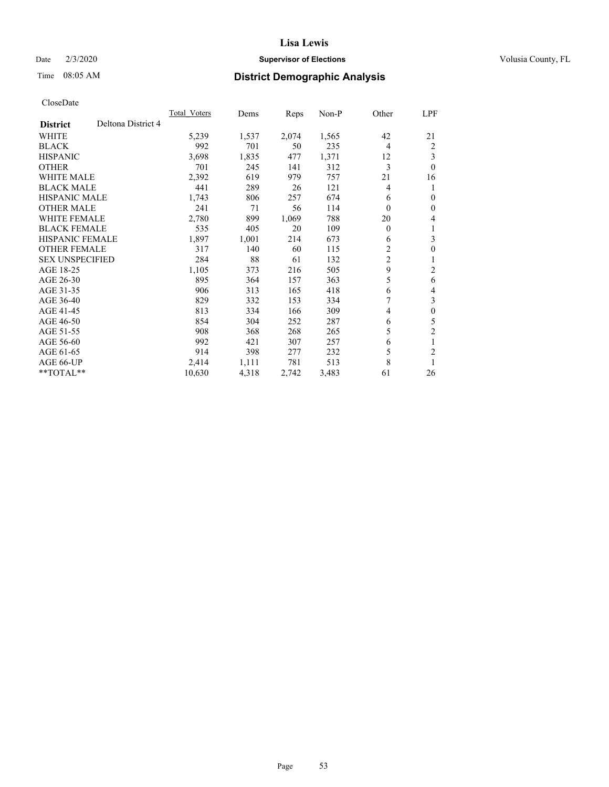## Date  $2/3/2020$  **Supervisor of Elections** Volusia County, FL

# Time 08:05 AM **District Demographic Analysis**

|                        |                    | <b>Total Voters</b> | Dems  | Reps  | $Non-P$ | Other                   | LPF              |
|------------------------|--------------------|---------------------|-------|-------|---------|-------------------------|------------------|
| <b>District</b>        | Deltona District 4 |                     |       |       |         |                         |                  |
| <b>WHITE</b>           |                    | 5,239               | 1,537 | 2,074 | 1,565   | 42                      | 21               |
| <b>BLACK</b>           |                    | 992                 | 701   | 50    | 235     | 4                       | $\overline{2}$   |
| <b>HISPANIC</b>        |                    | 3,698               | 1,835 | 477   | 1,371   | 12                      | 3                |
| <b>OTHER</b>           |                    | 701                 | 245   | 141   | 312     | 3                       | $\theta$         |
| <b>WHITE MALE</b>      |                    | 2,392               | 619   | 979   | 757     | 21                      | 16               |
| <b>BLACK MALE</b>      |                    | 441                 | 289   | 26    | 121     | 4                       | 1                |
| <b>HISPANIC MALE</b>   |                    | 1,743               | 806   | 257   | 674     | 6                       | $\theta$         |
| <b>OTHER MALE</b>      |                    | 241                 | 71    | 56    | 114     | 0                       | $\theta$         |
| <b>WHITE FEMALE</b>    |                    | 2,780               | 899   | 1,069 | 788     | 20                      | 4                |
| <b>BLACK FEMALE</b>    |                    | 535                 | 405   | 20    | 109     | $\boldsymbol{0}$        | 1                |
| <b>HISPANIC FEMALE</b> |                    | 1,897               | 1,001 | 214   | 673     | 6                       | 3                |
| <b>OTHER FEMALE</b>    |                    | 317                 | 140   | 60    | 115     | 2                       | $\theta$         |
| <b>SEX UNSPECIFIED</b> |                    | 284                 | 88    | 61    | 132     | $\overline{\mathbf{c}}$ |                  |
| AGE 18-25              |                    | 1,105               | 373   | 216   | 505     | 9                       | $\overline{c}$   |
| AGE 26-30              |                    | 895                 | 364   | 157   | 363     | 5                       | 6                |
| AGE 31-35              |                    | 906                 | 313   | 165   | 418     | 6                       | 4                |
| AGE 36-40              |                    | 829                 | 332   | 153   | 334     | 7                       | 3                |
| AGE 41-45              |                    | 813                 | 334   | 166   | 309     | 4                       | $\boldsymbol{0}$ |
| AGE 46-50              |                    | 854                 | 304   | 252   | 287     | 6                       | 5                |
| AGE 51-55              |                    | 908                 | 368   | 268   | 265     | 5                       | $\overline{c}$   |
| AGE 56-60              |                    | 992                 | 421   | 307   | 257     | 6                       | 1                |
| AGE 61-65              |                    | 914                 | 398   | 277   | 232     | 5                       | $\overline{c}$   |
| AGE 66-UP              |                    | 2,414               | 1,111 | 781   | 513     | 8                       | 1                |
| $*$ TOTAL $*$          |                    | 10,630              | 4,318 | 2,742 | 3,483   | 61                      | 26               |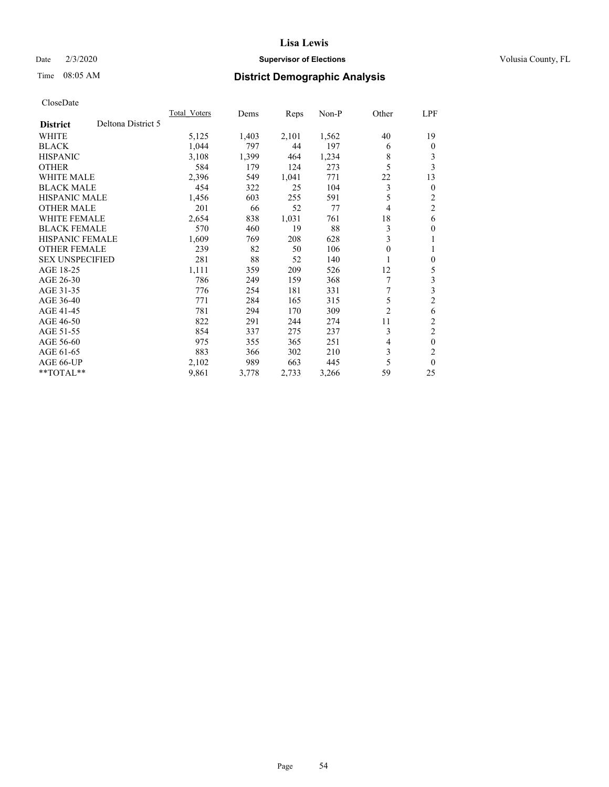## Date  $2/3/2020$  **Supervisor of Elections** Volusia County, FL

## Time 08:05 AM **District Demographic Analysis**

|                        |                    | <b>Total Voters</b> | Dems  | Reps  | $Non-P$ | Other          | LPF            |
|------------------------|--------------------|---------------------|-------|-------|---------|----------------|----------------|
| <b>District</b>        | Deltona District 5 |                     |       |       |         |                |                |
| WHITE                  |                    | 5,125               | 1,403 | 2,101 | 1,562   | 40             | 19             |
| <b>BLACK</b>           |                    | 1.044               | 797   | 44    | 197     | 6              | $\mathbf{0}$   |
| <b>HISPANIC</b>        |                    | 3,108               | 1,399 | 464   | 1,234   | 8              | 3              |
| <b>OTHER</b>           |                    | 584                 | 179   | 124   | 273     | 5              | 3              |
| <b>WHITE MALE</b>      |                    | 2,396               | 549   | 1,041 | 771     | 22             | 13             |
| <b>BLACK MALE</b>      |                    | 454                 | 322   | 25    | 104     | 3              | $\mathbf{0}$   |
| <b>HISPANIC MALE</b>   |                    | 1,456               | 603   | 255   | 591     | 5              | 2              |
| <b>OTHER MALE</b>      |                    | 201                 | 66    | 52    | 77      | 4              | $\overline{2}$ |
| <b>WHITE FEMALE</b>    |                    | 2,654               | 838   | 1,031 | 761     | 18             | 6              |
| <b>BLACK FEMALE</b>    |                    | 570                 | 460   | 19    | 88      | 3              | $\theta$       |
| <b>HISPANIC FEMALE</b> |                    | 1,609               | 769   | 208   | 628     | 3              | 1              |
| <b>OTHER FEMALE</b>    |                    | 239                 | 82    | 50    | 106     | 0              | 1              |
| <b>SEX UNSPECIFIED</b> |                    | 281                 | 88    | 52    | 140     |                | $\theta$       |
| AGE 18-25              |                    | 1,111               | 359   | 209   | 526     | 12             | 5              |
| AGE 26-30              |                    | 786                 | 249   | 159   | 368     |                | 3              |
| AGE 31-35              |                    | 776                 | 254   | 181   | 331     | 7              | 3              |
| AGE 36-40              |                    | 771                 | 284   | 165   | 315     | 5              | $\overline{2}$ |
| AGE 41-45              |                    | 781                 | 294   | 170   | 309     | $\overline{c}$ | 6              |
| AGE 46-50              |                    | 822                 | 291   | 244   | 274     | 11             | 2              |
| AGE 51-55              |                    | 854                 | 337   | 275   | 237     | 3              | $\overline{c}$ |
| AGE 56-60              |                    | 975                 | 355   | 365   | 251     | 4              | $\theta$       |
| AGE 61-65              |                    | 883                 | 366   | 302   | 210     | 3              | $\overline{c}$ |
| AGE 66-UP              |                    | 2,102               | 989   | 663   | 445     | 5              | $\theta$       |
| $*$ TOTAL $*$          |                    | 9,861               | 3,778 | 2,733 | 3,266   | 59             | 25             |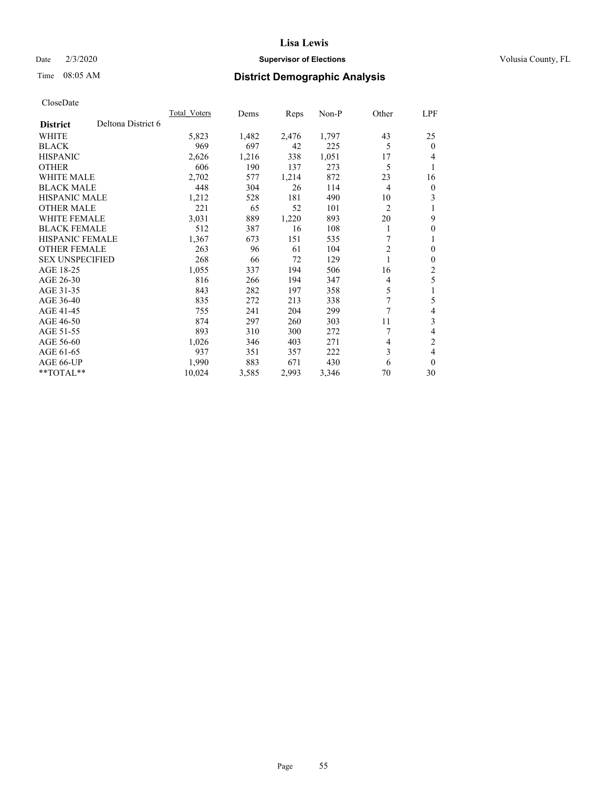## Date  $2/3/2020$  **Supervisor of Elections** Volusia County, FL

# Time 08:05 AM **District Demographic Analysis**

|                                       | <b>Total Voters</b> | Dems  | Reps  | $Non-P$ | Other          | LPF            |
|---------------------------------------|---------------------|-------|-------|---------|----------------|----------------|
| Deltona District 6<br><b>District</b> |                     |       |       |         |                |                |
| <b>WHITE</b>                          | 5,823               | 1,482 | 2,476 | 1,797   | 43             | 25             |
| <b>BLACK</b>                          | 969                 | 697   | 42    | 225     | 5              | $\theta$       |
| <b>HISPANIC</b>                       | 2,626               | 1,216 | 338   | 1,051   | 17             | 4              |
| <b>OTHER</b>                          | 606                 | 190   | 137   | 273     | 5              | 1              |
| <b>WHITE MALE</b>                     | 2,702               | 577   | 1,214 | 872     | 23             | 16             |
| <b>BLACK MALE</b>                     | 448                 | 304   | 26    | 114     | 4              | $\overline{0}$ |
| <b>HISPANIC MALE</b>                  | 1,212               | 528   | 181   | 490     | 10             | 3              |
| <b>OTHER MALE</b>                     | 221                 | 65    | 52    | 101     | $\overline{c}$ | 1              |
| <b>WHITE FEMALE</b>                   | 3,031               | 889   | 1,220 | 893     | 20             | 9              |
| <b>BLACK FEMALE</b>                   | 512                 | 387   | 16    | 108     | 1              | $\theta$       |
| <b>HISPANIC FEMALE</b>                | 1,367               | 673   | 151   | 535     | 7              | 1              |
| <b>OTHER FEMALE</b>                   | 263                 | 96    | 61    | 104     | 2              | $\mathbf{0}$   |
| <b>SEX UNSPECIFIED</b>                | 268                 | 66    | 72    | 129     |                | $\theta$       |
| AGE 18-25                             | 1,055               | 337   | 194   | 506     | 16             | 2              |
| AGE 26-30                             | 816                 | 266   | 194   | 347     | 4              | 5              |
| AGE 31-35                             | 843                 | 282   | 197   | 358     | 5              | 1              |
| AGE 36-40                             | 835                 | 272   | 213   | 338     | 7              | 5              |
| AGE 41-45                             | 755                 | 241   | 204   | 299     | 7              | 4              |
| AGE 46-50                             | 874                 | 297   | 260   | 303     | 11             | 3              |
| AGE 51-55                             | 893                 | 310   | 300   | 272     | 7              | 4              |
| AGE 56-60                             | 1,026               | 346   | 403   | 271     | 4              | 2              |
| AGE 61-65                             | 937                 | 351   | 357   | 222     | 3              | 4              |
| AGE 66-UP                             | 1,990               | 883   | 671   | 430     | 6              | $\theta$       |
| $*$ TOTAL $*$                         | 10,024              | 3,585 | 2,993 | 3,346   | 70             | 30             |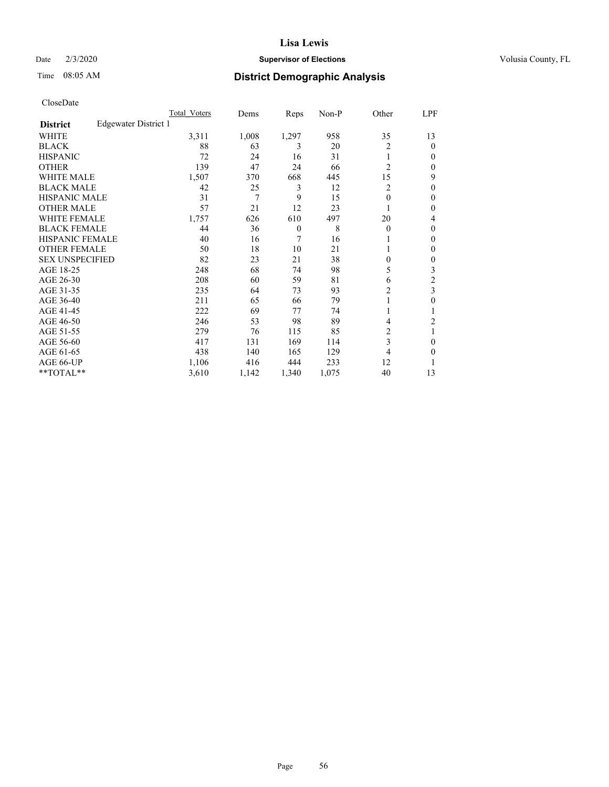## Date  $2/3/2020$  **Supervisor of Elections** Volusia County, FL

# Time 08:05 AM **District Demographic Analysis**

|                        |                      | Total Voters | Dems  | Reps           | Non-P | Other          | LPF    |
|------------------------|----------------------|--------------|-------|----------------|-------|----------------|--------|
| <b>District</b>        | Edgewater District 1 |              |       |                |       |                |        |
| WHITE                  |                      | 3,311        | 1,008 | 1,297          | 958   | 35             | 13     |
| <b>BLACK</b>           |                      | 88           | 63    | 3              | 20    | 2              | 0      |
| <b>HISPANIC</b>        |                      | 72           | 24    | 16             | 31    |                | $_{0}$ |
| <b>OTHER</b>           |                      | 139          | 47    | 24             | 66    | $\overline{2}$ | 0      |
| WHITE MALE             |                      | 1,507        | 370   | 668            | 445   | 15             | 9      |
| <b>BLACK MALE</b>      |                      | 42           | 25    | 3              | 12    | 2              | 0      |
| <b>HISPANIC MALE</b>   |                      | 31           | 7     | 9              | 15    | 0              | 0      |
| <b>OTHER MALE</b>      |                      | 57           | 21    | 12             | 23    |                | 0      |
| WHITE FEMALE           |                      | 1,757        | 626   | 610            | 497   | 20             | 4      |
| <b>BLACK FEMALE</b>    |                      | 44           | 36    | $\overline{0}$ | 8     | $\Omega$       | 0      |
| <b>HISPANIC FEMALE</b> |                      | 40           | 16    | 7              | 16    |                | 0      |
| <b>OTHER FEMALE</b>    |                      | 50           | 18    | 10             | 21    |                | 0      |
| <b>SEX UNSPECIFIED</b> |                      | 82           | 23    | 21             | 38    | 0              | 0      |
| AGE 18-25              |                      | 248          | 68    | 74             | 98    | 5              | 3      |
| AGE 26-30              |                      | 208          | 60    | 59             | 81    | 6              | 2      |
| AGE 31-35              |                      | 235          | 64    | 73             | 93    | 2              | 3      |
| AGE 36-40              |                      | 211          | 65    | 66             | 79    |                | 0      |
| AGE 41-45              |                      | 222          | 69    | 77             | 74    |                |        |
| AGE 46-50              |                      | 246          | 53    | 98             | 89    | 4              | 2      |
| AGE 51-55              |                      | 279          | 76    | 115            | 85    | 2              | 1      |
| AGE 56-60              |                      | 417          | 131   | 169            | 114   | 3              | 0      |
| AGE 61-65              |                      | 438          | 140   | 165            | 129   | 4              | 0      |
| AGE 66-UP              |                      | 1,106        | 416   | 444            | 233   | 12             |        |
| **TOTAL**              |                      | 3,610        | 1,142 | 1,340          | 1,075 | 40             | 13     |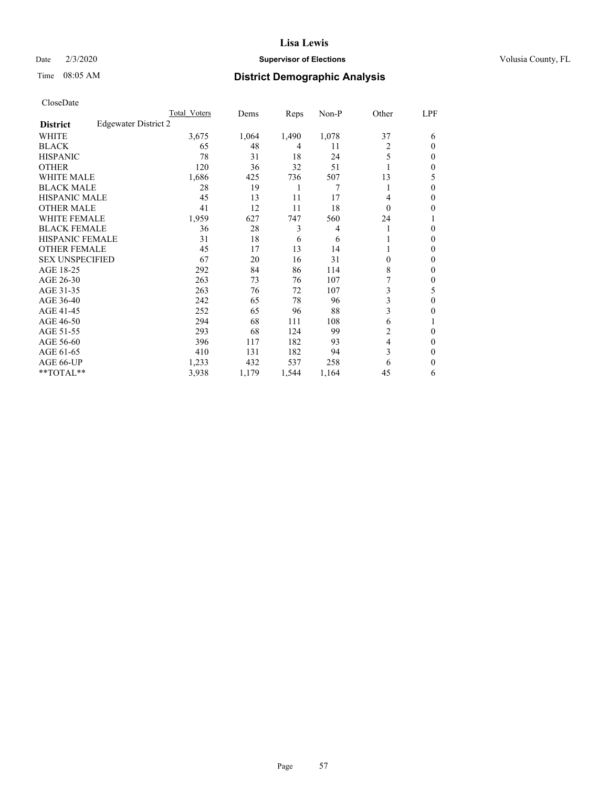#### Date  $2/3/2020$  **Supervisor of Elections** Volusia County, FL

# Time 08:05 AM **District Demographic Analysis**

|                        |                      | Total Voters | Dems  | Reps  | Non-P | Other    | LPF          |
|------------------------|----------------------|--------------|-------|-------|-------|----------|--------------|
| <b>District</b>        | Edgewater District 2 |              |       |       |       |          |              |
| WHITE                  |                      | 3,675        | 1,064 | 1,490 | 1,078 | 37       | 6            |
| <b>BLACK</b>           |                      | 65           | 48    | 4     | 11    | 2        | $\Omega$     |
| <b>HISPANIC</b>        |                      | 78           | 31    | 18    | 24    | 5        | 0            |
| <b>OTHER</b>           |                      | 120          | 36    | 32    | 51    |          | 0            |
| <b>WHITE MALE</b>      |                      | 1,686        | 425   | 736   | 507   | 13       | 5            |
| <b>BLACK MALE</b>      |                      | 28           | 19    | 1     | 7     | 1        | $\Omega$     |
| <b>HISPANIC MALE</b>   |                      | 45           | 13    | 11    | 17    | 4        | 0            |
| <b>OTHER MALE</b>      |                      | 41           | 12    | 11    | 18    | $\theta$ | 0            |
| <b>WHITE FEMALE</b>    |                      | 1,959        | 627   | 747   | 560   | 24       |              |
| <b>BLACK FEMALE</b>    |                      | 36           | 28    | 3     | 4     | 1        | 0            |
| <b>HISPANIC FEMALE</b> |                      | 31           | 18    | 6     | 6     |          | 0            |
| <b>OTHER FEMALE</b>    |                      | 45           | 17    | 13    | 14    |          | 0            |
| <b>SEX UNSPECIFIED</b> |                      | 67           | 20    | 16    | 31    | $\Omega$ | 0            |
| AGE 18-25              |                      | 292          | 84    | 86    | 114   | 8        | 0            |
| AGE 26-30              |                      | 263          | 73    | 76    | 107   |          | $\mathbf{0}$ |
| AGE 31-35              |                      | 263          | 76    | 72    | 107   | 3        | 5            |
| AGE 36-40              |                      | 242          | 65    | 78    | 96    | 3        | 0            |
| AGE 41-45              |                      | 252          | 65    | 96    | 88    | 3        | 0            |
| AGE 46-50              |                      | 294          | 68    | 111   | 108   | 6        |              |
| AGE 51-55              |                      | 293          | 68    | 124   | 99    | 2        | 0            |
| AGE 56-60              |                      | 396          | 117   | 182   | 93    | 4        | 0            |
| AGE 61-65              |                      | 410          | 131   | 182   | 94    | 3        | 0            |
| AGE 66-UP              |                      | 1,233        | 432   | 537   | 258   | 6        | 0            |
| **TOTAL**              |                      | 3,938        | 1,179 | 1,544 | 1,164 | 45       | 6            |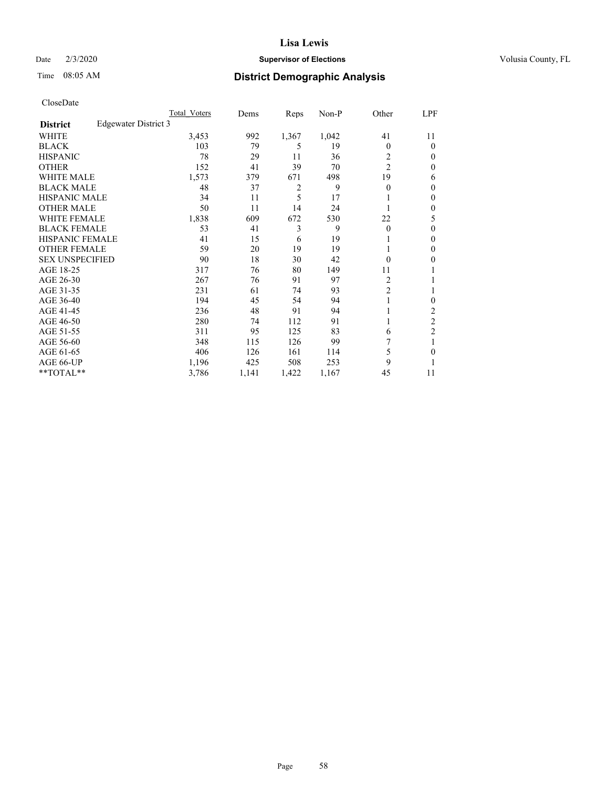## Date  $2/3/2020$  **Supervisor of Elections** Volusia County, FL

# Time 08:05 AM **District Demographic Analysis**

|                        |                      | Total Voters | Dems  | Reps  | Non-P | Other          | LPF            |
|------------------------|----------------------|--------------|-------|-------|-------|----------------|----------------|
| <b>District</b>        | Edgewater District 3 |              |       |       |       |                |                |
| WHITE                  |                      | 3,453        | 992   | 1,367 | 1,042 | 41             | 11             |
| <b>BLACK</b>           |                      | 103          | 79    | 5     | 19    | 0              | $\theta$       |
| <b>HISPANIC</b>        |                      | 78           | 29    | 11    | 36    | 2              | $\Omega$       |
| <b>OTHER</b>           |                      | 152          | 41    | 39    | 70    | $\overline{2}$ | 0              |
| <b>WHITE MALE</b>      |                      | 1,573        | 379   | 671   | 498   | 19             | 6              |
| <b>BLACK MALE</b>      |                      | 48           | 37    | 2     | 9     | 0              | $\mathbf{0}$   |
| <b>HISPANIC MALE</b>   |                      | 34           | 11    | 5     | 17    |                | $\theta$       |
| <b>OTHER MALE</b>      |                      | 50           | 11    | 14    | 24    |                | $\mathbf{0}$   |
| WHITE FEMALE           |                      | 1,838        | 609   | 672   | 530   | 22             | 5              |
| <b>BLACK FEMALE</b>    |                      | 53           | 41    | 3     | 9     | 0              | 0              |
| <b>HISPANIC FEMALE</b> |                      | 41           | 15    | 6     | 19    |                | 0              |
| <b>OTHER FEMALE</b>    |                      | 59           | 20    | 19    | 19    |                | 0              |
| <b>SEX UNSPECIFIED</b> |                      | 90           | 18    | 30    | 42    | 0              | 0              |
| AGE 18-25              |                      | 317          | 76    | 80    | 149   | 11             |                |
| AGE 26-30              |                      | 267          | 76    | 91    | 97    | 2              | 1              |
| AGE 31-35              |                      | 231          | 61    | 74    | 93    | $\overline{2}$ |                |
| AGE 36-40              |                      | 194          | 45    | 54    | 94    |                | 0              |
| AGE 41-45              |                      | 236          | 48    | 91    | 94    |                | 2              |
| AGE 46-50              |                      | 280          | 74    | 112   | 91    |                | $\overline{c}$ |
| AGE 51-55              |                      | 311          | 95    | 125   | 83    | 6              | $\overline{c}$ |
| AGE 56-60              |                      | 348          | 115   | 126   | 99    |                |                |
| AGE 61-65              |                      | 406          | 126   | 161   | 114   | 5              | 0              |
| AGE 66-UP              |                      | 1,196        | 425   | 508   | 253   | 9              |                |
| **TOTAL**              |                      | 3,786        | 1,141 | 1,422 | 1,167 | 45             | 11             |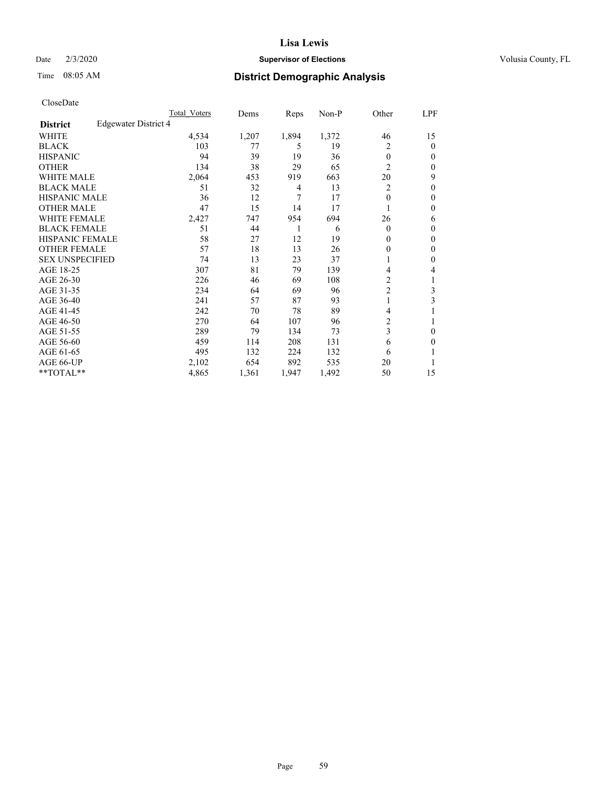#### Date  $2/3/2020$  **Supervisor of Elections** Volusia County, FL

# Time 08:05 AM **District Demographic Analysis**

|                        |                      | Total Voters | Dems  | Reps  | Non-P | Other          | LPF    |
|------------------------|----------------------|--------------|-------|-------|-------|----------------|--------|
| <b>District</b>        | Edgewater District 4 |              |       |       |       |                |        |
| WHITE                  |                      | 4,534        | 1,207 | 1,894 | 1,372 | 46             | 15     |
| <b>BLACK</b>           |                      | 103          | 77    | 5     | 19    | 2              | 0      |
| <b>HISPANIC</b>        |                      | 94           | 39    | 19    | 36    | $\theta$       | $_{0}$ |
| <b>OTHER</b>           |                      | 134          | 38    | 29    | 65    | $\overline{2}$ | 0      |
| WHITE MALE             |                      | 2,064        | 453   | 919   | 663   | 20             | 9      |
| <b>BLACK MALE</b>      |                      | 51           | 32    | 4     | 13    | 2              | 0      |
| <b>HISPANIC MALE</b>   |                      | 36           | 12    | 7     | 17    | 0              | 0      |
| <b>OTHER MALE</b>      |                      | 47           | 15    | 14    | 17    |                | 0      |
| WHITE FEMALE           |                      | 2,427        | 747   | 954   | 694   | 26             | 6      |
| <b>BLACK FEMALE</b>    |                      | 51           | 44    | 1     | 6     | $\Omega$       | 0      |
| <b>HISPANIC FEMALE</b> |                      | 58           | 27    | 12    | 19    | 0              | 0      |
| <b>OTHER FEMALE</b>    |                      | 57           | 18    | 13    | 26    | 0              | 0      |
| <b>SEX UNSPECIFIED</b> |                      | 74           | 13    | 23    | 37    |                | 0      |
| AGE 18-25              |                      | 307          | 81    | 79    | 139   | 4              | 4      |
| AGE 26-30              |                      | 226          | 46    | 69    | 108   | $\overline{2}$ | 1      |
| AGE 31-35              |                      | 234          | 64    | 69    | 96    | $\overline{c}$ | 3      |
| AGE 36-40              |                      | 241          | 57    | 87    | 93    | 1              | 3      |
| AGE 41-45              |                      | 242          | 70    | 78    | 89    | 4              |        |
| AGE 46-50              |                      | 270          | 64    | 107   | 96    | 2              |        |
| AGE 51-55              |                      | 289          | 79    | 134   | 73    | 3              | 0      |
| AGE 56-60              |                      | 459          | 114   | 208   | 131   | 6              | 0      |
| AGE 61-65              |                      | 495          | 132   | 224   | 132   | 6              |        |
| AGE 66-UP              |                      | 2,102        | 654   | 892   | 535   | 20             |        |
| **TOTAL**              |                      | 4,865        | 1,361 | 1,947 | 1,492 | 50             | 15     |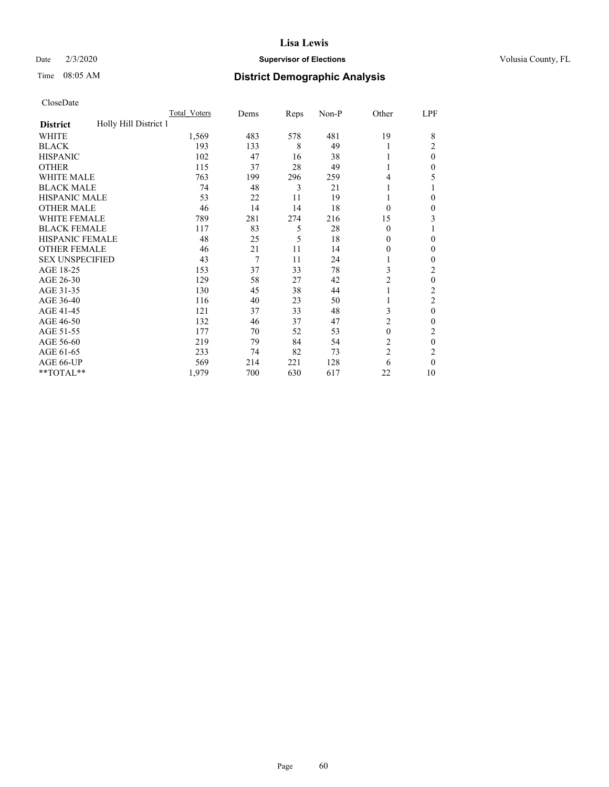#### Date  $2/3/2020$  **Supervisor of Elections** Volusia County, FL

# Time 08:05 AM **District Demographic Analysis**

|                                          | Total Voters | Dems | Reps | Non-P | Other          | LPF            |
|------------------------------------------|--------------|------|------|-------|----------------|----------------|
| Holly Hill District 1<br><b>District</b> |              |      |      |       |                |                |
| WHITE                                    | 1,569        | 483  | 578  | 481   | 19             | 8              |
| <b>BLACK</b>                             | 193          | 133  | 8    | 49    | 1              | 2              |
| <b>HISPANIC</b>                          | 102          | 47   | 16   | 38    | 1              | $\theta$       |
| <b>OTHER</b>                             | 115          | 37   | 28   | 49    | 1              | 0              |
| WHITE MALE                               | 763          | 199  | 296  | 259   | 4              | 5              |
| <b>BLACK MALE</b>                        | 74           | 48   | 3    | 21    | 1              |                |
| <b>HISPANIC MALE</b>                     | 53           | 22   | 11   | 19    | 1              | 0              |
| <b>OTHER MALE</b>                        | 46           | 14   | 14   | 18    | $\theta$       | 0              |
| <b>WHITE FEMALE</b>                      | 789          | 281  | 274  | 216   | 15             | 3              |
| <b>BLACK FEMALE</b>                      | 117          | 83   | 5    | 28    | $\theta$       |                |
| <b>HISPANIC FEMALE</b>                   | 48           | 25   | 5    | 18    | $\theta$       | 0              |
| <b>OTHER FEMALE</b>                      | 46           | 21   | 11   | 14    | $\theta$       | $\Omega$       |
| <b>SEX UNSPECIFIED</b>                   | 43           | 7    | 11   | 24    | 1              | 0              |
| AGE 18-25                                | 153          | 37   | 33   | 78    | 3              | 2              |
| AGE 26-30                                | 129          | 58   | 27   | 42    | 2              | $\theta$       |
| AGE 31-35                                | 130          | 45   | 38   | 44    | 1              | $\overline{c}$ |
| AGE 36-40                                | 116          | 40   | 23   | 50    | 1              | 2              |
| AGE 41-45                                | 121          | 37   | 33   | 48    | 3              | $\theta$       |
| AGE 46-50                                | 132          | 46   | 37   | 47    | $\overline{c}$ | 0              |
| AGE 51-55                                | 177          | 70   | 52   | 53    | $\theta$       | 2              |
| AGE 56-60                                | 219          | 79   | 84   | 54    | $\overline{c}$ | $\theta$       |
| AGE 61-65                                | 233          | 74   | 82   | 73    | $\overline{c}$ | 2              |
| AGE 66-UP                                | 569          | 214  | 221  | 128   | 6              | $\theta$       |
| **TOTAL**                                | 1,979        | 700  | 630  | 617   | 22             | 10             |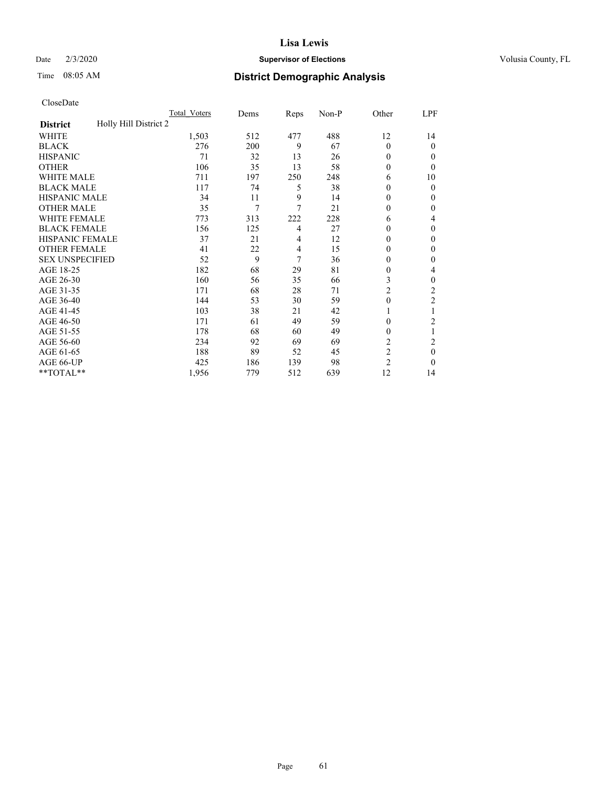#### Date  $2/3/2020$  **Supervisor of Elections** Volusia County, FL

# Time 08:05 AM **District Demographic Analysis**

|                                          | Total Voters | Dems | Reps | Non-P | Other          | LPF            |
|------------------------------------------|--------------|------|------|-------|----------------|----------------|
| Holly Hill District 2<br><b>District</b> |              |      |      |       |                |                |
| WHITE                                    | 1,503        | 512  | 477  | 488   | 12             | 14             |
| <b>BLACK</b>                             | 276          | 200  | 9    | 67    | $\Omega$       | 0              |
| <b>HISPANIC</b>                          | 71           | 32   | 13   | 26    | 0              | $_{0}$         |
| <b>OTHER</b>                             | 106          | 35   | 13   | 58    | 0              | 0              |
| WHITE MALE                               | 711          | 197  | 250  | 248   | 6              | 10             |
| <b>BLACK MALE</b>                        | 117          | 74   | 5    | 38    | 0              | 0              |
| <b>HISPANIC MALE</b>                     | 34           | 11   | 9    | 14    | 0              | 0              |
| <b>OTHER MALE</b>                        | 35           | 7    | 7    | 21    | 0              | 0              |
| WHITE FEMALE                             | 773          | 313  | 222  | 228   | 6              | 4              |
| <b>BLACK FEMALE</b>                      | 156          | 125  | 4    | 27    | 0              | 0              |
| <b>HISPANIC FEMALE</b>                   | 37           | 21   | 4    | 12    | 0              | 0              |
| <b>OTHER FEMALE</b>                      | 41           | 22   | 4    | 15    | 0              | 0              |
| <b>SEX UNSPECIFIED</b>                   | 52           | 9    | 7    | 36    | 0              | 0              |
| AGE 18-25                                | 182          | 68   | 29   | 81    | 0              | 4              |
| AGE 26-30                                | 160          | 56   | 35   | 66    | 3              | 0              |
| AGE 31-35                                | 171          | 68   | 28   | 71    | $\overline{2}$ | $\overline{c}$ |
| AGE 36-40                                | 144          | 53   | 30   | 59    | $\theta$       | 2              |
| AGE 41-45                                | 103          | 38   | 21   | 42    |                |                |
| AGE 46-50                                | 171          | 61   | 49   | 59    | 0              | $\overline{c}$ |
| AGE 51-55                                | 178          | 68   | 60   | 49    | 0              | 1              |
| AGE 56-60                                | 234          | 92   | 69   | 69    | $\overline{c}$ | 2              |
| AGE 61-65                                | 188          | 89   | 52   | 45    | 2              | 0              |
| AGE 66-UP                                | 425          | 186  | 139  | 98    | $\overline{c}$ | 0              |
| **TOTAL**                                | 1,956        | 779  | 512  | 639   | 12             | 14             |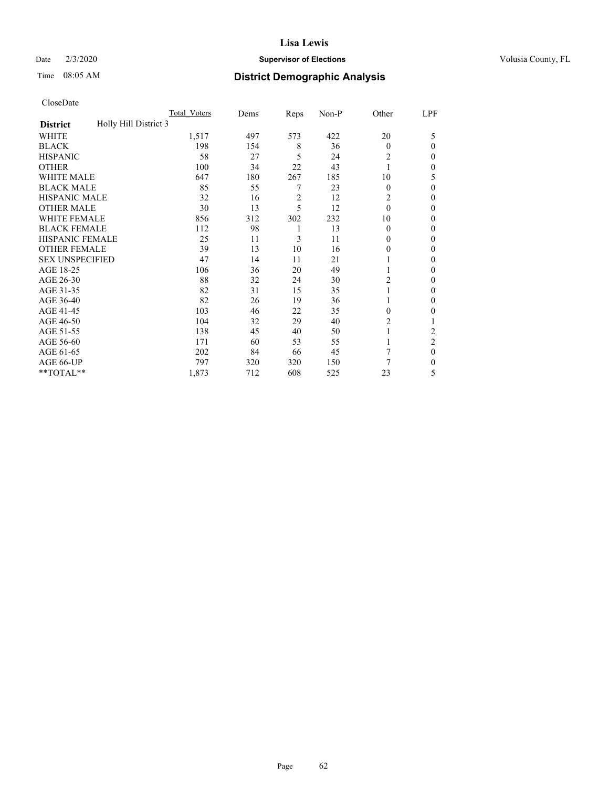## Date  $2/3/2020$  **Supervisor of Elections** Volusia County, FL

# Time 08:05 AM **District Demographic Analysis**

|                                          | Total Voters | Dems | Reps           | Non-P | Other          | LPF            |
|------------------------------------------|--------------|------|----------------|-------|----------------|----------------|
| Holly Hill District 3<br><b>District</b> |              |      |                |       |                |                |
| WHITE                                    | 1,517        | 497  | 573            | 422   | 20             | 5              |
| <b>BLACK</b>                             | 198          | 154  | 8              | 36    | $\Omega$       | 0              |
| <b>HISPANIC</b>                          | 58           | 27   | 5              | 24    | 2              | $_{0}$         |
| <b>OTHER</b>                             | 100          | 34   | 22             | 43    |                | 0              |
| WHITE MALE                               | 647          | 180  | 267            | 185   | 10             | 5              |
| <b>BLACK MALE</b>                        | 85           | 55   | 7              | 23    | $\Omega$       | 0              |
| <b>HISPANIC MALE</b>                     | 32           | 16   | $\overline{2}$ | 12    | 2              | 0              |
| <b>OTHER MALE</b>                        | 30           | 13   | 5              | 12    | $\theta$       | 0              |
| WHITE FEMALE                             | 856          | 312  | 302            | 232   | 10             | 0              |
| <b>BLACK FEMALE</b>                      | 112          | 98   | 1              | 13    | $\Omega$       | 0              |
| <b>HISPANIC FEMALE</b>                   | 25           | 11   | 3              | 11    | 0              | 0              |
| <b>OTHER FEMALE</b>                      | 39           | 13   | 10             | 16    | 0              | 0              |
| <b>SEX UNSPECIFIED</b>                   | 47           | 14   | 11             | 21    |                | 0              |
| AGE 18-25                                | 106          | 36   | 20             | 49    |                | 0              |
| AGE 26-30                                | 88           | 32   | 24             | 30    | $\overline{2}$ | 0              |
| AGE 31-35                                | 82           | 31   | 15             | 35    |                | 0              |
| AGE 36-40                                | 82           | 26   | 19             | 36    |                | 0              |
| AGE 41-45                                | 103          | 46   | 22             | 35    | 0              | 0              |
| AGE 46-50                                | 104          | 32   | 29             | 40    | 2              |                |
| AGE 51-55                                | 138          | 45   | 40             | 50    |                | $\overline{c}$ |
| AGE 56-60                                | 171          | 60   | 53             | 55    |                | $\overline{2}$ |
| AGE 61-65                                | 202          | 84   | 66             | 45    | 7              | $\theta$       |
| AGE 66-UP                                | 797          | 320  | 320            | 150   | 7              | 0              |
| **TOTAL**                                | 1,873        | 712  | 608            | 525   | 23             | 5              |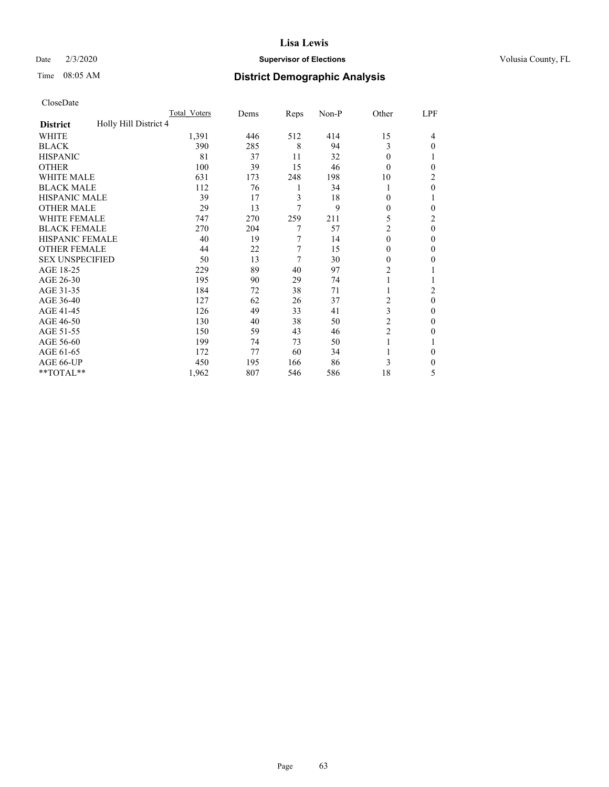#### Date  $2/3/2020$  **Supervisor of Elections** Volusia County, FL

# Time 08:05 AM **District Demographic Analysis**

|                                          | Total Voters | Dems | Reps | Non-P | Other          | LPF      |
|------------------------------------------|--------------|------|------|-------|----------------|----------|
| Holly Hill District 4<br><b>District</b> |              |      |      |       |                |          |
| WHITE                                    | 1,391        | 446  | 512  | 414   | 15             | 4        |
| <b>BLACK</b>                             | 390          | 285  | 8    | 94    | 3              | 0        |
| <b>HISPANIC</b>                          | 81           | 37   | 11   | 32    | 0              |          |
| <b>OTHER</b>                             | 100          | 39   | 15   | 46    | $\Omega$       | 0        |
| WHITE MALE                               | 631          | 173  | 248  | 198   | 10             | 2        |
| <b>BLACK MALE</b>                        | 112          | 76   | 1    | 34    |                | 0        |
| <b>HISPANIC MALE</b>                     | 39           | 17   | 3    | 18    | 0              | 1        |
| <b>OTHER MALE</b>                        | 29           | 13   | 7    | 9     | 0              | 0        |
| WHITE FEMALE                             | 747          | 270  | 259  | 211   | 5              | 2        |
| <b>BLACK FEMALE</b>                      | 270          | 204  | 7    | 57    | 2              | 0        |
| <b>HISPANIC FEMALE</b>                   | 40           | 19   | 7    | 14    | $\theta$       | 0        |
| <b>OTHER FEMALE</b>                      | 44           | 22   | 7    | 15    | 0              | 0        |
| <b>SEX UNSPECIFIED</b>                   | 50           | 13   | 7    | 30    | 0              | 0        |
| AGE 18-25                                | 229          | 89   | 40   | 97    | $\overline{c}$ |          |
| AGE 26-30                                | 195          | 90   | 29   | 74    | 1              |          |
| AGE 31-35                                | 184          | 72   | 38   | 71    |                | 2        |
| AGE 36-40                                | 127          | 62   | 26   | 37    | 2              | $\theta$ |
| AGE 41-45                                | 126          | 49   | 33   | 41    | 3              | 0        |
| AGE 46-50                                | 130          | 40   | 38   | 50    | $\overline{2}$ | 0        |
| AGE 51-55                                | 150          | 59   | 43   | 46    | $\overline{2}$ | 0        |
| AGE 56-60                                | 199          | 74   | 73   | 50    |                |          |
| AGE 61-65                                | 172          | 77   | 60   | 34    |                | 0        |
| AGE 66-UP                                | 450          | 195  | 166  | 86    | 3              | 0        |
| **TOTAL**                                | 1,962        | 807  | 546  | 586   | 18             | 5        |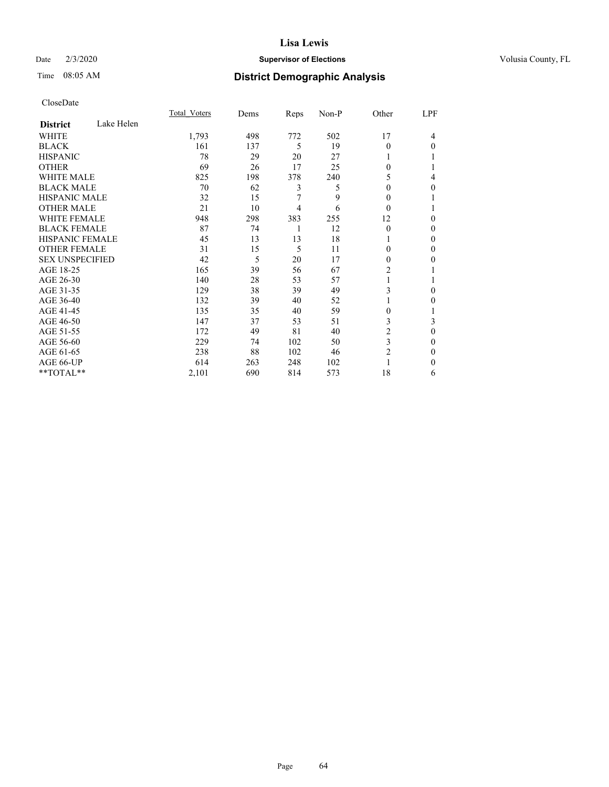## Date  $2/3/2020$  **Supervisor of Elections** Volusia County, FL

# Time 08:05 AM **District Demographic Analysis**

|                        |            | Total Voters | Dems | Reps | Non-P | Other          | LPF          |
|------------------------|------------|--------------|------|------|-------|----------------|--------------|
| <b>District</b>        | Lake Helen |              |      |      |       |                |              |
| WHITE                  |            | 1,793        | 498  | 772  | 502   | 17             | 4            |
| <b>BLACK</b>           |            | 161          | 137  | 5    | 19    | $\theta$       | $\Omega$     |
| <b>HISPANIC</b>        |            | 78           | 29   | 20   | 27    |                |              |
| <b>OTHER</b>           |            | 69           | 26   | 17   | 25    | 0              |              |
| WHITE MALE             |            | 825          | 198  | 378  | 240   | 5              | 4            |
| <b>BLACK MALE</b>      |            | 70           | 62   | 3    | 5     | $\Omega$       | 0            |
| <b>HISPANIC MALE</b>   |            | 32           | 15   | 7    | 9     | $\Omega$       |              |
| <b>OTHER MALE</b>      |            | 21           | 10   | 4    | 6     | $\theta$       |              |
| <b>WHITE FEMALE</b>    |            | 948          | 298  | 383  | 255   | 12             | 0            |
| <b>BLACK FEMALE</b>    |            | 87           | 74   | 1    | 12    | $\theta$       | 0            |
| <b>HISPANIC FEMALE</b> |            | 45           | 13   | 13   | 18    |                | 0            |
| <b>OTHER FEMALE</b>    |            | 31           | 15   | 5    | 11    | 0              | 0            |
| <b>SEX UNSPECIFIED</b> |            | 42           | 5    | 20   | 17    | $\Omega$       | 0            |
| AGE 18-25              |            | 165          | 39   | 56   | 67    | 2              |              |
| AGE 26-30              |            | 140          | 28   | 53   | 57    | 1              |              |
| AGE 31-35              |            | 129          | 38   | 39   | 49    | 3              | 0            |
| AGE 36-40              |            | 132          | 39   | 40   | 52    |                | 0            |
| AGE 41-45              |            | 135          | 35   | 40   | 59    | 0              |              |
| AGE 46-50              |            | 147          | 37   | 53   | 51    | 3              | 3            |
| AGE 51-55              |            | 172          | 49   | 81   | 40    | 2              | 0            |
| AGE 56-60              |            | 229          | 74   | 102  | 50    | 3              | 0            |
| AGE 61-65              |            | 238          | 88   | 102  | 46    | $\overline{2}$ | $\mathbf{0}$ |
| AGE 66-UP              |            | 614          | 263  | 248  | 102   |                | 0            |
| **TOTAL**              |            | 2,101        | 690  | 814  | 573   | 18             | 6            |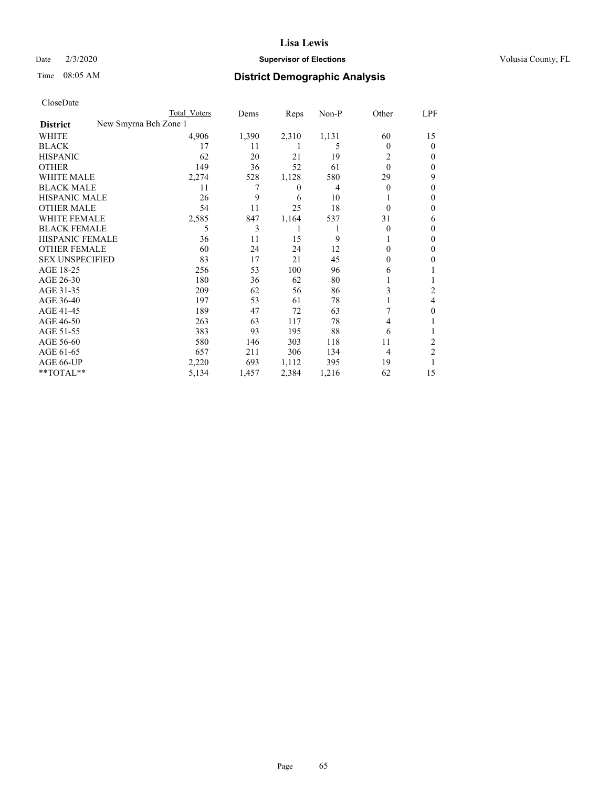## Date  $2/3/2020$  **Supervisor of Elections** Volusia County, FL

|                        |                       | Total Voters | Dems  | Reps  | Non-P | Other    | LPF            |
|------------------------|-----------------------|--------------|-------|-------|-------|----------|----------------|
| <b>District</b>        | New Smyrna Bch Zone 1 |              |       |       |       |          |                |
| WHITE                  |                       | 4,906        | 1,390 | 2,310 | 1,131 | 60       | 15             |
| <b>BLACK</b>           |                       | 17           | 11    |       | 5     | $\theta$ | 0              |
| <b>HISPANIC</b>        |                       | 62           | 20    | 21    | 19    | 2        | 0              |
| <b>OTHER</b>           |                       | 149          | 36    | 52    | 61    | $\theta$ | 0              |
| <b>WHITE MALE</b>      |                       | 2,274        | 528   | 1,128 | 580   | 29       | 9              |
| <b>BLACK MALE</b>      |                       | 11           | 7     | 0     | 4     | $\theta$ | 0              |
| HISPANIC MALE          |                       | 26           | 9     | 6     | 10    |          | 0              |
| <b>OTHER MALE</b>      |                       | 54           | 11    | 25    | 18    | $\theta$ | 0              |
| <b>WHITE FEMALE</b>    |                       | 2,585        | 847   | 1,164 | 537   | 31       | 6              |
| <b>BLACK FEMALE</b>    |                       | 5            | 3     |       |       | $\theta$ | 0              |
| <b>HISPANIC FEMALE</b> |                       | 36           | 11    | 15    | 9     |          | 0              |
| <b>OTHER FEMALE</b>    |                       | 60           | 24    | 24    | 12    | $\Omega$ | 0              |
| <b>SEX UNSPECIFIED</b> |                       | 83           | 17    | 21    | 45    | $\Omega$ | 0              |
| AGE 18-25              |                       | 256          | 53    | 100   | 96    | 6        |                |
| AGE 26-30              |                       | 180          | 36    | 62    | 80    |          |                |
| AGE 31-35              |                       | 209          | 62    | 56    | 86    | 3        | 2              |
| AGE 36-40              |                       | 197          | 53    | 61    | 78    |          | 4              |
| AGE 41-45              |                       | 189          | 47    | 72    | 63    |          | 0              |
| AGE 46-50              |                       | 263          | 63    | 117   | 78    | 4        |                |
| AGE 51-55              |                       | 383          | 93    | 195   | 88    | 6        |                |
| AGE 56-60              |                       | 580          | 146   | 303   | 118   | 11       | 2              |
| AGE 61-65              |                       | 657          | 211   | 306   | 134   | 4        | $\overline{2}$ |
| AGE 66-UP              |                       | 2,220        | 693   | 1,112 | 395   | 19       |                |
| **TOTAL**              |                       | 5,134        | 1,457 | 2,384 | 1,216 | 62       | 15             |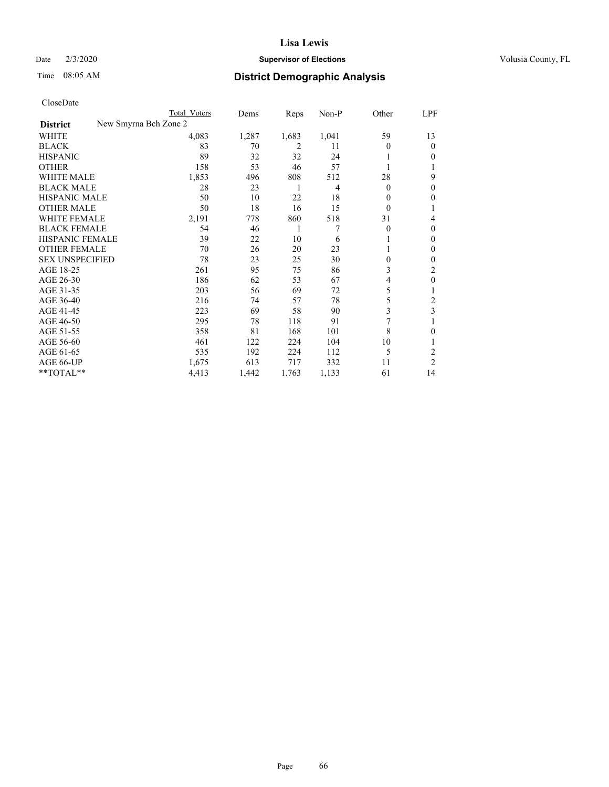## Date  $2/3/2020$  **Supervisor of Elections** Volusia County, FL

| CloseDate |
|-----------|
|-----------|

|                        |                       | Total Voters | Dems  | Reps  | Non-P | Other    | LPF            |
|------------------------|-----------------------|--------------|-------|-------|-------|----------|----------------|
| <b>District</b>        | New Smyrna Bch Zone 2 |              |       |       |       |          |                |
| WHITE                  |                       | 4,083        | 1,287 | 1,683 | 1,041 | 59       | 13             |
| <b>BLACK</b>           |                       | 83           | 70    | 2     | 11    | 0        | $\theta$       |
| <b>HISPANIC</b>        |                       | 89           | 32    | 32    | 24    |          | $\Omega$       |
| <b>OTHER</b>           |                       | 158          | 53    | 46    | 57    |          |                |
| <b>WHITE MALE</b>      |                       | 1,853        | 496   | 808   | 512   | 28       | 9              |
| <b>BLACK MALE</b>      |                       | 28           | 23    | 1     | 4     | $\Omega$ | $\theta$       |
| <b>HISPANIC MALE</b>   |                       | 50           | 10    | 22    | 18    | 0        | $\mathbf{0}$   |
| <b>OTHER MALE</b>      |                       | 50           | 18    | 16    | 15    | $\Omega$ |                |
| <b>WHITE FEMALE</b>    |                       | 2,191        | 778   | 860   | 518   | 31       | 4              |
| <b>BLACK FEMALE</b>    |                       | 54           | 46    | 1     | 7     | $\theta$ | $\theta$       |
| HISPANIC FEMALE        |                       | 39           | 22    | 10    | 6     |          | $\mathbf{0}$   |
| <b>OTHER FEMALE</b>    |                       | 70           | 26    | 20    | 23    |          | $\Omega$       |
| <b>SEX UNSPECIFIED</b> |                       | 78           | 23    | 25    | 30    | 0        | $\theta$       |
| AGE 18-25              |                       | 261          | 95    | 75    | 86    | 3        | 2              |
| AGE 26-30              |                       | 186          | 62    | 53    | 67    | 4        | $\theta$       |
| AGE 31-35              |                       | 203          | 56    | 69    | 72    | 5        |                |
| AGE 36-40              |                       | 216          | 74    | 57    | 78    | 5        | 2              |
| AGE 41-45              |                       | 223          | 69    | 58    | 90    | 3        | 3              |
| AGE 46-50              |                       | 295          | 78    | 118   | 91    | 7        |                |
| AGE 51-55              |                       | 358          | 81    | 168   | 101   | 8        | $\theta$       |
| AGE 56-60              |                       | 461          | 122   | 224   | 104   | 10       |                |
| AGE 61-65              |                       | 535          | 192   | 224   | 112   | 5        | $\overline{c}$ |
| AGE 66-UP              |                       | 1,675        | 613   | 717   | 332   | 11       | 2              |
| **TOTAL**              |                       | 4,413        | 1,442 | 1,763 | 1,133 | 61       | 14             |
|                        |                       |              |       |       |       |          |                |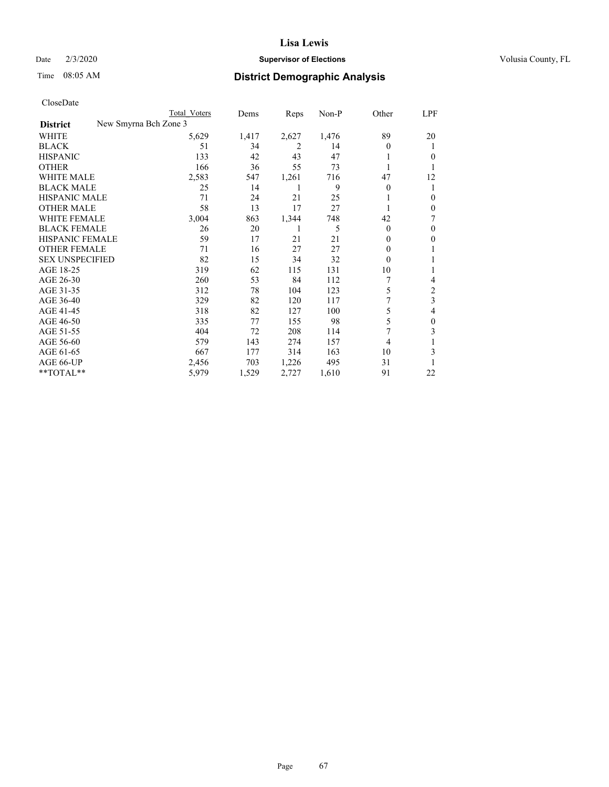## Date  $2/3/2020$  **Supervisor of Elections** Volusia County, FL

| CloseDate |
|-----------|
|-----------|

|                                          | Total Voters | Dems  | Reps  | Non-P | Other          | LPF            |
|------------------------------------------|--------------|-------|-------|-------|----------------|----------------|
| New Smyrna Bch Zone 3<br><b>District</b> |              |       |       |       |                |                |
| WHITE                                    | 5,629        | 1,417 | 2,627 | 1,476 | 89             | 20             |
| <b>BLACK</b>                             | 51           | 34    | 2     | 14    | $\Omega$       | 1              |
| <b>HISPANIC</b>                          | 133          | 42    | 43    | 47    | 1              | 0              |
| <b>OTHER</b>                             | 166          | 36    | 55    | 73    |                |                |
| <b>WHITE MALE</b>                        | 2,583        | 547   | 1,261 | 716   | 47             | 12             |
| <b>BLACK MALE</b>                        | 25           | 14    |       | 9     | $\overline{0}$ | 1              |
| <b>HISPANIC MALE</b>                     | 71           | 24    | 21    | 25    |                | 0              |
| <b>OTHER MALE</b>                        | 58           | 13    | 17    | 27    |                | 0              |
| <b>WHITE FEMALE</b>                      | 3,004        | 863   | 1,344 | 748   | 42             |                |
| <b>BLACK FEMALE</b>                      | 26           | 20    | 1     | 5     | $\theta$       | $\theta$       |
| HISPANIC FEMALE                          | 59           | 17    | 21    | 21    | $\Omega$       | 0              |
| <b>OTHER FEMALE</b>                      | 71           | 16    | 27    | 27    | 0              |                |
| <b>SEX UNSPECIFIED</b>                   | 82           | 15    | 34    | 32    | $\theta$       |                |
| AGE 18-25                                | 319          | 62    | 115   | 131   | 10             |                |
| AGE 26-30                                | 260          | 53    | 84    | 112   |                | 4              |
| AGE 31-35                                | 312          | 78    | 104   | 123   | 5              | $\overline{c}$ |
| AGE 36-40                                | 329          | 82    | 120   | 117   |                | 3              |
| AGE 41-45                                | 318          | 82    | 127   | 100   | 5              | 4              |
| AGE 46-50                                | 335          | 77    | 155   | 98    | 5              | 0              |
| AGE 51-55                                | 404          | 72    | 208   | 114   |                | 3              |
| AGE 56-60                                | 579          | 143   | 274   | 157   | $\overline{4}$ |                |
| AGE 61-65                                | 667          | 177   | 314   | 163   | 10             | 3              |
| AGE 66-UP                                | 2,456        | 703   | 1,226 | 495   | 31             |                |
| **TOTAL**                                | 5,979        | 1,529 | 2,727 | 1,610 | 91             | 22             |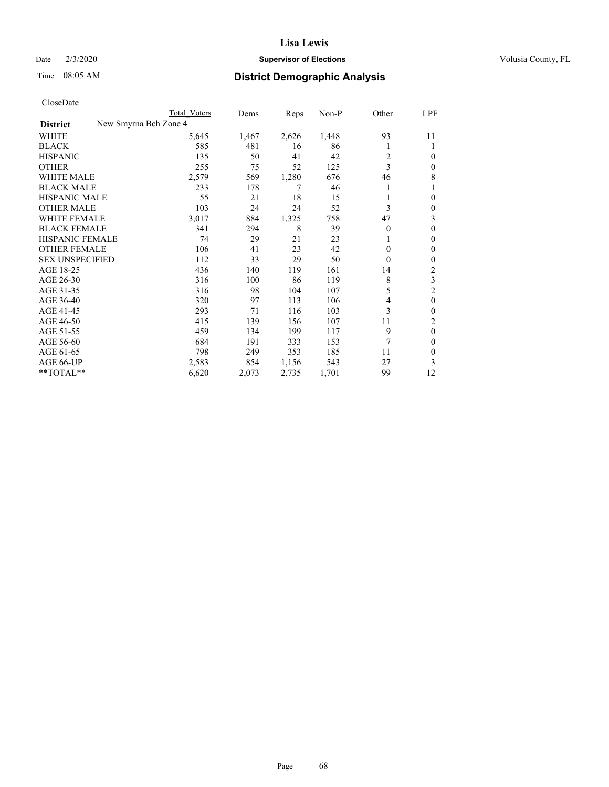## Date  $2/3/2020$  **Supervisor of Elections** Volusia County, FL

|                                          | Total Voters | Dems  | Reps  | Non-P | Other    | LPF          |
|------------------------------------------|--------------|-------|-------|-------|----------|--------------|
| New Smyrna Bch Zone 4<br><b>District</b> |              |       |       |       |          |              |
| WHITE                                    | 5,645        | 1,467 | 2,626 | 1,448 | 93       | 11           |
| <b>BLACK</b>                             | 585          | 481   | 16    | 86    |          |              |
| <b>HISPANIC</b>                          | 135          | 50    | 41    | 42    | 2        | 0            |
| <b>OTHER</b>                             | 255          | 75    | 52    | 125   | 3        | 0            |
| <b>WHITE MALE</b>                        | 2,579        | 569   | 1,280 | 676   | 46       | 8            |
| <b>BLACK MALE</b>                        | 233          | 178   | 7     | 46    |          |              |
| <b>HISPANIC MALE</b>                     | 55           | 21    | 18    | 15    |          | 0            |
| <b>OTHER MALE</b>                        | 103          | 24    | 24    | 52    | 3        | 0            |
| WHITE FEMALE                             | 3,017        | 884   | 1,325 | 758   | 47       | 3            |
| <b>BLACK FEMALE</b>                      | 341          | 294   | 8     | 39    | $\Omega$ | 0            |
| <b>HISPANIC FEMALE</b>                   | 74           | 29    | 21    | 23    |          | 0            |
| <b>OTHER FEMALE</b>                      | 106          | 41    | 23    | 42    | $\Omega$ | 0            |
| <b>SEX UNSPECIFIED</b>                   | 112          | 33    | 29    | 50    | $\theta$ | 0            |
| AGE 18-25                                | 436          | 140   | 119   | 161   | 14       | 2            |
| AGE 26-30                                | 316          | 100   | 86    | 119   | 8        | 3            |
| AGE 31-35                                | 316          | 98    | 104   | 107   | 5        | 2            |
| AGE 36-40                                | 320          | 97    | 113   | 106   | 4        | $\mathbf{0}$ |
| AGE 41-45                                | 293          | 71    | 116   | 103   | 3        | 0            |
| AGE 46-50                                | 415          | 139   | 156   | 107   | 11       | 2            |
| AGE 51-55                                | 459          | 134   | 199   | 117   | 9        | $\theta$     |
| AGE 56-60                                | 684          | 191   | 333   | 153   | 7        | 0            |
| AGE 61-65                                | 798          | 249   | 353   | 185   | 11       | 0            |
| AGE 66-UP                                | 2,583        | 854   | 1,156 | 543   | 27       | 3            |
| **TOTAL**                                | 6,620        | 2,073 | 2,735 | 1,701 | 99       | 12           |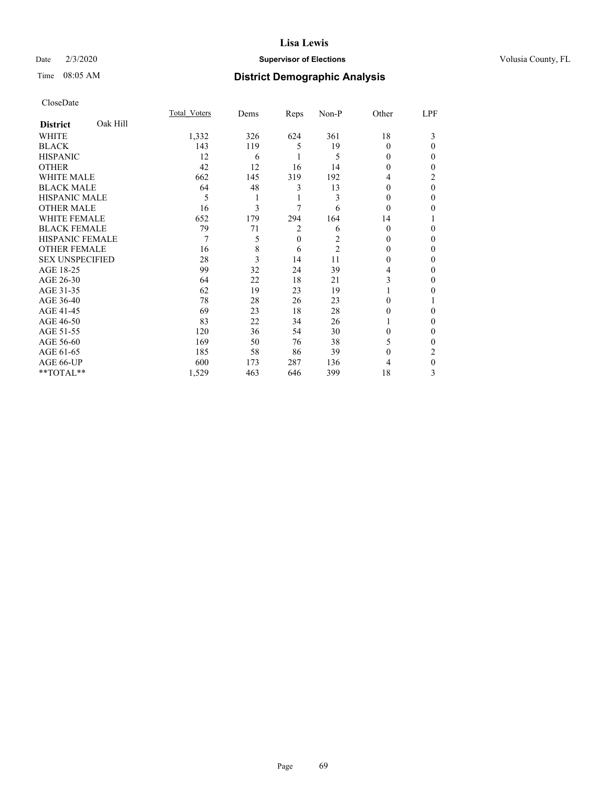## Date  $2/3/2020$  **Supervisor of Elections** Volusia County, FL

# Time 08:05 AM **District Demographic Analysis**

|                        |          | Total Voters | Dems | Reps           | Non-P          | Other    | LPF      |
|------------------------|----------|--------------|------|----------------|----------------|----------|----------|
| <b>District</b>        | Oak Hill |              |      |                |                |          |          |
| WHITE                  |          | 1,332        | 326  | 624            | 361            | 18       | 3        |
| <b>BLACK</b>           |          | 143          | 119  | 5              | 19             | 0        | 0        |
| <b>HISPANIC</b>        |          | 12           | 6    |                | 5              | 0        | 0        |
| <b>OTHER</b>           |          | 42           | 12   | 16             | 14             | $\Omega$ | 0        |
| WHITE MALE             |          | 662          | 145  | 319            | 192            | 4        | 2        |
| <b>BLACK MALE</b>      |          | 64           | 48   | 3              | 13             | $\theta$ | $\theta$ |
| <b>HISPANIC MALE</b>   |          | 5            |      | 1              | 3              | $\theta$ | 0        |
| <b>OTHER MALE</b>      |          | 16           | 3    | 7              | 6              | $\Omega$ | 0        |
| WHITE FEMALE           |          | 652          | 179  | 294            | 164            | 14       |          |
| <b>BLACK FEMALE</b>    |          | 79           | 71   | 2              | 6              | $\Omega$ | 0        |
| <b>HISPANIC FEMALE</b> |          | 7            | 5    | $\overline{0}$ | 2              | $\Omega$ | 0        |
| <b>OTHER FEMALE</b>    |          | 16           | 8    | 6              | $\overline{2}$ | $\Omega$ | 0        |
| <b>SEX UNSPECIFIED</b> |          | 28           | 3    | 14             | 11             | $\Omega$ | 0        |
| AGE 18-25              |          | 99           | 32   | 24             | 39             | 4        | 0        |
| AGE 26-30              |          | 64           | 22   | 18             | 21             | 3        | 0        |
| AGE 31-35              |          | 62           | 19   | 23             | 19             |          | 0        |
| AGE 36-40              |          | 78           | 28   | 26             | 23             | 0        |          |
| AGE 41-45              |          | 69           | 23   | 18             | 28             | $\theta$ | 0        |
| AGE 46-50              |          | 83           | 22   | 34             | 26             |          | 0        |
| AGE 51-55              |          | 120          | 36   | 54             | 30             | 0        | 0        |
| AGE 56-60              |          | 169          | 50   | 76             | 38             | 5        | 0        |
| AGE 61-65              |          | 185          | 58   | 86             | 39             | $\theta$ | 2        |
| AGE 66-UP              |          | 600          | 173  | 287            | 136            | 4        | 0        |
| **TOTAL**              |          | 1,529        | 463  | 646            | 399            | 18       | 3        |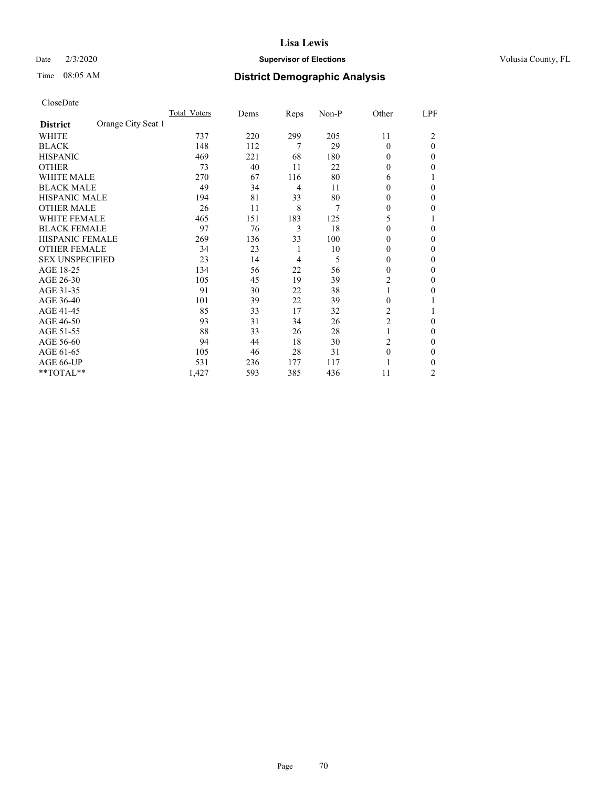#### Date  $2/3/2020$  **Supervisor of Elections** Volusia County, FL

## Time 08:05 AM **District Demographic Analysis**

|                        |                    | Total Voters | Dems | Reps | Non-P | Other          | LPF            |
|------------------------|--------------------|--------------|------|------|-------|----------------|----------------|
| <b>District</b>        | Orange City Seat 1 |              |      |      |       |                |                |
| WHITE                  |                    | 737          | 220  | 299  | 205   | 11             | 2              |
| <b>BLACK</b>           |                    | 148          | 112  | 7    | 29    | $\Omega$       | $\theta$       |
| <b>HISPANIC</b>        |                    | 469          | 221  | 68   | 180   | $\Omega$       | 0              |
| <b>OTHER</b>           |                    | 73           | 40   | 11   | 22    | $\Omega$       | 0              |
| WHITE MALE             |                    | 270          | 67   | 116  | 80    | 6              |                |
| <b>BLACK MALE</b>      |                    | 49           | 34   | 4    | 11    | $\Omega$       | 0              |
| HISPANIC MALE          |                    | 194          | 81   | 33   | 80    | $\theta$       | 0              |
| <b>OTHER MALE</b>      |                    | 26           | 11   | 8    | 7     | $\Omega$       | 0              |
| WHITE FEMALE           |                    | 465          | 151  | 183  | 125   | 5              |                |
| <b>BLACK FEMALE</b>    |                    | 97           | 76   | 3    | 18    | $\Omega$       | 0              |
| <b>HISPANIC FEMALE</b> |                    | 269          | 136  | 33   | 100   | $\Omega$       | 0              |
| <b>OTHER FEMALE</b>    |                    | 34           | 23   | 1    | 10    | $\Omega$       | 0              |
| <b>SEX UNSPECIFIED</b> |                    | 23           | 14   | 4    | 5     | $\theta$       | 0              |
| AGE 18-25              |                    | 134          | 56   | 22   | 56    | $\Omega$       | 0              |
| AGE 26-30              |                    | 105          | 45   | 19   | 39    | $\overline{c}$ | $\mathbf{0}$   |
| AGE 31-35              |                    | 91           | 30   | 22   | 38    | 1              | 0              |
| AGE 36-40              |                    | 101          | 39   | 22   | 39    | $\theta$       |                |
| AGE 41-45              |                    | 85           | 33   | 17   | 32    | 2              |                |
| AGE 46-50              |                    | 93           | 31   | 34   | 26    | $\overline{2}$ | 0              |
| AGE 51-55              |                    | 88           | 33   | 26   | 28    | 1              | 0              |
| AGE 56-60              |                    | 94           | 44   | 18   | 30    | $\overline{c}$ | 0              |
| AGE 61-65              |                    | 105          | 46   | 28   | 31    | $\theta$       | 0              |
| AGE 66-UP              |                    | 531          | 236  | 177  | 117   |                | 0              |
| **TOTAL**              |                    | 1,427        | 593  | 385  | 436   | 11             | $\overline{c}$ |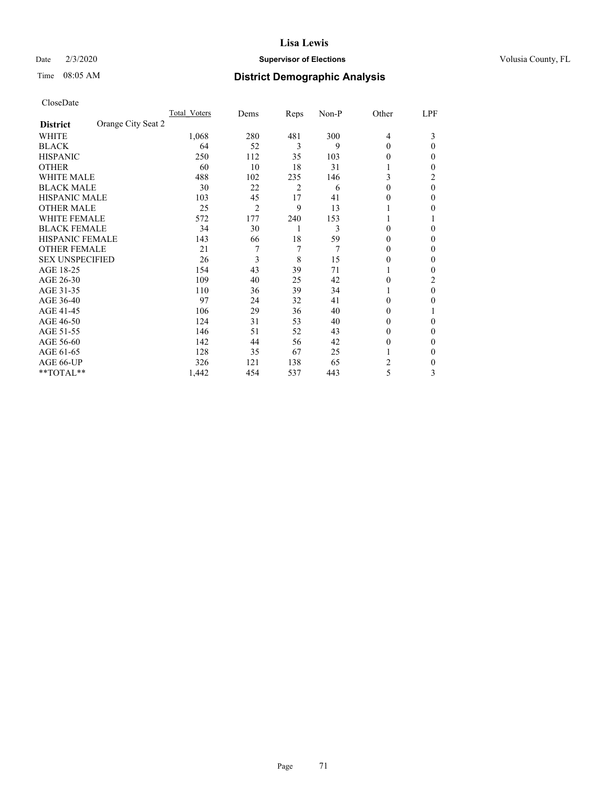#### Date  $2/3/2020$  **Supervisor of Elections** Volusia County, FL

# Time 08:05 AM **District Demographic Analysis**

|                                       | Total Voters | Dems | Reps | Non-P | Other          | LPF |
|---------------------------------------|--------------|------|------|-------|----------------|-----|
| Orange City Seat 2<br><b>District</b> |              |      |      |       |                |     |
| WHITE                                 | 1,068        | 280  | 481  | 300   | $\overline{4}$ | 3   |
| <b>BLACK</b>                          | 64           | 52   | 3    | 9     | $\Omega$       | 0   |
| <b>HISPANIC</b>                       | 250          | 112  | 35   | 103   | $_{0}$         | 0   |
| <b>OTHER</b>                          | 60           | 10   | 18   | 31    |                | 0   |
| <b>WHITE MALE</b>                     | 488          | 102  | 235  | 146   | 3              | 2   |
| <b>BLACK MALE</b>                     | 30           | 22   | 2    | 6     | $\theta$       | 0   |
| <b>HISPANIC MALE</b>                  | 103          | 45   | 17   | 41    | 0              | 0   |
| <b>OTHER MALE</b>                     | 25           | 2    | 9    | 13    |                | 0   |
| WHITE FEMALE                          | 572          | 177  | 240  | 153   |                |     |
| <b>BLACK FEMALE</b>                   | 34           | 30   | 1    | 3     | $\Omega$       | 0   |
| <b>HISPANIC FEMALE</b>                | 143          | 66   | 18   | 59    | 0              | 0   |
| <b>OTHER FEMALE</b>                   | 21           |      | 7    | 7     | $\theta$       | 0   |
| <b>SEX UNSPECIFIED</b>                | 26           | 3    | 8    | 15    | 0              | 0   |
| AGE 18-25                             | 154          | 43   | 39   | 71    |                | 0   |
| AGE 26-30                             | 109          | 40   | 25   | 42    | 0              | 2   |
| AGE 31-35                             | 110          | 36   | 39   | 34    |                | 0   |
| AGE 36-40                             | 97           | 24   | 32   | 41    | 0              | 0   |
| AGE 41-45                             | 106          | 29   | 36   | 40    | $_{0}$         |     |
| AGE 46-50                             | 124          | 31   | 53   | 40    | 0              | 0   |
| AGE 51-55                             | 146          | 51   | 52   | 43    | $_{0}$         | 0   |
| AGE 56-60                             | 142          | 44   | 56   | 42    | $_{0}$         | 0   |
| AGE 61-65                             | 128          | 35   | 67   | 25    |                | 0   |
| AGE 66-UP                             | 326          | 121  | 138  | 65    | 2              | 0   |
| **TOTAL**                             | 1,442        | 454  | 537  | 443   | 5              | 3   |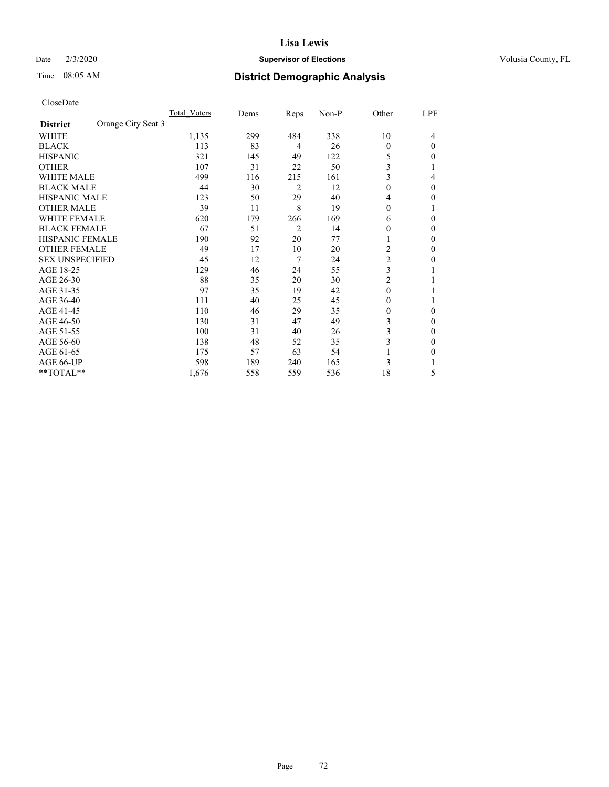#### Date  $2/3/2020$  **Supervisor of Elections** Volusia County, FL

# Time 08:05 AM **District Demographic Analysis**

|                        |                    | Total Voters | Dems | Reps           | Non-P | Other          | LPF |
|------------------------|--------------------|--------------|------|----------------|-------|----------------|-----|
| <b>District</b>        | Orange City Seat 3 |              |      |                |       |                |     |
| WHITE                  |                    | 1,135        | 299  | 484            | 338   | 10             | 4   |
| <b>BLACK</b>           |                    | 113          | 83   | 4              | 26    | $\Omega$       | 0   |
| <b>HISPANIC</b>        |                    | 321          | 145  | 49             | 122   | 5              | 0   |
| <b>OTHER</b>           |                    | 107          | 31   | 22             | 50    | 3              |     |
| <b>WHITE MALE</b>      |                    | 499          | 116  | 215            | 161   | 3              | 4   |
| <b>BLACK MALE</b>      |                    | 44           | 30   | 2              | 12    | $\mathbf{0}$   | 0   |
| <b>HISPANIC MALE</b>   |                    | 123          | 50   | 29             | 40    | 4              | 0   |
| <b>OTHER MALE</b>      |                    | 39           | 11   | 8              | 19    | $\theta$       | 1   |
| <b>WHITE FEMALE</b>    |                    | 620          | 179  | 266            | 169   | 6              | 0   |
| <b>BLACK FEMALE</b>    |                    | 67           | 51   | $\overline{2}$ | 14    | 0              | 0   |
| <b>HISPANIC FEMALE</b> |                    | 190          | 92   | 20             | 77    |                | 0   |
| <b>OTHER FEMALE</b>    |                    | 49           | 17   | 10             | 20    | 2              | 0   |
| <b>SEX UNSPECIFIED</b> |                    | 45           | 12   | 7              | 24    | $\overline{c}$ | 0   |
| AGE 18-25              |                    | 129          | 46   | 24             | 55    | 3              |     |
| AGE 26-30              |                    | 88           | 35   | 20             | 30    | $\overline{c}$ |     |
| AGE 31-35              |                    | 97           | 35   | 19             | 42    | $\theta$       |     |
| AGE 36-40              |                    | 111          | 40   | 25             | 45    | $\theta$       |     |
| AGE 41-45              |                    | 110          | 46   | 29             | 35    | 0              | 0   |
| AGE 46-50              |                    | 130          | 31   | 47             | 49    | 3              | 0   |
| AGE 51-55              |                    | 100          | 31   | 40             | 26    | 3              | 0   |
| AGE 56-60              |                    | 138          | 48   | 52             | 35    | 3              | 0   |
| AGE 61-65              |                    | 175          | 57   | 63             | 54    |                | 0   |
| AGE 66-UP              |                    | 598          | 189  | 240            | 165   | 3              |     |
| **TOTAL**              |                    | 1,676        | 558  | 559            | 536   | 18             | 5   |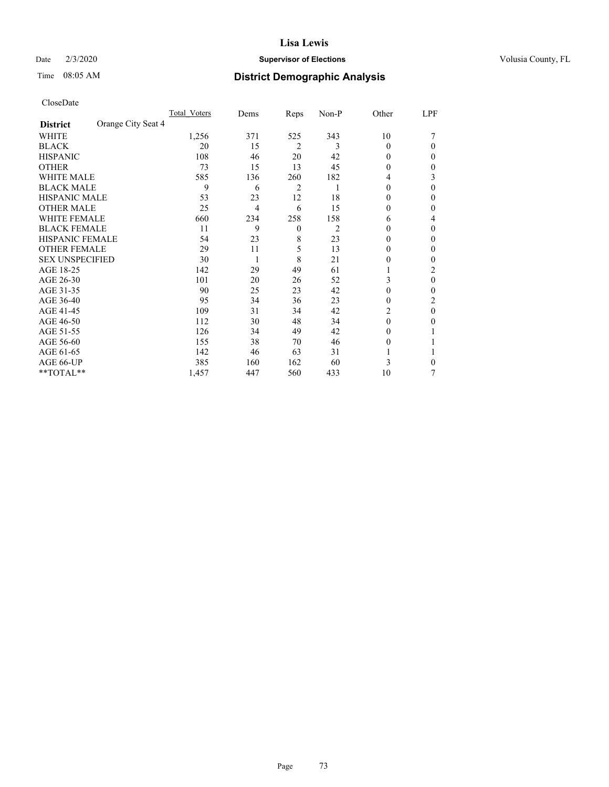#### Date  $2/3/2020$  **Supervisor of Elections** Volusia County, FL

# Time 08:05 AM **District Demographic Analysis**

|                        |                    | Total Voters | Dems           | Reps           | Non-P | Other    | LPF |
|------------------------|--------------------|--------------|----------------|----------------|-------|----------|-----|
| <b>District</b>        | Orange City Seat 4 |              |                |                |       |          |     |
| WHITE                  |                    | 1,256        | 371            | 525            | 343   | 10       |     |
| <b>BLACK</b>           |                    | 20           | 15             | $\overline{2}$ | 3     | 0        | 0   |
| <b>HISPANIC</b>        |                    | 108          | 46             | 20             | 42    | 0        | 0   |
| <b>OTHER</b>           |                    | 73           | 15             | 13             | 45    | 0        | 0   |
| WHITE MALE             |                    | 585          | 136            | 260            | 182   | 4        | 3   |
| <b>BLACK MALE</b>      |                    | 9            | 6              | 2              |       | $\Omega$ | 0   |
| <b>HISPANIC MALE</b>   |                    | 53           | 23             | 12             | 18    | $_{0}$   | 0   |
| <b>OTHER MALE</b>      |                    | 25           | $\overline{4}$ | 6              | 15    | 0        | 0   |
| WHITE FEMALE           |                    | 660          | 234            | 258            | 158   | 6        | 4   |
| <b>BLACK FEMALE</b>    |                    | 11           | 9              | $\mathbf{0}$   | 2     | 0        | 0   |
| <b>HISPANIC FEMALE</b> |                    | 54           | 23             | 8              | 23    | 0        | 0   |
| <b>OTHER FEMALE</b>    |                    | 29           | 11             | 5              | 13    | $_{0}$   | 0   |
| <b>SEX UNSPECIFIED</b> |                    | 30           | 1              | 8              | 21    | 0        | 0   |
| AGE 18-25              |                    | 142          | 29             | 49             | 61    |          | 2   |
| AGE 26-30              |                    | 101          | 20             | 26             | 52    | 3        | 0   |
| AGE 31-35              |                    | 90           | 25             | 23             | 42    | 0        | 0   |
| AGE 36-40              |                    | 95           | 34             | 36             | 23    | 0        | 2   |
| AGE 41-45              |                    | 109          | 31             | 34             | 42    | 2        | 0   |
| AGE 46-50              |                    | 112          | 30             | 48             | 34    | $\Omega$ | 0   |
| AGE 51-55              |                    | 126          | 34             | 49             | 42    | $_{0}$   |     |
| AGE 56-60              |                    | 155          | 38             | 70             | 46    | $_{0}$   |     |
| AGE 61-65              |                    | 142          | 46             | 63             | 31    |          |     |
| AGE 66-UP              |                    | 385          | 160            | 162            | 60    | 3        | 0   |
| **TOTAL**              |                    | 1,457        | 447            | 560            | 433   | 10       | 7   |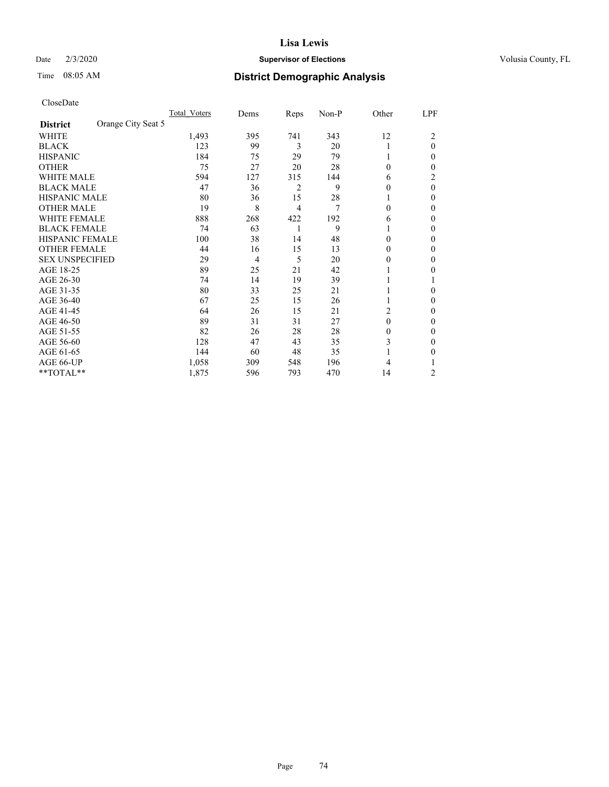### Date  $2/3/2020$  **Supervisor of Elections** Volusia County, FL

# Time 08:05 AM **District Demographic Analysis**

|                        |                    | Total Voters | Dems | Reps           | Non-P | Other    | LPF      |
|------------------------|--------------------|--------------|------|----------------|-------|----------|----------|
| <b>District</b>        | Orange City Seat 5 |              |      |                |       |          |          |
| WHITE                  |                    | 1,493        | 395  | 741            | 343   | 12       | 2        |
| <b>BLACK</b>           |                    | 123          | 99   | 3              | 20    | 1        | $\theta$ |
| <b>HISPANIC</b>        |                    | 184          | 75   | 29             | 79    | 1        | 0        |
| <b>OTHER</b>           |                    | 75           | 27   | 20             | 28    | $\theta$ | 0        |
| <b>WHITE MALE</b>      |                    | 594          | 127  | 315            | 144   | 6        | 2        |
| <b>BLACK MALE</b>      |                    | 47           | 36   | $\overline{2}$ | 9     | $\theta$ | $\theta$ |
| <b>HISPANIC MALE</b>   |                    | 80           | 36   | 15             | 28    |          | 0        |
| <b>OTHER MALE</b>      |                    | 19           | 8    | 4              | 7     | $\theta$ | 0        |
| <b>WHITE FEMALE</b>    |                    | 888          | 268  | 422            | 192   | 6        | 0        |
| <b>BLACK FEMALE</b>    |                    | 74           | 63   | 1              | 9     |          | 0        |
| <b>HISPANIC FEMALE</b> |                    | 100          | 38   | 14             | 48    | $\Omega$ | 0        |
| <b>OTHER FEMALE</b>    |                    | 44           | 16   | 15             | 13    | $\Omega$ | 0        |
| <b>SEX UNSPECIFIED</b> |                    | 29           | 4    | 5              | 20    | $\theta$ | 0        |
| AGE 18-25              |                    | 89           | 25   | 21             | 42    |          | 0        |
| AGE 26-30              |                    | 74           | 14   | 19             | 39    | 1        |          |
| AGE 31-35              |                    | 80           | 33   | 25             | 21    |          | 0        |
| AGE 36-40              |                    | 67           | 25   | 15             | 26    | 1        | 0        |
| AGE 41-45              |                    | 64           | 26   | 15             | 21    | 2        | 0        |
| AGE 46-50              |                    | 89           | 31   | 31             | 27    | $\theta$ | 0        |
| AGE 51-55              |                    | 82           | 26   | 28             | 28    | $\theta$ | 0        |
| AGE 56-60              |                    | 128          | 47   | 43             | 35    | 3        | 0        |
| AGE 61-65              |                    | 144          | 60   | 48             | 35    |          | 0        |
| AGE 66-UP              |                    | 1,058        | 309  | 548            | 196   | 4        |          |
| **TOTAL**              |                    | 1,875        | 596  | 793            | 470   | 14       | 2        |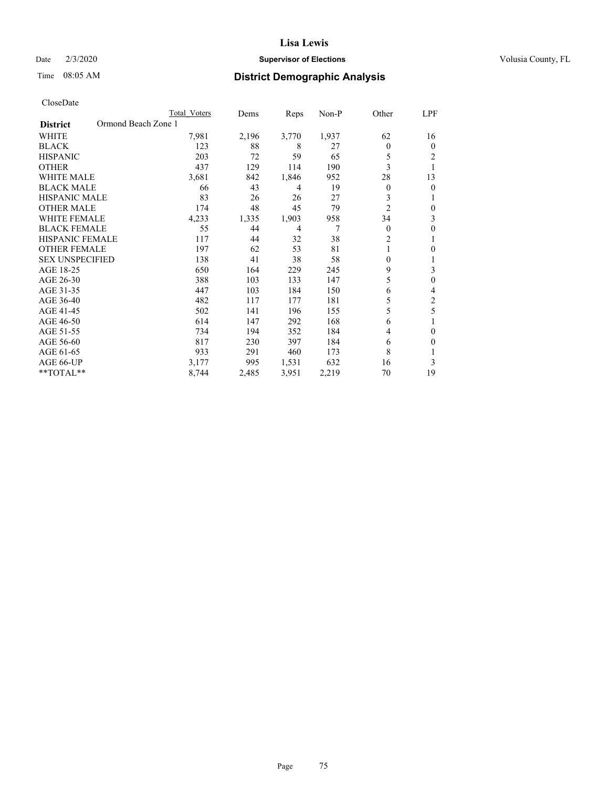#### Date  $2/3/2020$  **Supervisor of Elections** Volusia County, FL

# Time 08:05 AM **District Demographic Analysis**

|                                        | Total Voters | Dems  | Reps  | Non-P | Other          | LPF          |
|----------------------------------------|--------------|-------|-------|-------|----------------|--------------|
| Ormond Beach Zone 1<br><b>District</b> |              |       |       |       |                |              |
| WHITE                                  | 7,981        | 2,196 | 3,770 | 1,937 | 62             | 16           |
| <b>BLACK</b>                           | 123          | 88    | 8     | 27    | $\theta$       | $\mathbf{0}$ |
| <b>HISPANIC</b>                        | 203          | 72    | 59    | 65    | 5              | 2            |
| <b>OTHER</b>                           | 437          | 129   | 114   | 190   | 3              |              |
| <b>WHITE MALE</b>                      | 3,681        | 842   | 1,846 | 952   | 28             | 13           |
| <b>BLACK MALE</b>                      | 66           | 43    | 4     | 19    | $\mathbf{0}$   | $\theta$     |
| <b>HISPANIC MALE</b>                   | 83           | 26    | 26    | 27    | 3              |              |
| <b>OTHER MALE</b>                      | 174          | 48    | 45    | 79    | $\overline{c}$ | $\mathbf{0}$ |
| <b>WHITE FEMALE</b>                    | 4,233        | 1,335 | 1,903 | 958   | 34             | 3            |
| <b>BLACK FEMALE</b>                    | 55           | 44    | 4     | 7     | $\theta$       | $\theta$     |
| <b>HISPANIC FEMALE</b>                 | 117          | 44    | 32    | 38    | $\overline{2}$ |              |
| <b>OTHER FEMALE</b>                    | 197          | 62    | 53    | 81    |                | 0            |
| <b>SEX UNSPECIFIED</b>                 | 138          | 41    | 38    | 58    | $\theta$       | 1            |
| AGE 18-25                              | 650          | 164   | 229   | 245   | 9              | 3            |
| AGE 26-30                              | 388          | 103   | 133   | 147   | 5              | $\theta$     |
| AGE 31-35                              | 447          | 103   | 184   | 150   | 6              | 4            |
| AGE 36-40                              | 482          | 117   | 177   | 181   | 5              | 2            |
| AGE 41-45                              | 502          | 141   | 196   | 155   | 5              | 5            |
| AGE 46-50                              | 614          | 147   | 292   | 168   | 6              |              |
| AGE 51-55                              | 734          | 194   | 352   | 184   | 4              | $\theta$     |
| AGE 56-60                              | 817          | 230   | 397   | 184   | 6              | $\theta$     |
| AGE 61-65                              | 933          | 291   | 460   | 173   | 8              |              |
| AGE 66-UP                              | 3,177        | 995   | 1,531 | 632   | 16             | 3            |
| **TOTAL**                              | 8,744        | 2,485 | 3,951 | 2,219 | 70             | 19           |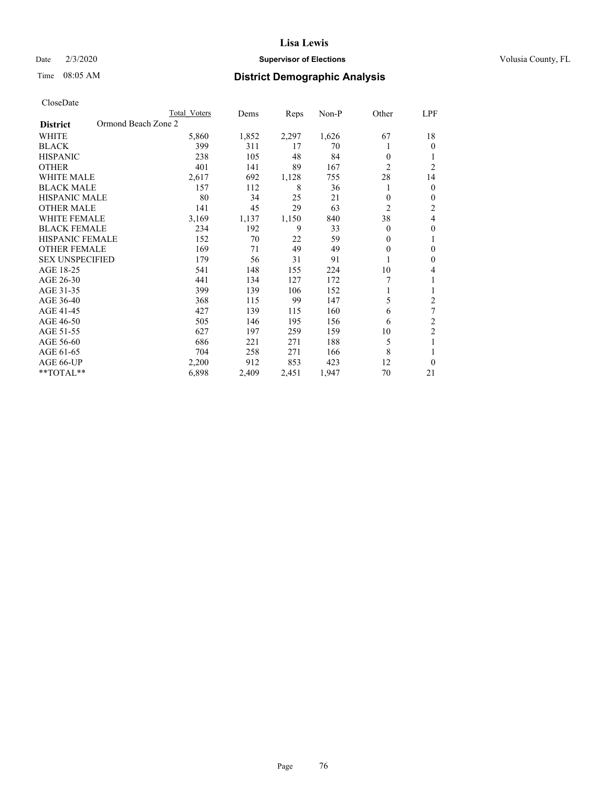#### Date  $2/3/2020$  **Supervisor of Elections** Volusia County, FL

# Time 08:05 AM **District Demographic Analysis**

|                                        | Total Voters | Dems  | Reps  | Non-P | Other          | LPF            |
|----------------------------------------|--------------|-------|-------|-------|----------------|----------------|
| Ormond Beach Zone 2<br><b>District</b> |              |       |       |       |                |                |
| WHITE                                  | 5,860        | 1,852 | 2,297 | 1,626 | 67             | 18             |
| <b>BLACK</b>                           | 399          | 311   | 17    | 70    |                | $\theta$       |
| <b>HISPANIC</b>                        | 238          | 105   | 48    | 84    | $\theta$       | 1              |
| <b>OTHER</b>                           | 401          | 141   | 89    | 167   | $\overline{2}$ | $\overline{2}$ |
| <b>WHITE MALE</b>                      | 2,617        | 692   | 1,128 | 755   | 28             | 14             |
| <b>BLACK MALE</b>                      | 157          | 112   | 8     | 36    |                | $\mathbf{0}$   |
| <b>HISPANIC MALE</b>                   | 80           | 34    | 25    | 21    | $\theta$       | $\mathbf{0}$   |
| <b>OTHER MALE</b>                      | 141          | 45    | 29    | 63    | $\overline{2}$ | $\overline{c}$ |
| <b>WHITE FEMALE</b>                    | 3,169        | 1,137 | 1,150 | 840   | 38             | 4              |
| <b>BLACK FEMALE</b>                    | 234          | 192   | 9     | 33    | $\theta$       | $\theta$       |
| <b>HISPANIC FEMALE</b>                 | 152          | 70    | 22    | 59    | $\theta$       | 1              |
| <b>OTHER FEMALE</b>                    | 169          | 71    | 49    | 49    | $\theta$       | $\theta$       |
| <b>SEX UNSPECIFIED</b>                 | 179          | 56    | 31    | 91    |                | $\theta$       |
| AGE 18-25                              | 541          | 148   | 155   | 224   | 10             | 4              |
| AGE 26-30                              | 441          | 134   | 127   | 172   | 7              | 1              |
| AGE 31-35                              | 399          | 139   | 106   | 152   |                | 1              |
| AGE 36-40                              | 368          | 115   | 99    | 147   | 5              | 2              |
| AGE 41-45                              | 427          | 139   | 115   | 160   | 6              | 7              |
| AGE 46-50                              | 505          | 146   | 195   | 156   | 6              | $\overline{c}$ |
| AGE 51-55                              | 627          | 197   | 259   | 159   | 10             | $\overline{c}$ |
| AGE 56-60                              | 686          | 221   | 271   | 188   | 5              | 1              |
| AGE 61-65                              | 704          | 258   | 271   | 166   | 8              | 1              |
| AGE 66-UP                              | 2,200        | 912   | 853   | 423   | 12             | $\theta$       |
| **TOTAL**                              | 6,898        | 2,409 | 2,451 | 1,947 | 70             | 21             |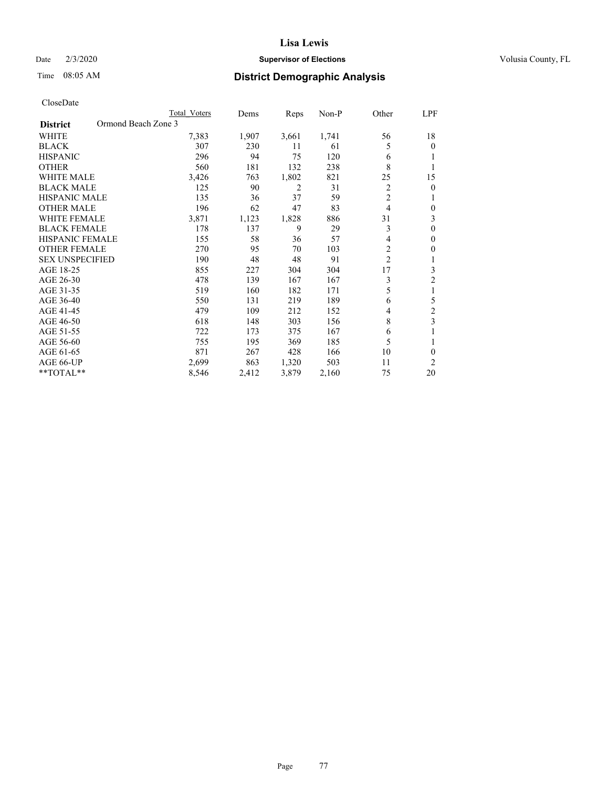### Date  $2/3/2020$  **Supervisor of Elections** Volusia County, FL

# Time 08:05 AM **District Demographic Analysis**

|                                        | Total Voters | Dems  | Reps           | $Non-P$ | Other          | LPF            |
|----------------------------------------|--------------|-------|----------------|---------|----------------|----------------|
| Ormond Beach Zone 3<br><b>District</b> |              |       |                |         |                |                |
| WHITE                                  | 7,383        | 1,907 | 3,661          | 1,741   | 56             | 18             |
| <b>BLACK</b>                           | 307          | 230   | 11             | 61      | 5              | 0              |
| <b>HISPANIC</b>                        | 296          | 94    | 75             | 120     | 6              |                |
| <b>OTHER</b>                           | 560          | 181   | 132            | 238     | 8              |                |
| <b>WHITE MALE</b>                      | 3,426        | 763   | 1,802          | 821     | 25             | 15             |
| <b>BLACK MALE</b>                      | 125          | 90    | $\overline{2}$ | 31      | 2              | 0              |
| <b>HISPANIC MALE</b>                   | 135          | 36    | 37             | 59      | $\overline{2}$ |                |
| <b>OTHER MALE</b>                      | 196          | 62    | 47             | 83      | 4              | 0              |
| <b>WHITE FEMALE</b>                    | 3,871        | 1,123 | 1,828          | 886     | 31             | 3              |
| <b>BLACK FEMALE</b>                    | 178          | 137   | 9              | 29      | 3              | 0              |
| <b>HISPANIC FEMALE</b>                 | 155          | 58    | 36             | 57      | 4              | 0              |
| <b>OTHER FEMALE</b>                    | 270          | 95    | 70             | 103     | $\overline{c}$ | 0              |
| <b>SEX UNSPECIFIED</b>                 | 190          | 48    | 48             | 91      | $\overline{c}$ | 1              |
| AGE 18-25                              | 855          | 227   | 304            | 304     | 17             | 3              |
| AGE 26-30                              | 478          | 139   | 167            | 167     | 3              | 2              |
| AGE 31-35                              | 519          | 160   | 182            | 171     | 5              | 1              |
| AGE 36-40                              | 550          | 131   | 219            | 189     | 6              | 5              |
| AGE 41-45                              | 479          | 109   | 212            | 152     | 4              | $\overline{c}$ |
| AGE 46-50                              | 618          | 148   | 303            | 156     | 8              | 3              |
| AGE 51-55                              | 722          | 173   | 375            | 167     | 6              |                |
| AGE 56-60                              | 755          | 195   | 369            | 185     | 5              | 1              |
| AGE 61-65                              | 871          | 267   | 428            | 166     | 10             | 0              |
| AGE 66-UP                              | 2,699        | 863   | 1,320          | 503     | 11             | 2              |
| **TOTAL**                              | 8,546        | 2,412 | 3,879          | 2,160   | 75             | 20             |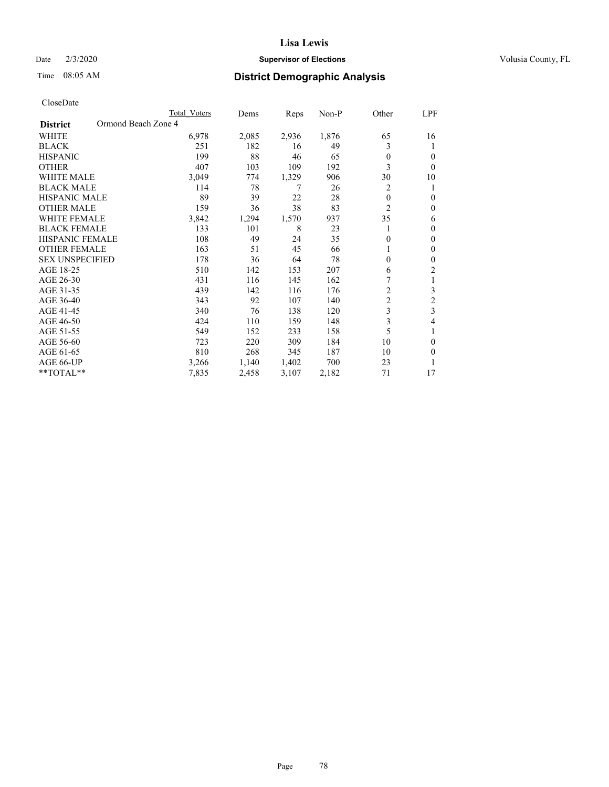### Date  $2/3/2020$  **Supervisor of Elections** Volusia County, FL

# Time 08:05 AM **District Demographic Analysis**

|                        |                     | Total Voters | Dems  | Reps  | $Non-P$ | Other          | LPF            |
|------------------------|---------------------|--------------|-------|-------|---------|----------------|----------------|
| <b>District</b>        | Ormond Beach Zone 4 |              |       |       |         |                |                |
| <b>WHITE</b>           |                     | 6,978        | 2,085 | 2,936 | 1,876   | 65             | 16             |
| <b>BLACK</b>           |                     | 251          | 182   | 16    | 49      | 3              | 1              |
| <b>HISPANIC</b>        |                     | 199          | 88    | 46    | 65      | $\theta$       | $\theta$       |
| <b>OTHER</b>           |                     | 407          | 103   | 109   | 192     | 3              | $\theta$       |
| <b>WHITE MALE</b>      |                     | 3,049        | 774   | 1,329 | 906     | 30             | 10             |
| <b>BLACK MALE</b>      |                     | 114          | 78    | 7     | 26      | 2              | 1              |
| HISPANIC MALE          |                     | 89           | 39    | 22    | 28      | $\theta$       | $\theta$       |
| <b>OTHER MALE</b>      |                     | 159          | 36    | 38    | 83      | $\overline{2}$ | $\theta$       |
| <b>WHITE FEMALE</b>    |                     | 3,842        | 1,294 | 1,570 | 937     | 35             | 6              |
| <b>BLACK FEMALE</b>    |                     | 133          | 101   | 8     | 23      |                | $\theta$       |
| <b>HISPANIC FEMALE</b> |                     | 108          | 49    | 24    | 35      | $\Omega$       | $\theta$       |
| <b>OTHER FEMALE</b>    |                     | 163          | 51    | 45    | 66      |                | $\mathbf{0}$   |
| <b>SEX UNSPECIFIED</b> |                     | 178          | 36    | 64    | 78      | $\theta$       | $\theta$       |
| AGE 18-25              |                     | 510          | 142   | 153   | 207     | 6              | 2              |
| AGE 26-30              |                     | 431          | 116   | 145   | 162     |                | 1              |
| AGE 31-35              |                     | 439          | 142   | 116   | 176     | $\overline{2}$ | 3              |
| AGE 36-40              |                     | 343          | 92    | 107   | 140     | $\overline{c}$ | $\overline{2}$ |
| AGE 41-45              |                     | 340          | 76    | 138   | 120     | 3              | 3              |
| AGE 46-50              |                     | 424          | 110   | 159   | 148     | 3              | 4              |
| AGE 51-55              |                     | 549          | 152   | 233   | 158     | 5              | 1              |
| AGE 56-60              |                     | 723          | 220   | 309   | 184     | 10             | $\theta$       |
| AGE 61-65              |                     | 810          | 268   | 345   | 187     | 10             | $\theta$       |
| AGE 66-UP              |                     | 3,266        | 1,140 | 1,402 | 700     | 23             | 1              |
| $*$ TOTAL $*$          |                     | 7,835        | 2,458 | 3,107 | 2,182   | 71             | 17             |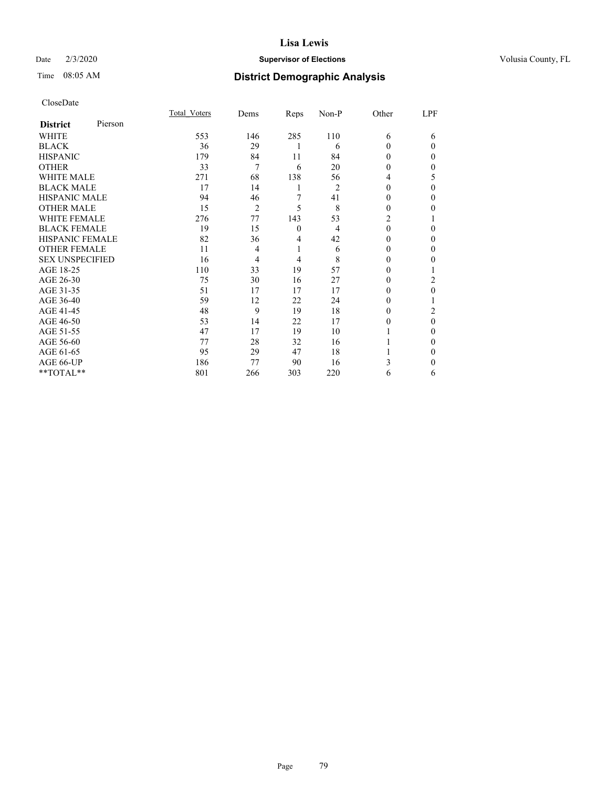#### Date  $2/3/2020$  **Supervisor of Elections** Volusia County, FL

# Time 08:05 AM **District Demographic Analysis**

|                        |         | Total Voters | Dems           | Reps     | Non-P | Other    | LPF      |
|------------------------|---------|--------------|----------------|----------|-------|----------|----------|
| <b>District</b>        | Pierson |              |                |          |       |          |          |
| WHITE                  |         | 553          | 146            | 285      | 110   | 6        | 6        |
| <b>BLACK</b>           |         | 36           | 29             | 1        | 6     | $\Omega$ | $\Omega$ |
| <b>HISPANIC</b>        |         | 179          | 84             | 11       | 84    | 0        | $\Omega$ |
| <b>OTHER</b>           |         | 33           | $\overline{7}$ | 6        | 20    | 0        | 0        |
| <b>WHITE MALE</b>      |         | 271          | 68             | 138      | 56    | 4        | 5        |
| <b>BLACK MALE</b>      |         | 17           | 14             | 1        | 2     | $\theta$ | $\Omega$ |
| <b>HISPANIC MALE</b>   |         | 94           | 46             | 7        | 41    | 0        | 0        |
| <b>OTHER MALE</b>      |         | 15           | 2              | 5        | 8     | 0        | 0        |
| <b>WHITE FEMALE</b>    |         | 276          | 77             | 143      | 53    | 2        |          |
| <b>BLACK FEMALE</b>    |         | 19           | 15             | $\theta$ | 4     | $\Omega$ | 0        |
| <b>HISPANIC FEMALE</b> |         | 82           | 36             | 4        | 42    | 0        | 0        |
| <b>OTHER FEMALE</b>    |         | 11           | 4              | 1        | 6     | 0        | $\Omega$ |
| <b>SEX UNSPECIFIED</b> |         | 16           | 4              | 4        | 8     | 0        | 0        |
| AGE 18-25              |         | 110          | 33             | 19       | 57    | 0        |          |
| AGE 26-30              |         | 75           | 30             | 16       | 27    | $_{0}$   | 2        |
| AGE 31-35              |         | 51           | 17             | 17       | 17    | $_{0}$   | 0        |
| AGE 36-40              |         | 59           | 12             | 22       | 24    | 0        |          |
| AGE 41-45              |         | 48           | 9              | 19       | 18    | $_{0}$   | 2        |
| AGE 46-50              |         | 53           | 14             | 22       | 17    | 0        | $\theta$ |
| AGE 51-55              |         | 47           | 17             | 19       | 10    |          | 0        |
| AGE 56-60              |         | 77           | 28             | 32       | 16    |          | 0        |
| AGE 61-65              |         | 95           | 29             | 47       | 18    |          | 0        |
| AGE 66-UP              |         | 186          | 77             | 90       | 16    | 3        | 0        |
| **TOTAL**              |         | 801          | 266            | 303      | 220   | 6        | 6        |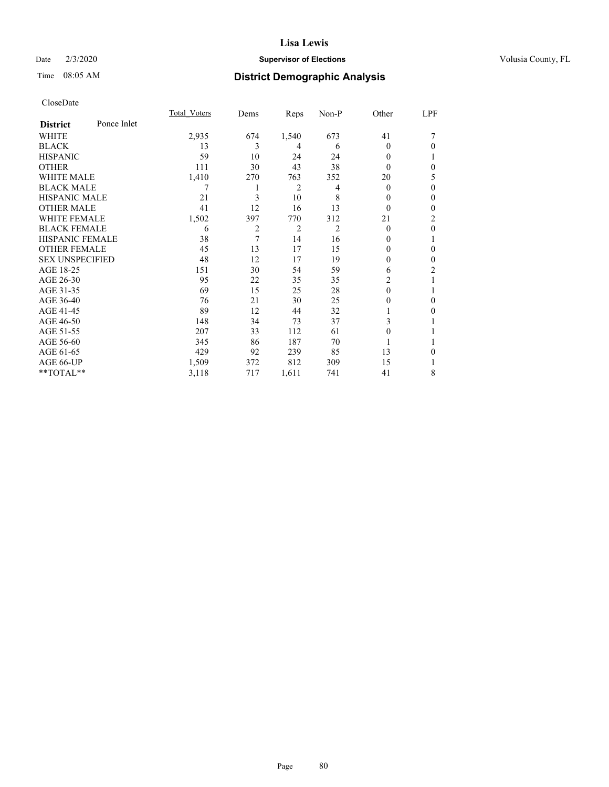### Date  $2/3/2020$  **Supervisor of Elections** Volusia County, FL

# Time 08:05 AM **District Demographic Analysis**

|                        |             | Total Voters | Dems | Reps           | Non-P          | Other    | LPF            |
|------------------------|-------------|--------------|------|----------------|----------------|----------|----------------|
| <b>District</b>        | Ponce Inlet |              |      |                |                |          |                |
| WHITE                  |             | 2,935        | 674  | 1,540          | 673            | 41       | 7              |
| <b>BLACK</b>           |             | 13           | 3    | 4              | 6              | 0        | $\Omega$       |
| <b>HISPANIC</b>        |             | 59           | 10   | 24             | 24             | 0        |                |
| <b>OTHER</b>           |             | 111          | 30   | 43             | 38             | 0        | $\theta$       |
| WHITE MALE             |             | 1,410        | 270  | 763            | 352            | 20       | 5              |
| <b>BLACK MALE</b>      |             | 7            | 1    | 2              | 4              | $\Omega$ | $\theta$       |
| <b>HISPANIC MALE</b>   |             | 21           | 3    | 10             | 8              | 0        | $\mathbf{0}$   |
| <b>OTHER MALE</b>      |             | 41           | 12   | 16             | 13             | $\Omega$ | $\mathbf{0}$   |
| WHITE FEMALE           |             | 1,502        | 397  | 770            | 312            | 21       | $\overline{c}$ |
| <b>BLACK FEMALE</b>    |             | 6            | 2    | $\overline{2}$ | $\overline{c}$ | $\theta$ | $\mathbf{0}$   |
| <b>HISPANIC FEMALE</b> |             | 38           | 7    | 14             | 16             | 0        | 1              |
| <b>OTHER FEMALE</b>    |             | 45           | 13   | 17             | 15             | 0        | $\theta$       |
| <b>SEX UNSPECIFIED</b> |             | 48           | 12   | 17             | 19             | 0        | $\theta$       |
| AGE 18-25              |             | 151          | 30   | 54             | 59             | 6        | 2              |
| AGE 26-30              |             | 95           | 22   | 35             | 35             | 2        | 1              |
| AGE 31-35              |             | 69           | 15   | 25             | 28             | $\theta$ |                |
| AGE 36-40              |             | 76           | 21   | 30             | 25             | 0        | $\theta$       |
| AGE 41-45              |             | 89           | 12   | 44             | 32             |          | $\theta$       |
| AGE 46-50              |             | 148          | 34   | 73             | 37             | 3        | 1              |
| AGE 51-55              |             | 207          | 33   | 112            | 61             | 0        |                |
| AGE 56-60              |             | 345          | 86   | 187            | 70             |          | 1              |
| AGE 61-65              |             | 429          | 92   | 239            | 85             | 13       | $\theta$       |
| AGE 66-UP              |             | 1,509        | 372  | 812            | 309            | 15       |                |
| **TOTAL**              |             | 3,118        | 717  | 1,611          | 741            | 41       | 8              |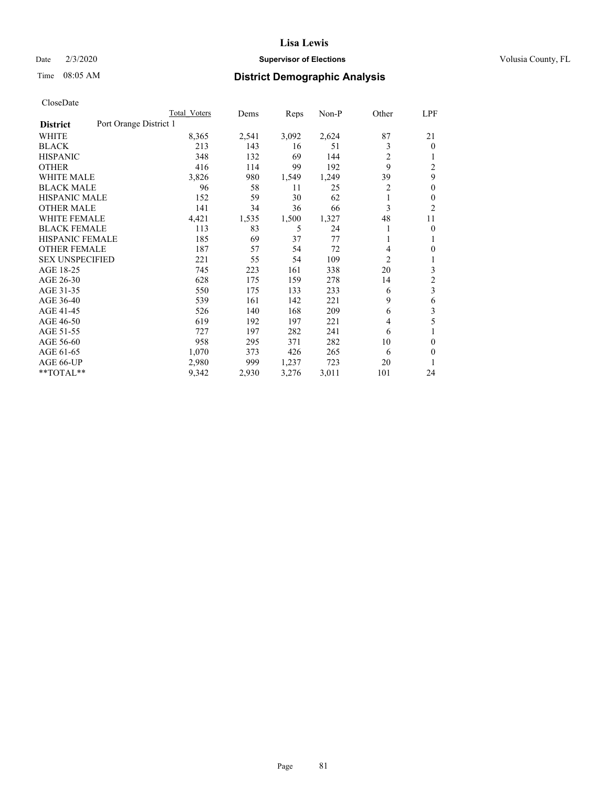#### Date  $2/3/2020$  **Supervisor of Elections** Volusia County, FL

# Time 08:05 AM **District Demographic Analysis**

|                        |                        | Total Voters | Dems  | Reps  | Non-P | Other          | LPF                     |
|------------------------|------------------------|--------------|-------|-------|-------|----------------|-------------------------|
| <b>District</b>        | Port Orange District 1 |              |       |       |       |                |                         |
| WHITE                  |                        | 8,365        | 2,541 | 3,092 | 2,624 | 87             | 21                      |
| <b>BLACK</b>           |                        | 213          | 143   | 16    | 51    | 3              | $\mathbf{0}$            |
| <b>HISPANIC</b>        |                        | 348          | 132   | 69    | 144   | 2              | 1                       |
| <b>OTHER</b>           |                        | 416          | 114   | 99    | 192   | 9              | $\overline{2}$          |
| <b>WHITE MALE</b>      |                        | 3,826        | 980   | 1,549 | 1,249 | 39             | 9                       |
| <b>BLACK MALE</b>      |                        | 96           | 58    | 11    | 25    | 2              | $\theta$                |
| <b>HISPANIC MALE</b>   |                        | 152          | 59    | 30    | 62    | 1              | $\theta$                |
| <b>OTHER MALE</b>      |                        | 141          | 34    | 36    | 66    | 3              | $\overline{2}$          |
| WHITE FEMALE           |                        | 4,421        | 1,535 | 1,500 | 1,327 | 48             | 11                      |
| <b>BLACK FEMALE</b>    |                        | 113          | 83    | 5     | 24    |                | 0                       |
| <b>HISPANIC FEMALE</b> |                        | 185          | 69    | 37    | 77    |                | 1                       |
| <b>OTHER FEMALE</b>    |                        | 187          | 57    | 54    | 72    | 4              | 0                       |
| <b>SEX UNSPECIFIED</b> |                        | 221          | 55    | 54    | 109   | $\overline{2}$ | 1                       |
| AGE 18-25              |                        | 745          | 223   | 161   | 338   | 20             | 3                       |
| AGE 26-30              |                        | 628          | 175   | 159   | 278   | 14             | $\mathfrak{2}$          |
| AGE 31-35              |                        | 550          | 175   | 133   | 233   | 6              | $\overline{\mathbf{3}}$ |
| AGE 36-40              |                        | 539          | 161   | 142   | 221   | 9              | 6                       |
| AGE 41-45              |                        | 526          | 140   | 168   | 209   | 6              | 3                       |
| AGE 46-50              |                        | 619          | 192   | 197   | 221   | 4              | 5                       |
| AGE 51-55              |                        | 727          | 197   | 282   | 241   | 6              | 1                       |
| AGE 56-60              |                        | 958          | 295   | 371   | 282   | 10             | 0                       |
| AGE 61-65              |                        | 1,070        | 373   | 426   | 265   | 6              | 0                       |
| AGE 66-UP              |                        | 2,980        | 999   | 1,237 | 723   | 20             |                         |
| $*$ TOTAL $*$          |                        | 9,342        | 2,930 | 3,276 | 3,011 | 101            | 24                      |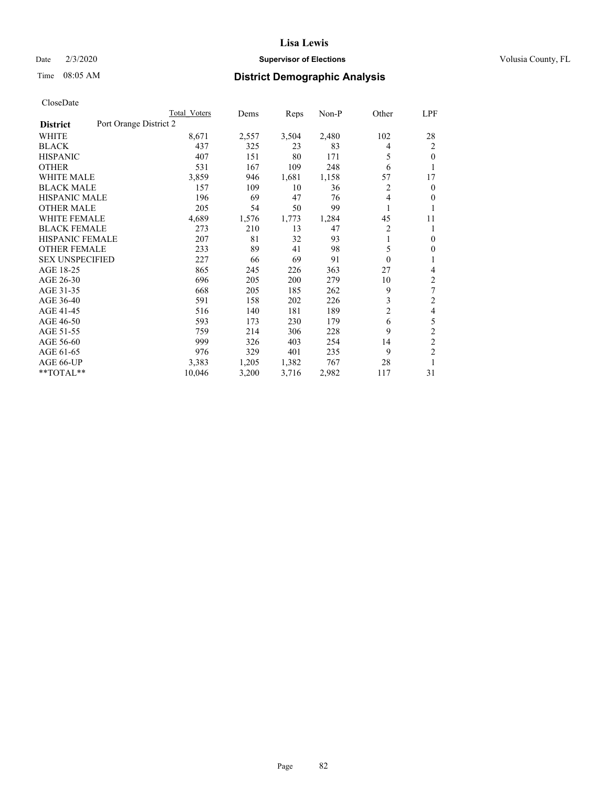#### Date  $2/3/2020$  **Supervisor of Elections** Volusia County, FL

# Time 08:05 AM **District Demographic Analysis**

|                                           | Total Voters | Dems  | Reps  | Non-P | Other          | LPF            |
|-------------------------------------------|--------------|-------|-------|-------|----------------|----------------|
| Port Orange District 2<br><b>District</b> |              |       |       |       |                |                |
| WHITE                                     | 8,671        | 2,557 | 3,504 | 2,480 | 102            | 28             |
| <b>BLACK</b>                              | 437          | 325   | 23    | 83    | 4              | 2              |
| <b>HISPANIC</b>                           | 407          | 151   | 80    | 171   | 5              | $\theta$       |
| <b>OTHER</b>                              | 531          | 167   | 109   | 248   | 6              | 1              |
| WHITE MALE                                | 3,859        | 946   | 1,681 | 1,158 | 57             | 17             |
| <b>BLACK MALE</b>                         | 157          | 109   | 10    | 36    | 2              | $\mathbf{0}$   |
| <b>HISPANIC MALE</b>                      | 196          | 69    | 47    | 76    | 4              | $\mathbf{0}$   |
| <b>OTHER MALE</b>                         | 205          | 54    | 50    | 99    | 1              | 1              |
| WHITE FEMALE                              | 4,689        | 1,576 | 1,773 | 1,284 | 45             | 11             |
| <b>BLACK FEMALE</b>                       | 273          | 210   | 13    | 47    | $\overline{2}$ | 1              |
| HISPANIC FEMALE                           | 207          | 81    | 32    | 93    | 1              | $\theta$       |
| <b>OTHER FEMALE</b>                       | 233          | 89    | 41    | 98    | 5              | $\theta$       |
| <b>SEX UNSPECIFIED</b>                    | 227          | 66    | 69    | 91    | $\theta$       | 1              |
| AGE 18-25                                 | 865          | 245   | 226   | 363   | 27             | 4              |
| AGE 26-30                                 | 696          | 205   | 200   | 279   | 10             | $\overline{2}$ |
| AGE 31-35                                 | 668          | 205   | 185   | 262   | 9              | 7              |
| AGE 36-40                                 | 591          | 158   | 202   | 226   | 3              | $\overline{c}$ |
| AGE 41-45                                 | 516          | 140   | 181   | 189   | $\overline{2}$ | $\overline{4}$ |
| AGE 46-50                                 | 593          | 173   | 230   | 179   | 6              | 5              |
| AGE 51-55                                 | 759          | 214   | 306   | 228   | 9              | $\overline{2}$ |
| AGE 56-60                                 | 999          | 326   | 403   | 254   | 14             | $\overline{c}$ |
| AGE 61-65                                 | 976          | 329   | 401   | 235   | 9              | $\overline{2}$ |
| AGE 66-UP                                 | 3,383        | 1,205 | 1,382 | 767   | 28             | 1              |
| **TOTAL**                                 | 10,046       | 3,200 | 3,716 | 2,982 | 117            | 31             |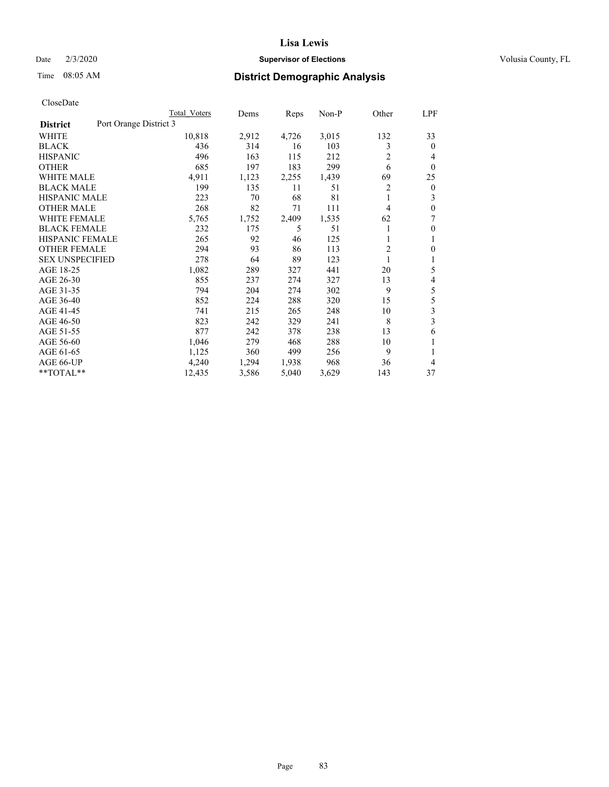#### Date  $2/3/2020$  **Supervisor of Elections** Volusia County, FL

# Time 08:05 AM **District Demographic Analysis**

|                        | Total Voters           | Dems  | Reps  | Non-P | Other | LPF              |
|------------------------|------------------------|-------|-------|-------|-------|------------------|
| <b>District</b>        | Port Orange District 3 |       |       |       |       |                  |
| WHITE                  | 10,818                 | 2,912 | 4,726 | 3,015 | 132   | 33               |
| <b>BLACK</b>           | 436                    | 314   | 16    | 103   | 3     | $\mathbf{0}$     |
| <b>HISPANIC</b>        | 496                    | 163   | 115   | 212   | 2     | 4                |
| <b>OTHER</b>           | 685                    | 197   | 183   | 299   | 6     | $\theta$         |
| <b>WHITE MALE</b>      | 4,911                  | 1,123 | 2,255 | 1,439 | 69    | 25               |
| <b>BLACK MALE</b>      | 199                    | 135   | 11    | 51    | 2     | $\boldsymbol{0}$ |
| <b>HISPANIC MALE</b>   | 223                    | 70    | 68    | 81    | 1     | 3                |
| <b>OTHER MALE</b>      | 268                    | 82    | 71    | 111   | 4     | 0                |
| <b>WHITE FEMALE</b>    | 5,765                  | 1,752 | 2,409 | 1,535 | 62    | 7                |
| <b>BLACK FEMALE</b>    | 232                    | 175   | 5     | 51    |       | $\mathbf{0}$     |
| <b>HISPANIC FEMALE</b> | 265                    | 92    | 46    | 125   |       | 1                |
| <b>OTHER FEMALE</b>    | 294                    | 93    | 86    | 113   | 2     | 0                |
| <b>SEX UNSPECIFIED</b> | 278                    | 64    | 89    | 123   | 1     | 1                |
| AGE 18-25              | 1,082                  | 289   | 327   | 441   | 20    | 5                |
| AGE 26-30              | 855                    | 237   | 274   | 327   | 13    | 4                |
| AGE 31-35              | 794                    | 204   | 274   | 302   | 9     | 5                |
| AGE 36-40              | 852                    | 224   | 288   | 320   | 15    | 5                |
| AGE 41-45              | 741                    | 215   | 265   | 248   | 10    | 3                |
| AGE 46-50              | 823                    | 242   | 329   | 241   | 8     | 3                |
| AGE 51-55              | 877                    | 242   | 378   | 238   | 13    | 6                |
| AGE 56-60              | 1,046                  | 279   | 468   | 288   | 10    |                  |
| AGE 61-65              | 1,125                  | 360   | 499   | 256   | 9     | 1                |
| AGE 66-UP              | 4,240                  | 1,294 | 1,938 | 968   | 36    | 4                |
| $*$ TOTAL $*$          | 12,435                 | 3,586 | 5,040 | 3,629 | 143   | 37               |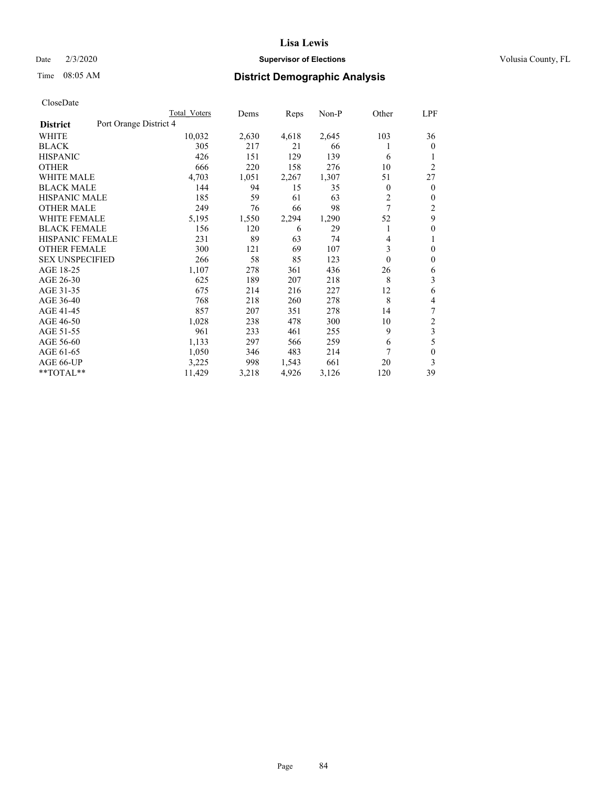### Date  $2/3/2020$  **Supervisor of Elections** Volusia County, FL

# Time 08:05 AM **District Demographic Analysis**

|                                           | Total Voters | Dems  | Reps  | $Non-P$ | Other        | LPF            |
|-------------------------------------------|--------------|-------|-------|---------|--------------|----------------|
| Port Orange District 4<br><b>District</b> |              |       |       |         |              |                |
| WHITE                                     | 10,032       | 2,630 | 4,618 | 2,645   | 103          | 36             |
| <b>BLACK</b>                              | 305          | 217   | 21    | 66      |              | $\mathbf{0}$   |
| <b>HISPANIC</b>                           | 426          | 151   | 129   | 139     | 6            | 1              |
| <b>OTHER</b>                              | 666          | 220   | 158   | 276     | 10           | $\overline{2}$ |
| <b>WHITE MALE</b>                         | 4,703        | 1,051 | 2,267 | 1,307   | 51           | 27             |
| <b>BLACK MALE</b>                         | 144          | 94    | 15    | 35      | $\mathbf{0}$ | $\mathbf{0}$   |
| <b>HISPANIC MALE</b>                      | 185          | 59    | 61    | 63      | 2            | $\mathbf{0}$   |
| <b>OTHER MALE</b>                         | 249          | 76    | 66    | 98      | 7            | $\overline{2}$ |
| <b>WHITE FEMALE</b>                       | 5,195        | 1,550 | 2,294 | 1,290   | 52           | 9              |
| <b>BLACK FEMALE</b>                       | 156          | 120   | 6     | 29      |              | $\mathbf{0}$   |
| HISPANIC FEMALE                           | 231          | 89    | 63    | 74      | 4            | 1              |
| <b>OTHER FEMALE</b>                       | 300          | 121   | 69    | 107     | 3            | $\theta$       |
| <b>SEX UNSPECIFIED</b>                    | 266          | 58    | 85    | 123     | $\theta$     | $\mathbf{0}$   |
| AGE 18-25                                 | 1,107        | 278   | 361   | 436     | 26           | 6              |
| AGE 26-30                                 | 625          | 189   | 207   | 218     | 8            | 3              |
| AGE 31-35                                 | 675          | 214   | 216   | 227     | 12           | 6              |
| AGE 36-40                                 | 768          | 218   | 260   | 278     | 8            | 4              |
| AGE 41-45                                 | 857          | 207   | 351   | 278     | 14           | 7              |
| AGE 46-50                                 | 1,028        | 238   | 478   | 300     | 10           | 2              |
| AGE 51-55                                 | 961          | 233   | 461   | 255     | 9            | 3              |
| AGE 56-60                                 | 1,133        | 297   | 566   | 259     | 6            | 5              |
| AGE 61-65                                 | 1,050        | 346   | 483   | 214     | 7            | $\mathbf{0}$   |
| AGE 66-UP                                 | 3,225        | 998   | 1,543 | 661     | 20           | 3              |
| **TOTAL**                                 | 11,429       | 3,218 | 4,926 | 3,126   | 120          | 39             |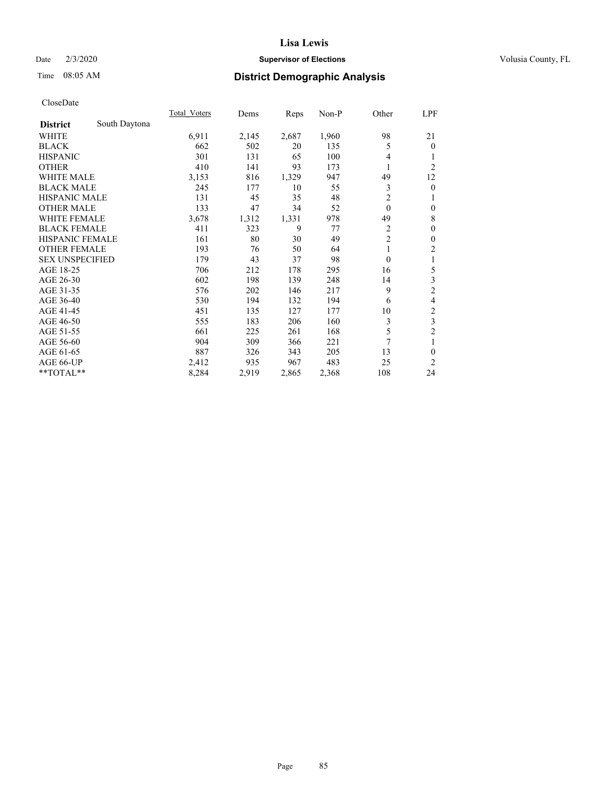### Date  $2/3/2020$  **Supervisor of Elections** Volusia County, FL

# Time 08:05 AM **District Demographic Analysis**

|                        |               | Total Voters | Dems  | Reps  | Non-P | Other          | LPF            |
|------------------------|---------------|--------------|-------|-------|-------|----------------|----------------|
| <b>District</b>        | South Daytona |              |       |       |       |                |                |
| WHITE                  |               | 6,911        | 2,145 | 2,687 | 1,960 | 98             | 21             |
| <b>BLACK</b>           |               | 662          | 502   | 20    | 135   | 5              | $\mathbf{0}$   |
| <b>HISPANIC</b>        |               | 301          | 131   | 65    | 100   | 4              |                |
| <b>OTHER</b>           |               | 410          | 141   | 93    | 173   | 1              | $\overline{2}$ |
| WHITE MALE             |               | 3,153        | 816   | 1,329 | 947   | 49             | 12             |
| <b>BLACK MALE</b>      |               | 245          | 177   | 10    | 55    | 3              | $\theta$       |
| <b>HISPANIC MALE</b>   |               | 131          | 45    | 35    | 48    | $\overline{2}$ | 1              |
| <b>OTHER MALE</b>      |               | 133          | 47    | 34    | 52    | $\theta$       | $\mathbf{0}$   |
| <b>WHITE FEMALE</b>    |               | 3,678        | 1,312 | 1,331 | 978   | 49             | 8              |
| <b>BLACK FEMALE</b>    |               | 411          | 323   | 9     | 77    | 2              | $\mathbf{0}$   |
| HISPANIC FEMALE        |               | 161          | 80    | 30    | 49    | $\overline{2}$ | $\theta$       |
| <b>OTHER FEMALE</b>    |               | 193          | 76    | 50    | 64    | 1              | $\overline{2}$ |
| <b>SEX UNSPECIFIED</b> |               | 179          | 43    | 37    | 98    | $\theta$       | 1              |
| AGE 18-25              |               | 706          | 212   | 178   | 295   | 16             | 5              |
| AGE 26-30              |               | 602          | 198   | 139   | 248   | 14             | 3              |
| AGE 31-35              |               | 576          | 202   | 146   | 217   | 9              | $\overline{c}$ |
| AGE 36-40              |               | 530          | 194   | 132   | 194   | 6              | 4              |
| AGE 41-45              |               | 451          | 135   | 127   | 177   | 10             | $\overline{c}$ |
| AGE 46-50              |               | 555          | 183   | 206   | 160   | 3              | 3              |
| AGE 51-55              |               | 661          | 225   | 261   | 168   | 5              | $\overline{2}$ |
| AGE 56-60              |               | 904          | 309   | 366   | 221   | 7              | 1              |
| AGE 61-65              |               | 887          | 326   | 343   | 205   | 13             | $\theta$       |
| AGE 66-UP              |               | 2,412        | 935   | 967   | 483   | 25             | $\overline{2}$ |
| **TOTAL**              |               | 8,284        | 2,919 | 2,865 | 2,368 | 108            | 24             |